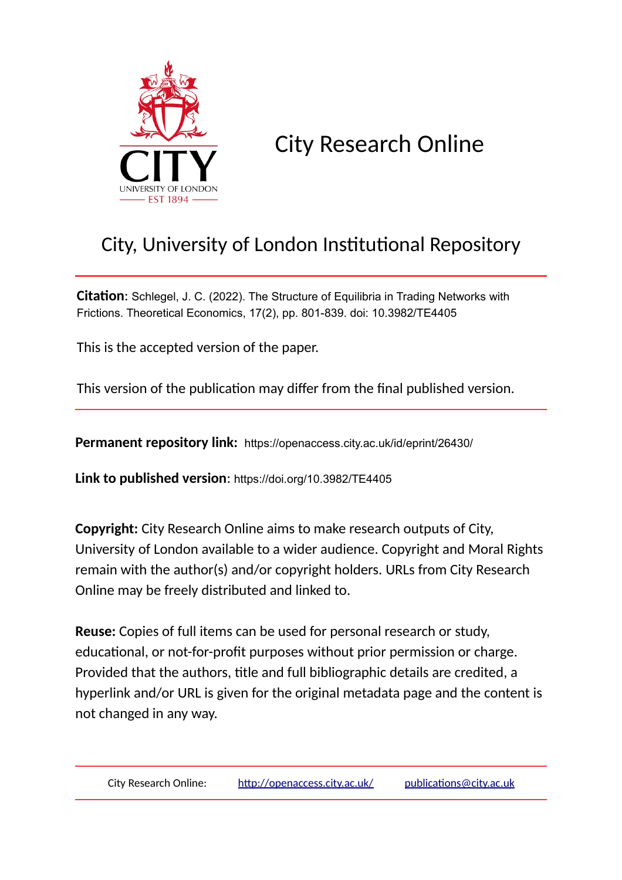

City Research Online

# City, University of London Institutional Repository

**Citation**: Schlegel, J. C. (2022). The Structure of Equilibria in Trading Networks with Frictions. Theoretical Economics, 17(2), pp. 801-839. doi: 10.3982/TE4405

This is the accepted version of the paper.

This version of the publication may differ from the final published version.

**Permanent repository link:** https://openaccess.city.ac.uk/id/eprint/26430/

**Link to published version**: https://doi.org/10.3982/TE4405

**Copyright:** City Research Online aims to make research outputs of City, University of London available to a wider audience. Copyright and Moral Rights remain with the author(s) and/or copyright holders. URLs from City Research Online may be freely distributed and linked to.

**Reuse:** Copies of full items can be used for personal research or study, educational, or not-for-profit purposes without prior permission or charge. Provided that the authors, title and full bibliographic details are credited, a hyperlink and/or URL is given for the original metadata page and the content is not changed in any way.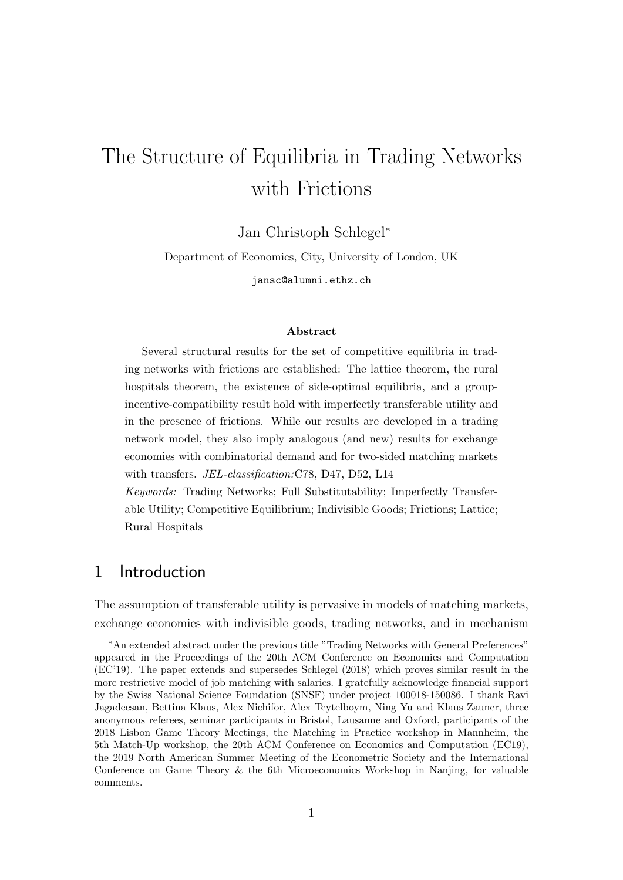# The Structure of Equilibria in Trading Networks with Frictions

Jan Christoph Schlegel<sup>∗</sup>

Department of Economics, City, University of London, UK

jansc@alumni.ethz.ch

#### Abstract

Several structural results for the set of competitive equilibria in trading networks with frictions are established: The lattice theorem, the rural hospitals theorem, the existence of side-optimal equilibria, and a groupincentive-compatibility result hold with imperfectly transferable utility and in the presence of frictions. While our results are developed in a trading network model, they also imply analogous (and new) results for exchange economies with combinatorial demand and for two-sided matching markets with transfers. JEL-classification:C78, D47, D52, L14

Keywords: Trading Networks; Full Substitutability; Imperfectly Transferable Utility; Competitive Equilibrium; Indivisible Goods; Frictions; Lattice; Rural Hospitals

# 1 Introduction

The assumption of transferable utility is pervasive in models of matching markets, exchange economies with indivisible goods, trading networks, and in mechanism

<sup>∗</sup>An extended abstract under the previous title "Trading Networks with General Preferences" appeared in the Proceedings of the 20th ACM Conference on Economics and Computation (EC'19). The paper extends and supersedes Schlegel (2018) which proves similar result in the more restrictive model of job matching with salaries. I gratefully acknowledge financial support by the Swiss National Science Foundation (SNSF) under project 100018-150086. I thank Ravi Jagadeesan, Bettina Klaus, Alex Nichifor, Alex Teytelboym, Ning Yu and Klaus Zauner, three anonymous referees, seminar participants in Bristol, Lausanne and Oxford, participants of the 2018 Lisbon Game Theory Meetings, the Matching in Practice workshop in Mannheim, the 5th Match-Up workshop, the 20th ACM Conference on Economics and Computation (EC19), the 2019 North American Summer Meeting of the Econometric Society and the International Conference on Game Theory & the 6th Microeconomics Workshop in Nanjing, for valuable comments.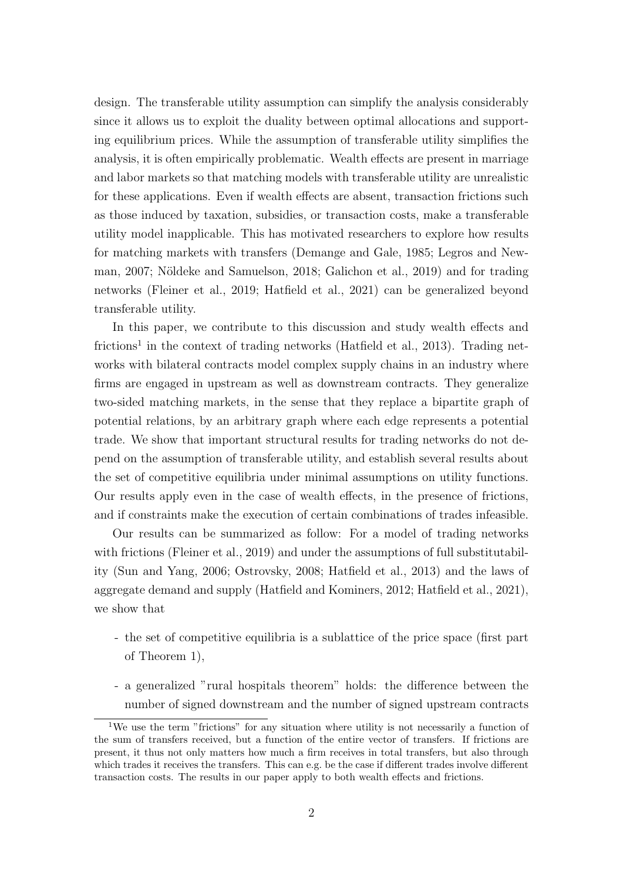design. The transferable utility assumption can simplify the analysis considerably since it allows us to exploit the duality between optimal allocations and supporting equilibrium prices. While the assumption of transferable utility simplifies the analysis, it is often empirically problematic. Wealth effects are present in marriage and labor markets so that matching models with transferable utility are unrealistic for these applications. Even if wealth effects are absent, transaction frictions such as those induced by taxation, subsidies, or transaction costs, make a transferable utility model inapplicable. This has motivated researchers to explore how results for matching markets with transfers (Demange and Gale, 1985; Legros and Newman, 2007; Nöldeke and Samuelson, 2018; Galichon et al., 2019) and for trading networks (Fleiner et al., 2019; Hatfield et al., 2021) can be generalized beyond transferable utility.

In this paper, we contribute to this discussion and study wealth effects and frictions<sup>1</sup> in the context of trading networks (Hatfield et al., 2013). Trading networks with bilateral contracts model complex supply chains in an industry where firms are engaged in upstream as well as downstream contracts. They generalize two-sided matching markets, in the sense that they replace a bipartite graph of potential relations, by an arbitrary graph where each edge represents a potential trade. We show that important structural results for trading networks do not depend on the assumption of transferable utility, and establish several results about the set of competitive equilibria under minimal assumptions on utility functions. Our results apply even in the case of wealth effects, in the presence of frictions, and if constraints make the execution of certain combinations of trades infeasible.

Our results can be summarized as follow: For a model of trading networks with frictions (Fleiner et al., 2019) and under the assumptions of full substitutability (Sun and Yang, 2006; Ostrovsky, 2008; Hatfield et al., 2013) and the laws of aggregate demand and supply (Hatfield and Kominers, 2012; Hatfield et al., 2021), we show that

- the set of competitive equilibria is a sublattice of the price space (first part of Theorem 1),
- a generalized "rural hospitals theorem" holds: the difference between the number of signed downstream and the number of signed upstream contracts

<sup>&</sup>lt;sup>1</sup>We use the term "frictions" for any situation where utility is not necessarily a function of the sum of transfers received, but a function of the entire vector of transfers. If frictions are present, it thus not only matters how much a firm receives in total transfers, but also through which trades it receives the transfers. This can e.g. be the case if different trades involve different transaction costs. The results in our paper apply to both wealth effects and frictions.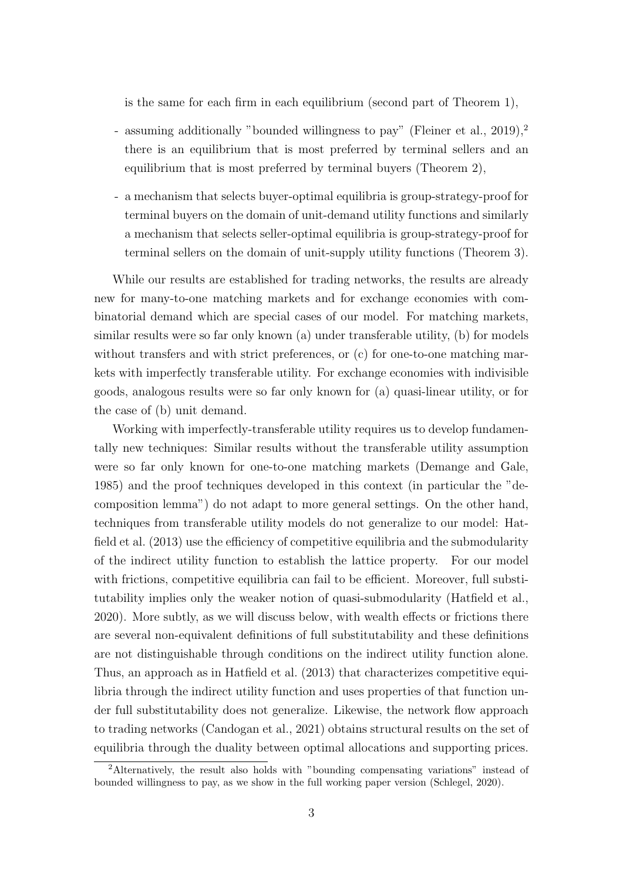is the same for each firm in each equilibrium (second part of Theorem 1),

- assuming additionally "bounded willingness to pay" (Fleiner et al., 2019),<sup>2</sup> there is an equilibrium that is most preferred by terminal sellers and an equilibrium that is most preferred by terminal buyers (Theorem 2),
- a mechanism that selects buyer-optimal equilibria is group-strategy-proof for terminal buyers on the domain of unit-demand utility functions and similarly a mechanism that selects seller-optimal equilibria is group-strategy-proof for terminal sellers on the domain of unit-supply utility functions (Theorem 3).

While our results are established for trading networks, the results are already new for many-to-one matching markets and for exchange economies with combinatorial demand which are special cases of our model. For matching markets, similar results were so far only known (a) under transferable utility, (b) for models without transfers and with strict preferences, or (c) for one-to-one matching markets with imperfectly transferable utility. For exchange economies with indivisible goods, analogous results were so far only known for (a) quasi-linear utility, or for the case of (b) unit demand.

Working with imperfectly-transferable utility requires us to develop fundamentally new techniques: Similar results without the transferable utility assumption were so far only known for one-to-one matching markets (Demange and Gale, 1985) and the proof techniques developed in this context (in particular the "decomposition lemma") do not adapt to more general settings. On the other hand, techniques from transferable utility models do not generalize to our model: Hatfield et al. (2013) use the efficiency of competitive equilibria and the submodularity of the indirect utility function to establish the lattice property. For our model with frictions, competitive equilibria can fail to be efficient. Moreover, full substitutability implies only the weaker notion of quasi-submodularity (Hatfield et al., 2020). More subtly, as we will discuss below, with wealth effects or frictions there are several non-equivalent definitions of full substitutability and these definitions are not distinguishable through conditions on the indirect utility function alone. Thus, an approach as in Hatfield et al. (2013) that characterizes competitive equilibria through the indirect utility function and uses properties of that function under full substitutability does not generalize. Likewise, the network flow approach to trading networks (Candogan et al., 2021) obtains structural results on the set of equilibria through the duality between optimal allocations and supporting prices.

<sup>2</sup>Alternatively, the result also holds with "bounding compensating variations" instead of bounded willingness to pay, as we show in the full working paper version (Schlegel, 2020).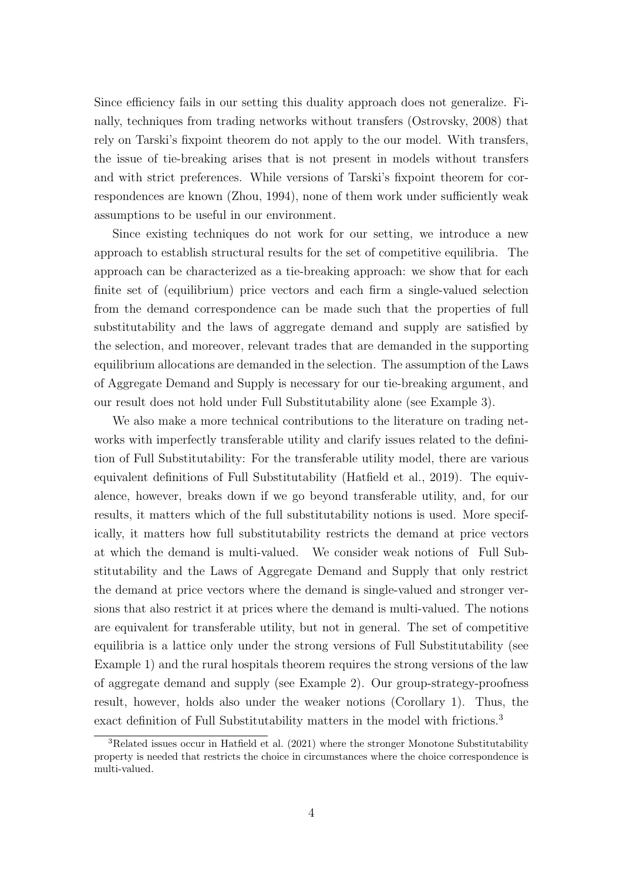Since efficiency fails in our setting this duality approach does not generalize. Finally, techniques from trading networks without transfers (Ostrovsky, 2008) that rely on Tarski's fixpoint theorem do not apply to the our model. With transfers, the issue of tie-breaking arises that is not present in models without transfers and with strict preferences. While versions of Tarski's fixpoint theorem for correspondences are known (Zhou, 1994), none of them work under sufficiently weak assumptions to be useful in our environment.

Since existing techniques do not work for our setting, we introduce a new approach to establish structural results for the set of competitive equilibria. The approach can be characterized as a tie-breaking approach: we show that for each finite set of (equilibrium) price vectors and each firm a single-valued selection from the demand correspondence can be made such that the properties of full substitutability and the laws of aggregate demand and supply are satisfied by the selection, and moreover, relevant trades that are demanded in the supporting equilibrium allocations are demanded in the selection. The assumption of the Laws of Aggregate Demand and Supply is necessary for our tie-breaking argument, and our result does not hold under Full Substitutability alone (see Example 3).

We also make a more technical contributions to the literature on trading networks with imperfectly transferable utility and clarify issues related to the definition of Full Substitutability: For the transferable utility model, there are various equivalent definitions of Full Substitutability (Hatfield et al., 2019). The equivalence, however, breaks down if we go beyond transferable utility, and, for our results, it matters which of the full substitutability notions is used. More specifically, it matters how full substitutability restricts the demand at price vectors at which the demand is multi-valued. We consider weak notions of Full Substitutability and the Laws of Aggregate Demand and Supply that only restrict the demand at price vectors where the demand is single-valued and stronger versions that also restrict it at prices where the demand is multi-valued. The notions are equivalent for transferable utility, but not in general. The set of competitive equilibria is a lattice only under the strong versions of Full Substitutability (see Example 1) and the rural hospitals theorem requires the strong versions of the law of aggregate demand and supply (see Example 2). Our group-strategy-proofness result, however, holds also under the weaker notions (Corollary 1). Thus, the exact definition of Full Substitutability matters in the model with frictions.<sup>3</sup>

 ${}^{3}$ Related issues occur in Hatfield et al. (2021) where the stronger Monotone Substitutability property is needed that restricts the choice in circumstances where the choice correspondence is multi-valued.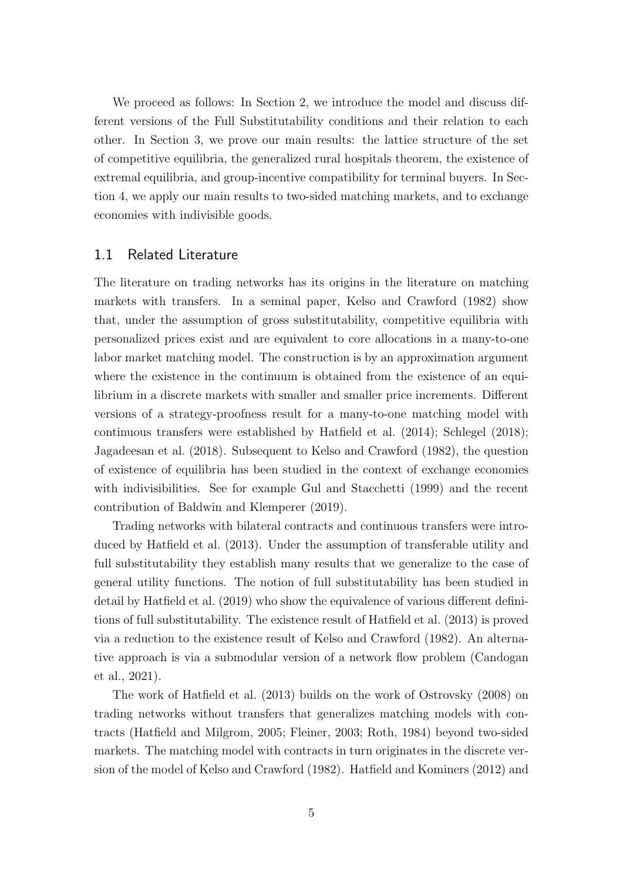We proceed as follows: In Section 2, we introduce the model and discuss different versions of the Full Substitutability conditions and their relation to each other. In Section 3, we prove our main results: the lattice structure of the set of competitive equilibria, the generalized rural hospitals theorem, the existence of extremal equilibria, and group-incentive compatibility for terminal buyers. In Section 4, we apply our main results to two-sided matching markets, and to exchange economies with indivisible goods.

## 1.1 Related Literature

The literature on trading networks has its origins in the literature on matching markets with transfers. In a seminal paper, Kelso and Crawford (1982) show that, under the assumption of gross substitutability, competitive equilibria with personalized prices exist and are equivalent to core allocations in a many-to-one labor market matching model. The construction is by an approximation argument where the existence in the continuum is obtained from the existence of an equilibrium in a discrete markets with smaller and smaller price increments. Different versions of a strategy-proofness result for a many-to-one matching model with continuous transfers were established by Hatfield et al. (2014); Schlegel (2018); Jagadeesan et al. (2018). Subsequent to Kelso and Crawford (1982), the question of existence of equilibria has been studied in the context of exchange economies with indivisibilities. See for example Gul and Stacchetti (1999) and the recent contribution of Baldwin and Klemperer (2019).

Trading networks with bilateral contracts and continuous transfers were introduced by Hatfield et al. (2013). Under the assumption of transferable utility and full substitutability they establish many results that we generalize to the case of general utility functions. The notion of full substitutability has been studied in detail by Hatfield et al. (2019) who show the equivalence of various different definitions of full substitutability. The existence result of Hatfield et al. (2013) is proved via a reduction to the existence result of Kelso and Crawford (1982). An alternative approach is via a submodular version of a network flow problem (Candogan et al., 2021).

The work of Hatfield et al. (2013) builds on the work of Ostrovsky (2008) on trading networks without transfers that generalizes matching models with contracts (Hatfield and Milgrom, 2005; Fleiner, 2003; Roth, 1984) beyond two-sided markets. The matching model with contracts in turn originates in the discrete version of the model of Kelso and Crawford (1982). Hatfield and Kominers (2012) and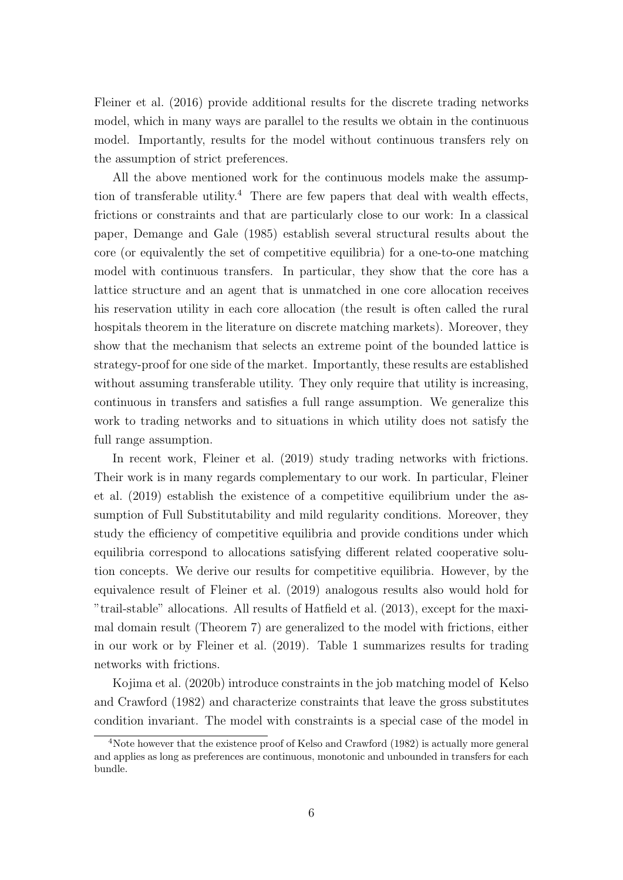Fleiner et al. (2016) provide additional results for the discrete trading networks model, which in many ways are parallel to the results we obtain in the continuous model. Importantly, results for the model without continuous transfers rely on the assumption of strict preferences.

All the above mentioned work for the continuous models make the assumption of transferable utility.<sup>4</sup> There are few papers that deal with wealth effects, frictions or constraints and that are particularly close to our work: In a classical paper, Demange and Gale (1985) establish several structural results about the core (or equivalently the set of competitive equilibria) for a one-to-one matching model with continuous transfers. In particular, they show that the core has a lattice structure and an agent that is unmatched in one core allocation receives his reservation utility in each core allocation (the result is often called the rural hospitals theorem in the literature on discrete matching markets). Moreover, they show that the mechanism that selects an extreme point of the bounded lattice is strategy-proof for one side of the market. Importantly, these results are established without assuming transferable utility. They only require that utility is increasing, continuous in transfers and satisfies a full range assumption. We generalize this work to trading networks and to situations in which utility does not satisfy the full range assumption.

In recent work, Fleiner et al. (2019) study trading networks with frictions. Their work is in many regards complementary to our work. In particular, Fleiner et al. (2019) establish the existence of a competitive equilibrium under the assumption of Full Substitutability and mild regularity conditions. Moreover, they study the efficiency of competitive equilibria and provide conditions under which equilibria correspond to allocations satisfying different related cooperative solution concepts. We derive our results for competitive equilibria. However, by the equivalence result of Fleiner et al. (2019) analogous results also would hold for "trail-stable" allocations. All results of Hatfield et al. (2013), except for the maximal domain result (Theorem 7) are generalized to the model with frictions, either in our work or by Fleiner et al. (2019). Table 1 summarizes results for trading networks with frictions.

Kojima et al. (2020b) introduce constraints in the job matching model of Kelso and Crawford (1982) and characterize constraints that leave the gross substitutes condition invariant. The model with constraints is a special case of the model in

<sup>4</sup>Note however that the existence proof of Kelso and Crawford (1982) is actually more general and applies as long as preferences are continuous, monotonic and unbounded in transfers for each bundle.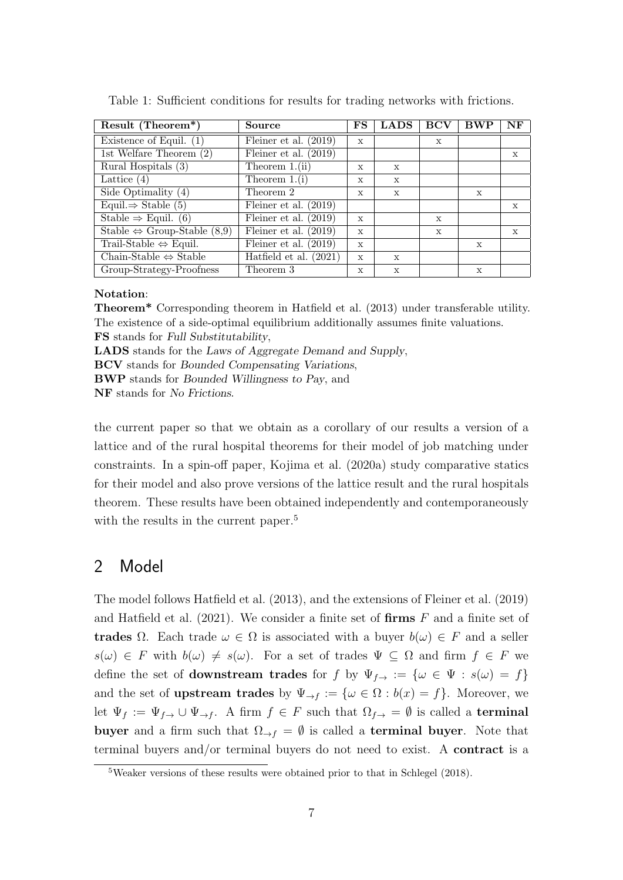| Result (Theorem*)                           | <b>Source</b>            | $_{\rm FS}$  | <b>LADS</b>  | <b>BCV</b>   | ${\bf BWP}$ | NF          |
|---------------------------------------------|--------------------------|--------------|--------------|--------------|-------------|-------------|
| Existence of Equil. $(1)$                   | Fleiner et al. $(2019)$  | $\mathbf x$  |              | $\mathbf{x}$ |             |             |
| 1st Welfare Theorem $(2)$                   | Fleiner et al. $(2019)$  |              |              |              |             | $\mathbf x$ |
| Rural Hospitals (3)                         | Theorem $1.(ii)$         | $\mathbf{x}$ | X            |              |             |             |
| Lattice $(4)$                               | Theorem $1.(i)$          | $\mathbf x$  | X            |              |             |             |
| Side Optimality $(4)$                       | Theorem 2                | $\mathbf{x}$ | X            |              | X           |             |
| Equil. $\Rightarrow$ Stable (5)             | Fleiner et al. $(2019)$  |              |              |              |             | X           |
| Stable $\Rightarrow$ Equil. (6)             | Fleiner et al. $(2019)$  | $\mathbf x$  |              | $\mathbf{x}$ |             |             |
| Stable $\Leftrightarrow$ Group-Stable (8,9) | Fleiner et al. $(2019)$  | $\mathbf x$  |              | $\mathbf{x}$ |             | X           |
| Trail-Stable $\Leftrightarrow$ Equil.       | Fleiner et al. $(2019)$  | $\mathbf x$  |              |              | X           |             |
| Chain-Stable $\Leftrightarrow$ Stable       | Hatfield et al. $(2021)$ | $\mathbf x$  | $\mathbf{x}$ |              |             |             |
| Group-Strategy-Proofness                    | Theorem 3                | X            | X            |              | X           |             |

Table 1: Sufficient conditions for results for trading networks with frictions.

#### Notation:

Theorem\* Corresponding theorem in Hatfield et al. (2013) under transferable utility. The existence of a side-optimal equilibrium additionally assumes finite valuations. FS stands for Full Substitutability,

LADS stands for the Laws of Aggregate Demand and Supply,

BCV stands for Bounded Compensating Variations,

BWP stands for Bounded Willingness to Pay, and

NF stands for No Frictions.

the current paper so that we obtain as a corollary of our results a version of a lattice and of the rural hospital theorems for their model of job matching under constraints. In a spin-off paper, Kojima et al. (2020a) study comparative statics for their model and also prove versions of the lattice result and the rural hospitals theorem. These results have been obtained independently and contemporaneously with the results in the current paper.<sup>5</sup>

# 2 Model

The model follows Hatfield et al. (2013), and the extensions of Fleiner et al. (2019) and Hatfield et al.  $(2021)$ . We consider a finite set of firms F and a finite set of trades Ω. Each trade  $ω ∈ Ω$  is associated with a buyer  $b(ω) ∈ F$  and a seller  $s(\omega) \in F$  with  $b(\omega) \neq s(\omega)$ . For a set of trades  $\Psi \subseteq \Omega$  and firm  $f \in F$  we define the set of **downstream trades** for f by  $\Psi_{f\rightarrow} := \{ \omega \in \Psi : s(\omega) = f \}$ and the set of **upstream trades** by  $\Psi_{\to f} := {\omega \in \Omega : b(x) = f}.$  Moreover, we let  $\Psi_f := \Psi_{f \to f}$   $\cup \Psi_{\to f}$ . A firm  $f \in F$  such that  $\Omega_{f \to f} = \emptyset$  is called a **terminal** buyer and a firm such that  $\Omega_{\rightarrow f} = \emptyset$  is called a **terminal buyer**. Note that terminal buyers and/or terminal buyers do not need to exist. A contract is a

<sup>5</sup>Weaker versions of these results were obtained prior to that in Schlegel (2018).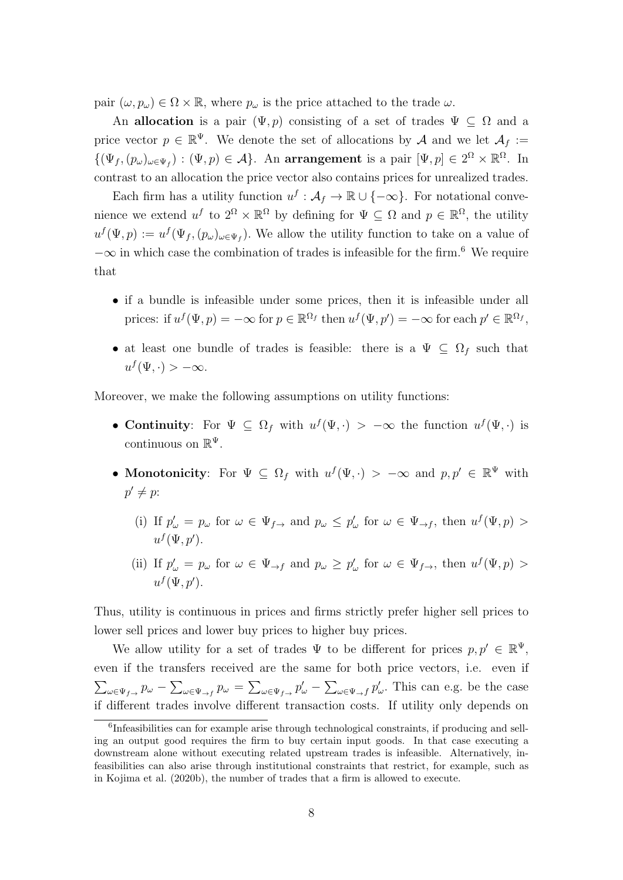pair  $(\omega, p_{\omega}) \in \Omega \times \mathbb{R}$ , where  $p_{\omega}$  is the price attached to the trade  $\omega$ .

An allocation is a pair  $(\Psi, p)$  consisting of a set of trades  $\Psi \subset \Omega$  and a price vector  $p \in \mathbb{R}^{\Psi}$ . We denote the set of allocations by A and we let  $\mathcal{A}_f :=$  $\{(\Psi_f, (p_\omega)_{\omega \in \Psi_f}) : (\Psi, p) \in \mathcal{A}\}\.$  An arrangement is a pair  $[\Psi, p] \in 2^{\Omega} \times \mathbb{R}^{\Omega}$ . In contrast to an allocation the price vector also contains prices for unrealized trades.

Each firm has a utility function  $u^f : \mathcal{A}_f \to \mathbb{R} \cup \{-\infty\}$ . For notational convenience we extend  $u^f$  to  $2^{\Omega} \times \mathbb{R}^{\Omega}$  by defining for  $\Psi \subseteq \Omega$  and  $p \in \mathbb{R}^{\Omega}$ , the utility  $u^f(\Psi, p) := u^f(\Psi_f, (p_\omega)_{\omega \in \Psi_f})$ . We allow the utility function to take on a value of  $-\infty$  in which case the combination of trades is infeasible for the firm.<sup>6</sup> We require that

- if a bundle is infeasible under some prices, then it is infeasible under all prices: if  $u^f(\Psi, p) = -\infty$  for  $p \in \mathbb{R}^{\Omega_f}$  then  $u^f(\Psi, p') = -\infty$  for each  $p' \in \mathbb{R}^{\Omega_f}$ ,
- at least one bundle of trades is feasible: there is a  $\Psi \subseteq \Omega_f$  such that  $u^f(\Psi,\cdot) > -\infty.$

Moreover, we make the following assumptions on utility functions:

- Continuity: For  $\Psi \subseteq \Omega_f$  with  $u^f(\Psi, \cdot) > -\infty$  the function  $u^f(\Psi, \cdot)$  is continuous on  $\mathbb{R}^{\Psi}$ .
- Monotonicity: For  $\Psi \subseteq \Omega_f$  with  $u^f(\Psi, \cdot) > -\infty$  and  $p, p' \in \mathbb{R}^{\Psi}$  with  $p' \neq p$ :
	- (i) If  $p'_{\omega} = p_{\omega}$  for  $\omega \in \Psi_{f \to \omega}$  and  $p_{\omega} \leq p'_{\omega}$  for  $\omega \in \Psi_{\to f}$ , then  $u^f(\Psi, p) >$  $u^f(\Psi, p').$
	- (ii) If  $p'_{\omega} = p_{\omega}$  for  $\omega \in \Psi_{\to f}$  and  $p_{\omega} \geq p'_{\omega}$  for  $\omega \in \Psi_{f \to f}$ , then  $u^f(\Psi, p) >$  $u^f(\Psi, p').$

Thus, utility is continuous in prices and firms strictly prefer higher sell prices to lower sell prices and lower buy prices to higher buy prices.

We allow utility for a set of trades  $\Psi$  to be different for prices  $p, p' \in \mathbb{R}^{\Psi}$ , even if the transfers received are the same for both price vectors, i.e. even if  $\sum_{\omega \in \Psi_{f \to f}} p_{\omega} - \sum_{\omega \in \Psi_{f \to f}} p_{\omega} = \sum_{\omega \in \Psi_{f \to f}} p_{\omega}^{\prime} - \sum_{\omega \in \Psi_{f \to f}} p_{\omega}^{\prime}$ . This can e.g. be the case if different trades involve different transaction costs. If utility only depends on

<sup>&</sup>lt;sup>6</sup>Infeasibilities can for example arise through technological constraints, if producing and selling an output good requires the firm to buy certain input goods. In that case executing a downstream alone without executing related upstream trades is infeasible. Alternatively, infeasibilities can also arise through institutional constraints that restrict, for example, such as in Kojima et al. (2020b), the number of trades that a firm is allowed to execute.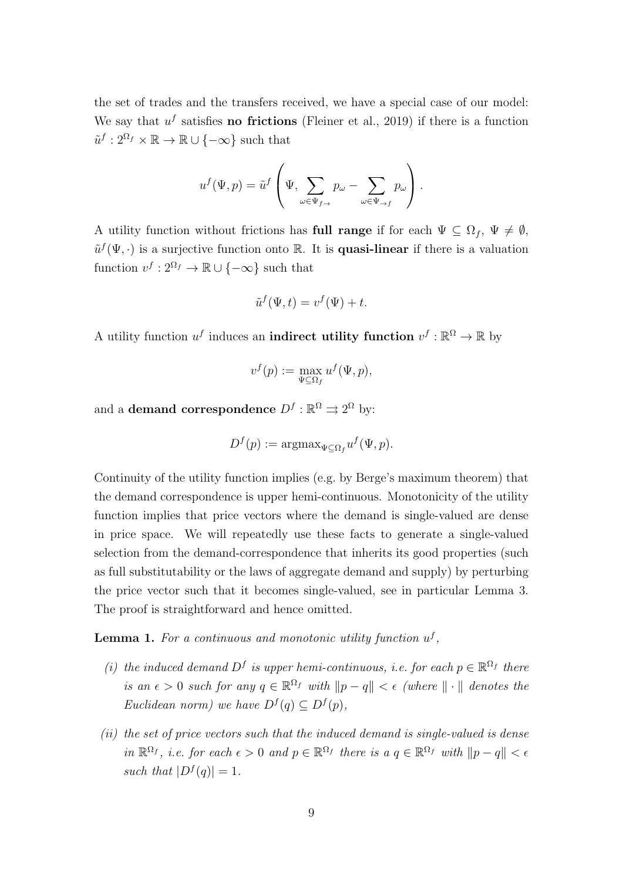the set of trades and the transfers received, we have a special case of our model: We say that  $u^f$  satisfies **no frictions** (Fleiner et al., 2019) if there is a function  $\tilde{u}^f: 2^{\Omega_f} \times \mathbb{R} \to \mathbb{R} \cup \{-\infty\}$  such that

$$
u^f(\Psi, p) = \tilde{u}^f\left(\Psi, \sum_{\omega \in \Psi_{f \to}} p_{\omega} - \sum_{\omega \in \Psi_{\to f}} p_{\omega}\right).
$$

A utility function without frictions has full range if for each  $\Psi \subseteq \Omega_f$ ,  $\Psi \neq \emptyset$ ,  $\tilde{u}^f(\Psi, \cdot)$  is a surjective function onto R. It is **quasi-linear** if there is a valuation function  $v^f: 2^{\Omega_f} \to \mathbb{R} \cup \{-\infty\}$  such that

$$
\tilde{u}^f(\Psi, t) = v^f(\Psi) + t.
$$

A utility function  $u^f$  induces an **indirect utility function**  $v^f : \mathbb{R}^{\Omega} \to \mathbb{R}$  by

$$
v^f(p) := \max_{\Psi \subseteq \Omega_f} u^f(\Psi, p),
$$

and a **demand correspondence**  $D^f : \mathbb{R}^{\Omega} \rightrightarrows 2^{\Omega}$  by:

$$
D^{f}(p) := \operatorname{argmax}_{\Psi \subseteq \Omega_{f}} u^{f}(\Psi, p).
$$

Continuity of the utility function implies (e.g. by Berge's maximum theorem) that the demand correspondence is upper hemi-continuous. Monotonicity of the utility function implies that price vectors where the demand is single-valued are dense in price space. We will repeatedly use these facts to generate a single-valued selection from the demand-correspondence that inherits its good properties (such as full substitutability or the laws of aggregate demand and supply) by perturbing the price vector such that it becomes single-valued, see in particular Lemma 3. The proof is straightforward and hence omitted.

**Lemma 1.** For a continuous and monotonic utility function  $u^f$ ,

- (i) the induced demand  $D^f$  is upper hemi-continuous, i.e. for each  $p \in \mathbb{R}^{\Omega_f}$  there is an  $\epsilon > 0$  such for any  $q \in \mathbb{R}^{\Omega_f}$  with  $||p - q|| < \epsilon$  (where  $|| \cdot ||$  denotes the Euclidean norm) we have  $D^f(q) \subseteq D^f(p)$ ,
- (ii) the set of price vectors such that the induced demand is single-valued is dense in  $\mathbb{R}^{\Omega_f}$ , i.e. for each  $\epsilon > 0$  and  $p \in \mathbb{R}^{\Omega_f}$  there is  $a \ q \in \mathbb{R}^{\Omega_f}$  with  $||p - q|| < \epsilon$ such that  $|D^f(q)| = 1$ .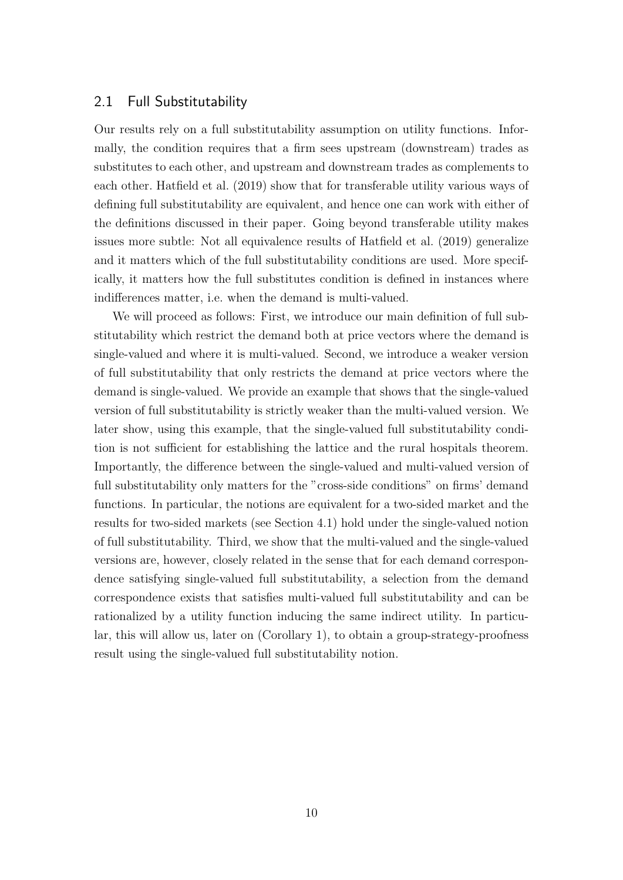## 2.1 Full Substitutability

Our results rely on a full substitutability assumption on utility functions. Informally, the condition requires that a firm sees upstream (downstream) trades as substitutes to each other, and upstream and downstream trades as complements to each other. Hatfield et al. (2019) show that for transferable utility various ways of defining full substitutability are equivalent, and hence one can work with either of the definitions discussed in their paper. Going beyond transferable utility makes issues more subtle: Not all equivalence results of Hatfield et al. (2019) generalize and it matters which of the full substitutability conditions are used. More specifically, it matters how the full substitutes condition is defined in instances where indifferences matter, i.e. when the demand is multi-valued.

We will proceed as follows: First, we introduce our main definition of full substitutability which restrict the demand both at price vectors where the demand is single-valued and where it is multi-valued. Second, we introduce a weaker version of full substitutability that only restricts the demand at price vectors where the demand is single-valued. We provide an example that shows that the single-valued version of full substitutability is strictly weaker than the multi-valued version. We later show, using this example, that the single-valued full substitutability condition is not sufficient for establishing the lattice and the rural hospitals theorem. Importantly, the difference between the single-valued and multi-valued version of full substitutability only matters for the "cross-side conditions" on firms' demand functions. In particular, the notions are equivalent for a two-sided market and the results for two-sided markets (see Section 4.1) hold under the single-valued notion of full substitutability. Third, we show that the multi-valued and the single-valued versions are, however, closely related in the sense that for each demand correspondence satisfying single-valued full substitutability, a selection from the demand correspondence exists that satisfies multi-valued full substitutability and can be rationalized by a utility function inducing the same indirect utility. In particular, this will allow us, later on (Corollary 1), to obtain a group-strategy-proofness result using the single-valued full substitutability notion.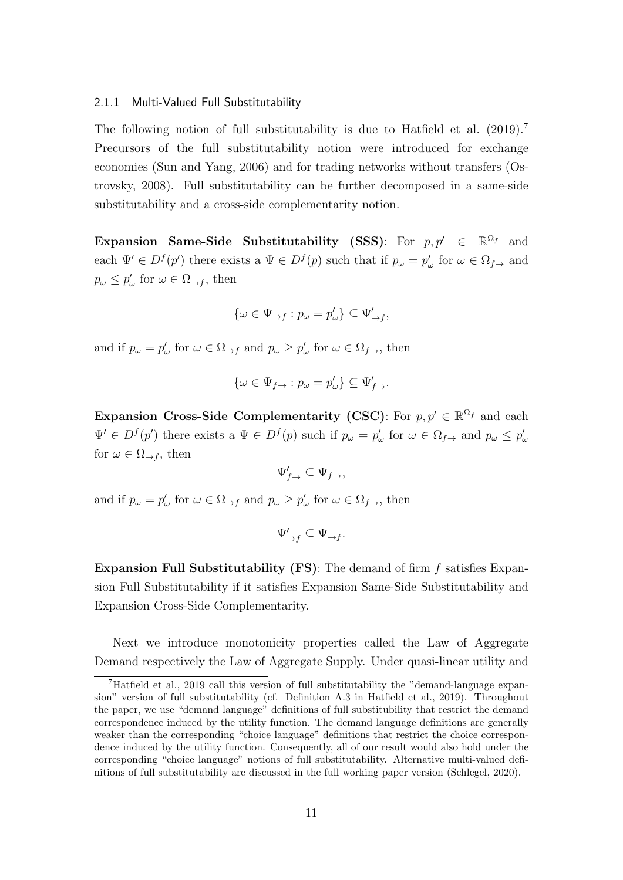#### 2.1.1 Multi-Valued Full Substitutability

The following notion of full substitutability is due to Hatfield et al. (2019).<sup>7</sup> Precursors of the full substitutability notion were introduced for exchange economies (Sun and Yang, 2006) and for trading networks without transfers (Ostrovsky, 2008). Full substitutability can be further decomposed in a same-side substitutability and a cross-side complementarity notion.

Expansion Same-Side Substitutability (SSS): For  $p, p' \in \mathbb{R}^{\Omega_f}$  and each  $\Psi' \in D^f(p')$  there exists a  $\Psi \in D^f(p)$  such that if  $p_\omega = p'_\omega$  for  $\omega \in \Omega_{f \to \omega}$  and  $p_{\omega} \leq p_{\omega}'$  for  $\omega \in \Omega_{\rightarrow f}$ , then

$$
\{\omega\in\Psi_{\rightarrow f}:p_\omega=p'_\omega\}\subseteq\Psi'_{\rightarrow f},
$$

and if  $p_{\omega} = p_{\omega}'$  for  $\omega \in \Omega_{\to f}$  and  $p_{\omega} \ge p_{\omega}'$  for  $\omega \in \Omega_{f \to f}$ , then

$$
\{\omega \in \Psi_{f \to} : p_\omega = p'_\omega\} \subseteq \Psi'_{f \to}.
$$

Expansion Cross-Side Complementarity (CSC): For  $p, p' \in \mathbb{R}^{\Omega_f}$  and each  $\Psi' \in D^f(p')$  there exists a  $\Psi \in D^f(p)$  such if  $p_\omega = p'_\omega$  for  $\omega \in \Omega_{f \to}$  and  $p_\omega \leq p'_\omega$ for  $\omega \in \Omega_{\rightarrow f}$ , then

$$
\Psi'_{f\rightarrow} \subseteq \Psi_{f\rightarrow},
$$

and if  $p_{\omega} = p_{\omega}'$  for  $\omega \in \Omega_{\to f}$  and  $p_{\omega} \ge p_{\omega}'$  for  $\omega \in \Omega_{f \to f}$ , then

$$
\Psi'_{\to f} \subseteq \Psi_{\to f}.
$$

**Expansion Full Substitutability (FS)**: The demand of firm  $f$  satisfies Expansion Full Substitutability if it satisfies Expansion Same-Side Substitutability and Expansion Cross-Side Complementarity.

Next we introduce monotonicity properties called the Law of Aggregate Demand respectively the Law of Aggregate Supply. Under quasi-linear utility and

<sup>7</sup>Hatfield et al., 2019 call this version of full substitutability the "demand-language expansion" version of full substitutability (cf. Definition A.3 in Hatfield et al., 2019). Throughout the paper, we use "demand language" definitions of full substitubility that restrict the demand correspondence induced by the utility function. The demand language definitions are generally weaker than the corresponding "choice language" definitions that restrict the choice correspondence induced by the utility function. Consequently, all of our result would also hold under the corresponding "choice language" notions of full substitutability. Alternative multi-valued definitions of full substitutability are discussed in the full working paper version (Schlegel, 2020).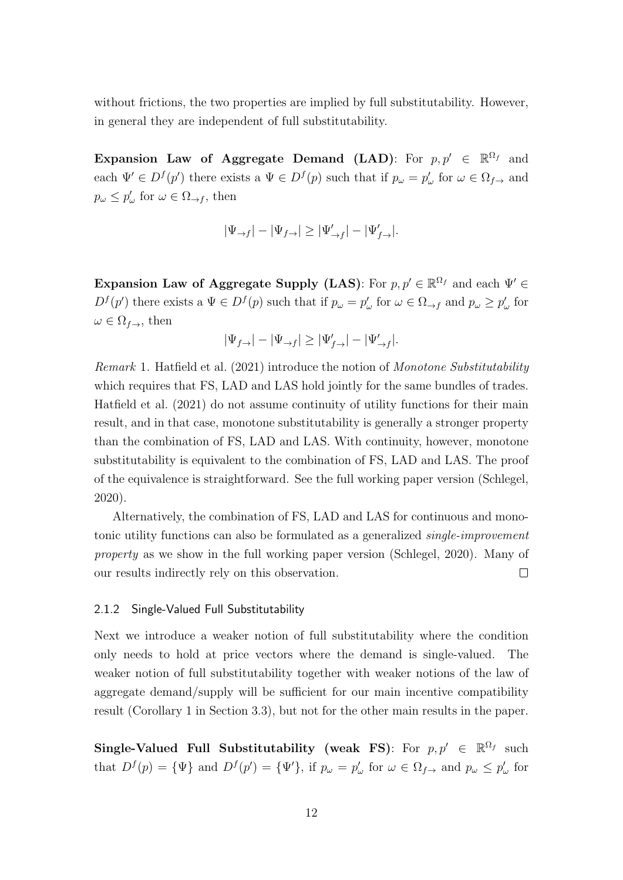without frictions, the two properties are implied by full substitutability. However, in general they are independent of full substitutability.

Expansion Law of Aggregate Demand (LAD): For  $p, p' \in \mathbb{R}^{\Omega_f}$  and each  $\Psi' \in D^f(p')$  there exists a  $\Psi \in D^f(p)$  such that if  $p_\omega = p'_\omega$  for  $\omega \in \Omega_{f\to\omega}$  and  $p_{\omega} \leq p_{\omega}'$  for  $\omega \in \Omega_{\rightarrow f}$ , then

$$
|\Psi_{\rightarrow f}| - |\Psi_{f \rightarrow}| \geq |\Psi_{\rightarrow f}'| - |\Psi_{f \rightarrow}'|.
$$

Expansion Law of Aggregate Supply (LAS): For  $p, p' \in \mathbb{R}^{\Omega_f}$  and each  $\Psi' \in$  $D^{f}(p')$  there exists a  $\Psi \in D^{f}(p)$  such that if  $p_{\omega} = p'_{\omega}$  for  $\omega \in \Omega_{\to f}$  and  $p_{\omega} \geq p'_{\omega}$  for  $\omega \in \Omega_{f \to \tau}$ , then

$$
|\Psi_{f\rightarrow}| - |\Psi_{\rightarrow f}| \geq |\Psi'_{f\rightarrow}| - |\Psi'_{\rightarrow f}|.
$$

Remark 1. Hatfield et al. (2021) introduce the notion of Monotone Substitutability which requires that FS, LAD and LAS hold jointly for the same bundles of trades. Hatfield et al. (2021) do not assume continuity of utility functions for their main result, and in that case, monotone substitutability is generally a stronger property than the combination of FS, LAD and LAS. With continuity, however, monotone substitutability is equivalent to the combination of FS, LAD and LAS. The proof of the equivalence is straightforward. See the full working paper version (Schlegel, 2020).

Alternatively, the combination of FS, LAD and LAS for continuous and monotonic utility functions can also be formulated as a generalized single-improvement property as we show in the full working paper version (Schlegel, 2020). Many of our results indirectly rely on this observation.  $\Box$ 

#### 2.1.2 Single-Valued Full Substitutability

Next we introduce a weaker notion of full substitutability where the condition only needs to hold at price vectors where the demand is single-valued. The weaker notion of full substitutability together with weaker notions of the law of aggregate demand/supply will be sufficient for our main incentive compatibility result (Corollary 1 in Section 3.3), but not for the other main results in the paper.

Single-Valued Full Substitutability (weak FS): For  $p, p' \in \mathbb{R}^{\Omega_f}$  such that  $D^f(p) = {\Psi}$  and  $D^f(p') = {\Psi}'$ , if  $p_\omega = p'_\omega$  for  $\omega \in \Omega_{f \to \omega}$  and  $p_\omega \leq p'_\omega$  for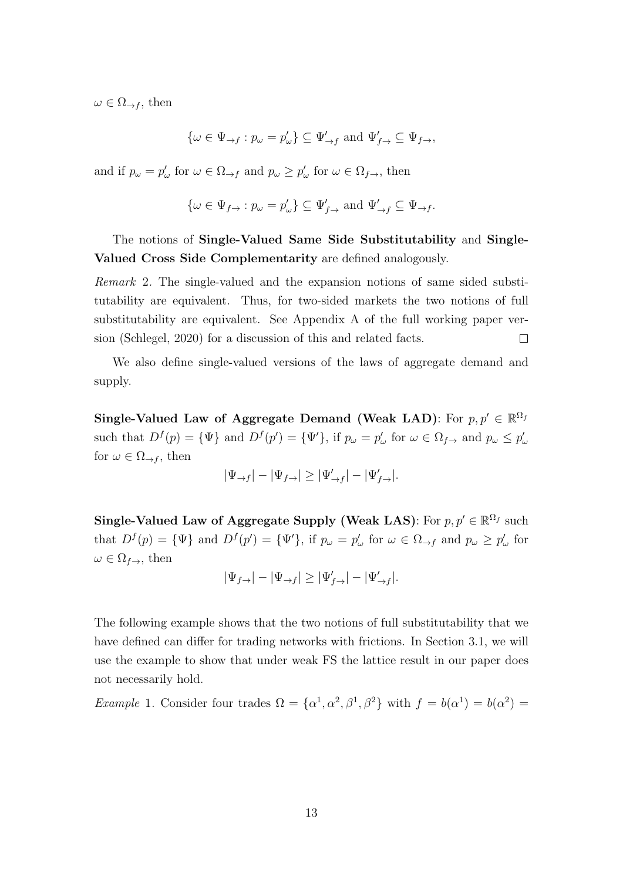$\omega \in \Omega_{\rightarrow f}$ , then

$$
\{\omega \in \Psi_{\rightarrow f} : p_\omega = p'_\omega\} \subseteq \Psi'_{\rightarrow f} \text{ and } \Psi'_{f \rightarrow} \subseteq \Psi_{f \rightarrow},
$$

and if  $p_{\omega} = p_{\omega}'$  for  $\omega \in \Omega_{\to f}$  and  $p_{\omega} \ge p_{\omega}'$  for  $\omega \in \Omega_{f \to f}$ , then

$$
\{\omega \in \Psi_{f \to} : p_{\omega} = p'_{\omega}\} \subseteq \Psi'_{f \to} \text{ and } \Psi'_{\to f} \subseteq \Psi_{\to f}.
$$

The notions of Single-Valued Same Side Substitutability and Single-Valued Cross Side Complementarity are defined analogously.

Remark 2. The single-valued and the expansion notions of same sided substitutability are equivalent. Thus, for two-sided markets the two notions of full substitutability are equivalent. See Appendix A of the full working paper version (Schlegel, 2020) for a discussion of this and related facts.  $\Box$ 

We also define single-valued versions of the laws of aggregate demand and supply.

Single-Valued Law of Aggregate Demand (Weak LAD): For  $p, p' \in \mathbb{R}^{\Omega_f}$ such that  $D^f(p) = {\Psi}$  and  $D^f(p') = {\Psi}'$ , if  $p_\omega = p'_\omega$  for  $\omega \in \Omega_{f \to}$  and  $p_\omega \leq p'_\omega$ for  $\omega \in \Omega_{\rightarrow f}$ , then

$$
|\Psi_{\rightarrow f}| - |\Psi_{f \rightarrow}| \geq |\Psi_{\rightarrow f}'| - |\Psi_{f \rightarrow}'|.
$$

Single-Valued Law of Aggregate Supply (Weak LAS): For  $p, p' \in \mathbb{R}^{\Omega_f}$  such that  $D^f(p) = {\Psi}$  and  $D^f(p') = {\Psi}'$ , if  $p_\omega = p'_\omega$  for  $\omega \in \Omega_{\to f}$  and  $p_\omega \ge p'_\omega$  for  $\omega \in \Omega_{f \to \Omega}$ , then

$$
|\Psi_{f\rightarrow}| - |\Psi_{\rightarrow f}| \ge |\Psi'_{f\rightarrow}| - |\Psi'_{\rightarrow f}|.
$$

The following example shows that the two notions of full substitutability that we have defined can differ for trading networks with frictions. In Section 3.1, we will use the example to show that under weak FS the lattice result in our paper does not necessarily hold.

*Example 1.* Consider four trades  $\Omega = {\alpha^1, \alpha^2, \beta^1, \beta^2}$  with  $f = b(\alpha^1) = b(\alpha^2) =$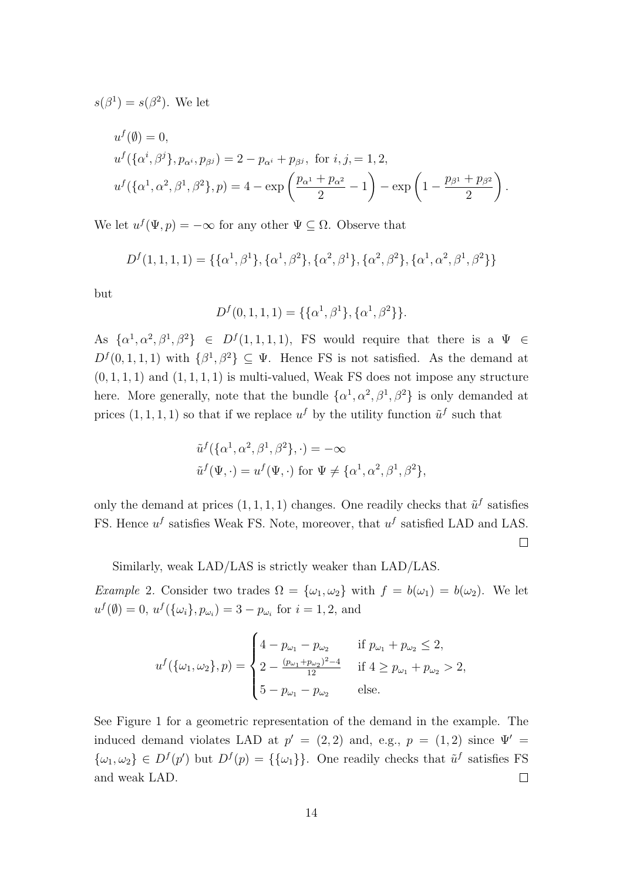$s(\beta^1) = s(\beta^2)$ . We let

$$
u^f(\emptyset) = 0,
$$
  
\n
$$
u^f(\{\alpha^i, \beta^j\}, p_{\alpha^i}, p_{\beta^j}) = 2 - p_{\alpha^i} + p_{\beta^j}, \text{ for } i, j = 1, 2,
$$
  
\n
$$
u^f(\{\alpha^1, \alpha^2, \beta^1, \beta^2\}, p) = 4 - \exp\left(\frac{p_{\alpha^1} + p_{\alpha^2}}{2} - 1\right) - \exp\left(1 - \frac{p_{\beta^1} + p_{\beta^2}}{2}\right).
$$

We let  $u^f(\Psi, p) = -\infty$  for any other  $\Psi \subseteq \Omega$ . Observe that

$$
D^{f}(1,1,1,1) = \{ \{\alpha^{1}, \beta^{1}\}, \{\alpha^{1}, \beta^{2}\}, \{\alpha^{2}, \beta^{1}\}, \{\alpha^{2}, \beta^{2}\}, \{\alpha^{1}, \alpha^{2}, \beta^{1}, \beta^{2}\}\}\
$$

but

$$
D^{f}(0,1,1,1) = \{\{\alpha^1, \beta^1\}, \{\alpha^1, \beta^2\}\}.
$$

As  $\{\alpha^1, \alpha^2, \beta^1, \beta^2\} \in D^f(1,1,1,1)$ , FS would require that there is a  $\Psi \in$  $D^{f}(0,1,1,1)$  with  $\{\beta^{1},\beta^{2}\}\subseteq\Psi$ . Hence FS is not satisfied. As the demand at  $(0, 1, 1, 1)$  and  $(1, 1, 1, 1)$  is multi-valued, Weak FS does not impose any structure here. More generally, note that the bundle  $\{\alpha^1, \alpha^2, \beta^1, \beta^2\}$  is only demanded at prices  $(1, 1, 1, 1)$  so that if we replace  $u^f$  by the utility function  $\tilde{u}^f$  such that

$$
\tilde{u}^f(\{\alpha^1, \alpha^2, \beta^1, \beta^2\}, \cdot) = -\infty
$$
  

$$
\tilde{u}^f(\Psi, \cdot) = u^f(\Psi, \cdot) \text{ for } \Psi \neq \{\alpha^1, \alpha^2, \beta^1, \beta^2\},
$$

only the demand at prices  $(1, 1, 1, 1)$  changes. One readily checks that  $\tilde{u}^f$  satisfies FS. Hence  $u^f$  satisfies Weak FS. Note, moreover, that  $u^f$  satisfied LAD and LAS.

 $\Box$ 

Similarly, weak LAD/LAS is strictly weaker than LAD/LAS.

Example 2. Consider two trades  $\Omega = {\omega_1, \omega_2}$  with  $f = b(\omega_1) = b(\omega_2)$ . We let  $u^f(\emptyset) = 0, u^f(\{\omega_i\}, p_{\omega_i}) = 3 - p_{\omega_i}$  for  $i = 1, 2$ , and

$$
u^f(\{\omega_1, \omega_2\}, p) = \begin{cases} 4 - p_{\omega_1} - p_{\omega_2} & \text{if } p_{\omega_1} + p_{\omega_2} \le 2, \\ 2 - \frac{(p_{\omega_1} + p_{\omega_2})^2 - 4}{12} & \text{if } 4 \ge p_{\omega_1} + p_{\omega_2} > 2, \\ 5 - p_{\omega_1} - p_{\omega_2} & \text{else.} \end{cases}
$$

See Figure 1 for a geometric representation of the demand in the example. The induced demand violates LAD at  $p' = (2, 2)$  and, e.g.,  $p = (1, 2)$  since  $\Psi' =$  $\{\omega_1,\omega_2\} \in D^f(p')$  but  $D^f(p) = \{\{\omega_1\}\}\$ . One readily checks that  $\tilde{u}^f$  satisfies FS and weak LAD.  $\Box$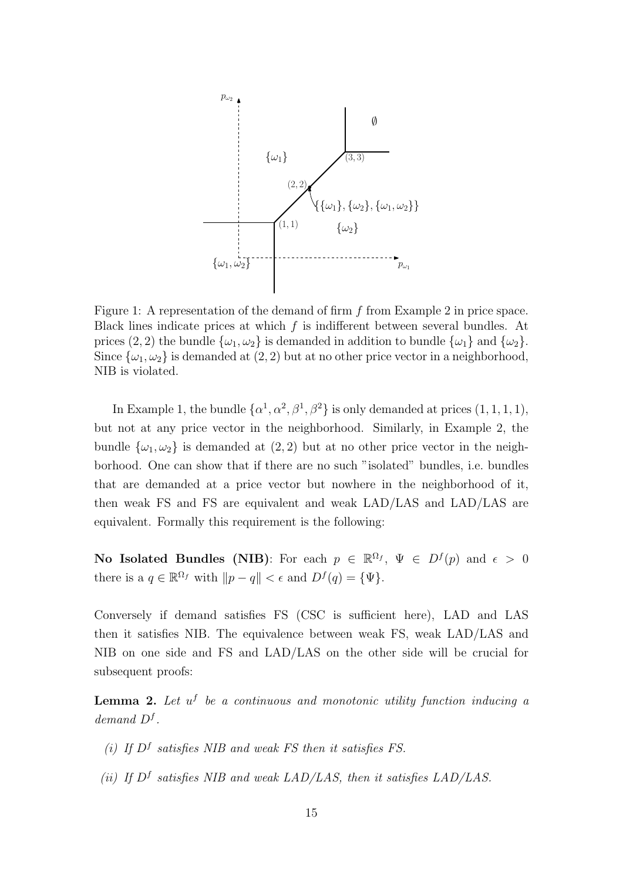

Figure 1: A representation of the demand of firm f from Example 2 in price space. Black lines indicate prices at which  $f$  is indifferent between several bundles. At prices (2, 2) the bundle  $\{\omega_1, \omega_2\}$  is demanded in addition to bundle  $\{\omega_1\}$  and  $\{\omega_2\}$ . Since  $\{\omega_1, \omega_2\}$  is demanded at  $(2, 2)$  but at no other price vector in a neighborhood, NIB is violated.

In Example 1, the bundle  $\{\alpha^1, \alpha^2, \beta^1, \beta^2\}$  is only demanded at prices  $(1, 1, 1, 1)$ , but not at any price vector in the neighborhood. Similarly, in Example 2, the bundle  $\{\omega_1, \omega_2\}$  is demanded at  $(2, 2)$  but at no other price vector in the neighborhood. One can show that if there are no such "isolated" bundles, i.e. bundles that are demanded at a price vector but nowhere in the neighborhood of it, then weak FS and FS are equivalent and weak LAD/LAS and LAD/LAS are equivalent. Formally this requirement is the following:

No Isolated Bundles (NIB): For each  $p \in \mathbb{R}^{\Omega_f}$ ,  $\Psi \in D^f(p)$  and  $\epsilon > 0$ there is a  $q \in \mathbb{R}^{\Omega_f}$  with  $||p - q|| < \epsilon$  and  $D^f(q) = {\Psi}.$ 

Conversely if demand satisfies FS (CSC is sufficient here), LAD and LAS then it satisfies NIB. The equivalence between weak FS, weak LAD/LAS and NIB on one side and FS and LAD/LAS on the other side will be crucial for subsequent proofs:

**Lemma 2.** Let  $u^f$  be a continuous and monotonic utility function inducing a demand  $D^f$ .

- (i) If  $D^f$  satisfies NIB and weak FS then it satisfies FS.
- (ii) If  $D^f$  satisfies NIB and weak LAD/LAS, then it satisfies LAD/LAS.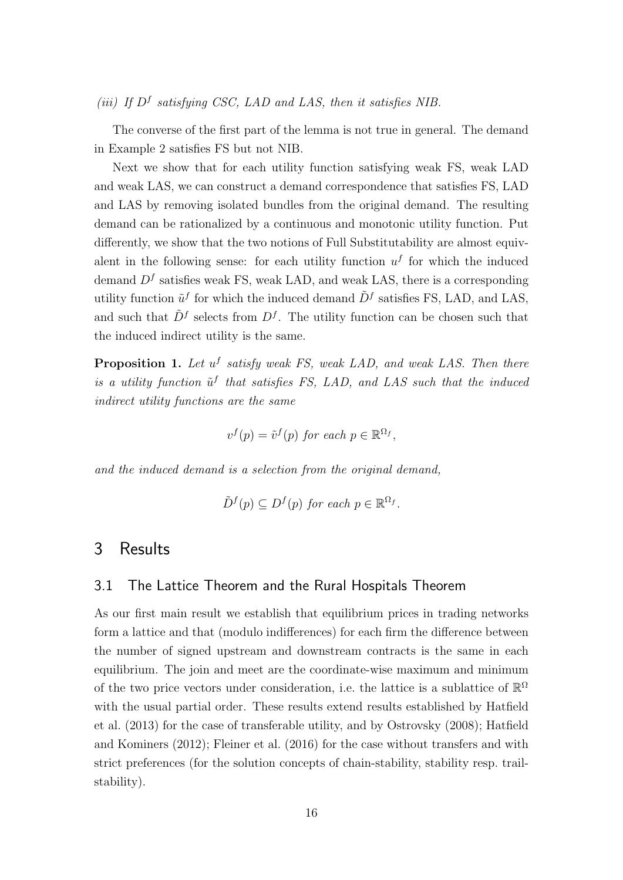## (iii) If  $D^f$  satisfying CSC, LAD and LAS, then it satisfies NIB.

The converse of the first part of the lemma is not true in general. The demand in Example 2 satisfies FS but not NIB.

Next we show that for each utility function satisfying weak FS, weak LAD and weak LAS, we can construct a demand correspondence that satisfies FS, LAD and LAS by removing isolated bundles from the original demand. The resulting demand can be rationalized by a continuous and monotonic utility function. Put differently, we show that the two notions of Full Substitutability are almost equivalent in the following sense: for each utility function  $u^f$  for which the induced demand  $D<sup>f</sup>$  satisfies weak FS, weak LAD, and weak LAS, there is a corresponding utility function  $\tilde{u}^f$  for which the induced demand  $\tilde{D}^f$  satisfies FS, LAD, and LAS, and such that  $\tilde{D}^{f}$  selects from  $D^{f}$ . The utility function can be chosen such that the induced indirect utility is the same.

**Proposition 1.** Let  $u^f$  satisfy weak FS, weak LAD, and weak LAS. Then there is a utility function  $\tilde{u}^f$  that satisfies FS, LAD, and LAS such that the induced indirect utility functions are the same

$$
v^f(p) = \tilde{v}^f(p) \text{ for each } p \in \mathbb{R}^{\Omega_f},
$$

and the induced demand is a selection from the original demand,

$$
\tilde{D}^f(p) \subseteq D^f(p) \text{ for each } p \in \mathbb{R}^{\Omega_f}.
$$

# 3 Results

#### 3.1 The Lattice Theorem and the Rural Hospitals Theorem

As our first main result we establish that equilibrium prices in trading networks form a lattice and that (modulo indifferences) for each firm the difference between the number of signed upstream and downstream contracts is the same in each equilibrium. The join and meet are the coordinate-wise maximum and minimum of the two price vectors under consideration, i.e. the lattice is a sublattice of  $\mathbb{R}^{\Omega}$ with the usual partial order. These results extend results established by Hatfield et al. (2013) for the case of transferable utility, and by Ostrovsky (2008); Hatfield and Kominers (2012); Fleiner et al. (2016) for the case without transfers and with strict preferences (for the solution concepts of chain-stability, stability resp. trailstability).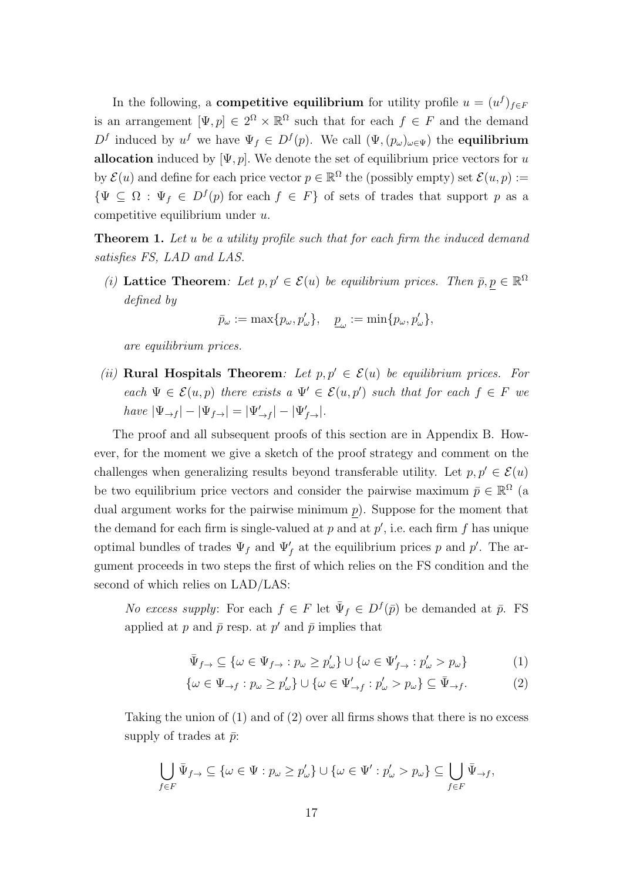In the following, a **competitive equilibrium** for utility profile  $u = (u^f)_{f \in F}$ is an arrangement  $[\Psi, p] \in 2^{\Omega} \times \mathbb{R}^{\Omega}$  such that for each  $f \in F$  and the demand D<sup>f</sup> induced by  $u^f$  we have  $\Psi_f \in D^f(p)$ . We call  $(\Psi, (p_\omega)_{\omega \in \Psi})$  the **equilibrium** allocation induced by  $[\Psi, p]$ . We denote the set of equilibrium price vectors for u by  $\mathcal{E}(u)$  and define for each price vector  $p \in \mathbb{R}^{\Omega}$  the (possibly empty) set  $\mathcal{E}(u, p) :=$  $\{\Psi \subseteq \Omega : \Psi_f \in D^f(p) \text{ for each } f \in F\}$  of sets of trades that support p as a competitive equilibrium under u.

**Theorem 1.** Let u be a utility profile such that for each firm the induced demand satisfies FS, LAD and LAS.

(i) Lattice Theorem: Let  $p, p' \in \mathcal{E}(u)$  be equilibrium prices. Then  $\bar{p}, p \in \mathbb{R}^{\Omega}$ defined by

$$
\bar{p}_{\omega} := \max\{p_{\omega}, p'_{\omega}\}, \quad \underline{p}_{\omega} := \min\{p_{\omega}, p'_{\omega}\},
$$

are equilibrium prices.

(ii) Rural Hospitals Theorem: Let  $p, p' \in \mathcal{E}(u)$  be equilibrium prices. For each  $\Psi \in \mathcal{E}(u,p)$  there exists a  $\Psi' \in \mathcal{E}(u,p')$  such that for each  $f \in F$  we  $have |\Psi_{\to f}| - |\Psi_{f\to}| = |\Psi_{\to f}'| - |\Psi_{f\to}'|.$ 

The proof and all subsequent proofs of this section are in Appendix B. However, for the moment we give a sketch of the proof strategy and comment on the challenges when generalizing results beyond transferable utility. Let  $p, p' \in \mathcal{E}(u)$ be two equilibrium price vectors and consider the pairwise maximum  $\bar{p} \in \mathbb{R}^{\Omega}$  (a dual argument works for the pairwise minimum  $p$ ). Suppose for the moment that the demand for each firm is single-valued at  $p$  and at  $p'$ , i.e. each firm  $f$  has unique optimal bundles of trades  $\Psi_f$  and  $\Psi'_f$  at the equilibrium prices p and p'. The argument proceeds in two steps the first of which relies on the FS condition and the second of which relies on LAD/LAS:

*No excess supply*: For each  $f \in F$  let  $\bar{\Psi}_f \in D^f(\bar{p})$  be demanded at  $\bar{p}$ . FS applied at p and  $\bar{p}$  resp. at p' and  $\bar{p}$  implies that

$$
\bar{\Psi}_{f\rightarrow} \subseteq \{\omega \in \Psi_{f\rightarrow} : p_{\omega} \ge p_{\omega}'\} \cup \{\omega \in \Psi'_{f\rightarrow} : p_{\omega}' > p_{\omega}\}\tag{1}
$$

$$
\{\omega \in \Psi_{\to f} : p_{\omega} \ge p_{\omega}'\} \cup \{\omega \in \Psi_{\to f}' : p_{\omega}' > p_{\omega}\} \subseteq \bar{\Psi}_{\to f}.
$$
 (2)

Taking the union of  $(1)$  and of  $(2)$  over all firms shows that there is no excess supply of trades at  $\bar{p}$ :

$$
\bigcup_{f \in F} \bar{\Psi}_{f \to} \subseteq \{ \omega \in \Psi : p_{\omega} \ge p_{\omega}' \} \cup \{ \omega \in \Psi' : p_{\omega}' > p_{\omega} \} \subseteq \bigcup_{f \in F} \bar{\Psi}_{\to f},
$$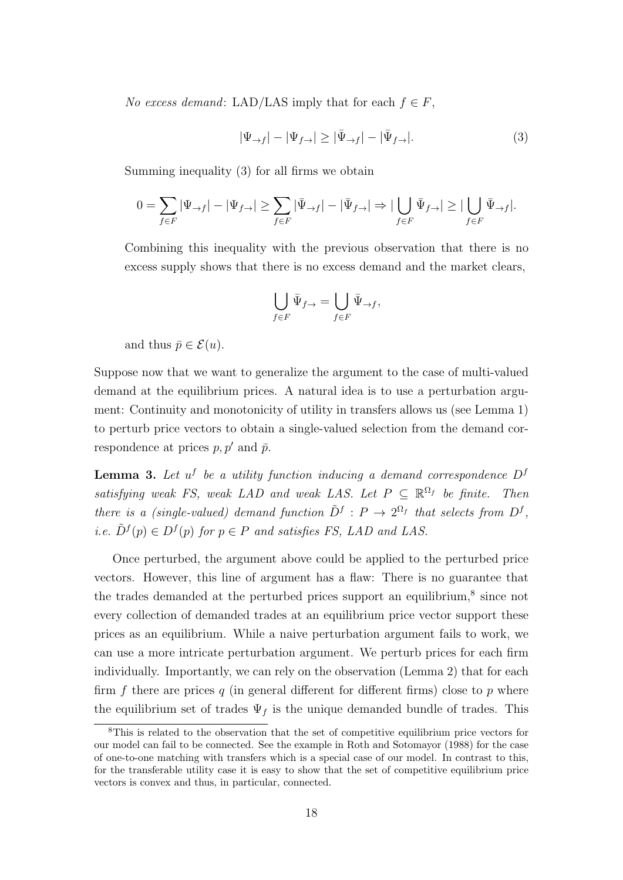No excess demand: LAD/LAS imply that for each  $f \in F$ ,

$$
|\Psi_{\to f}| - |\Psi_{f \to}| \ge |\bar{\Psi}_{\to f}| - |\bar{\Psi}_{f \to}|. \tag{3}
$$

Summing inequality (3) for all firms we obtain

$$
0=\sum_{f\in F}|\Psi_{\rightarrow f}|-|\Psi_{f\rightarrow}| \geq \sum_{f\in F}|\bar{\Psi}_{\rightarrow f}|-|\bar{\Psi}_{f\rightarrow}| \Rightarrow |\bigcup_{f\in F}\bar{\Psi}_{f\rightarrow}| \geq |\bigcup_{f\in F}\bar{\Psi}_{\rightarrow f}|.
$$

Combining this inequality with the previous observation that there is no excess supply shows that there is no excess demand and the market clears,

$$
\bigcup_{f \in F} \bar{\Psi}_{f \to} = \bigcup_{f \in F} \bar{\Psi}_{\to f},
$$

and thus  $\bar{p} \in \mathcal{E}(u)$ .

Suppose now that we want to generalize the argument to the case of multi-valued demand at the equilibrium prices. A natural idea is to use a perturbation argument: Continuity and monotonicity of utility in transfers allows us (see Lemma 1) to perturb price vectors to obtain a single-valued selection from the demand correspondence at prices  $p, p'$  and  $\bar{p}$ .

**Lemma 3.** Let  $u^f$  be a utility function inducing a demand correspondence  $D^f$ satisfying weak FS, weak LAD and weak LAS. Let  $P \subseteq \mathbb{R}^{\Omega_f}$  be finite. Then there is a (single-valued) demand function  $\tilde{D}^f : P \to 2^{\Omega_f}$  that selects from  $D^f$ , *i.e.*  $\tilde{D}^f(p) \in D^f(p)$  for  $p \in P$  and satisfies FS, LAD and LAS.

Once perturbed, the argument above could be applied to the perturbed price vectors. However, this line of argument has a flaw: There is no guarantee that the trades demanded at the perturbed prices support an equilibrium,<sup>8</sup> since not every collection of demanded trades at an equilibrium price vector support these prices as an equilibrium. While a naive perturbation argument fails to work, we can use a more intricate perturbation argument. We perturb prices for each firm individually. Importantly, we can rely on the observation (Lemma 2) that for each firm f there are prices q (in general different for different firms) close to  $p$  where the equilibrium set of trades  $\Psi_f$  is the unique demanded bundle of trades. This

<sup>8</sup>This is related to the observation that the set of competitive equilibrium price vectors for our model can fail to be connected. See the example in Roth and Sotomayor (1988) for the case of one-to-one matching with transfers which is a special case of our model. In contrast to this, for the transferable utility case it is easy to show that the set of competitive equilibrium price vectors is convex and thus, in particular, connected.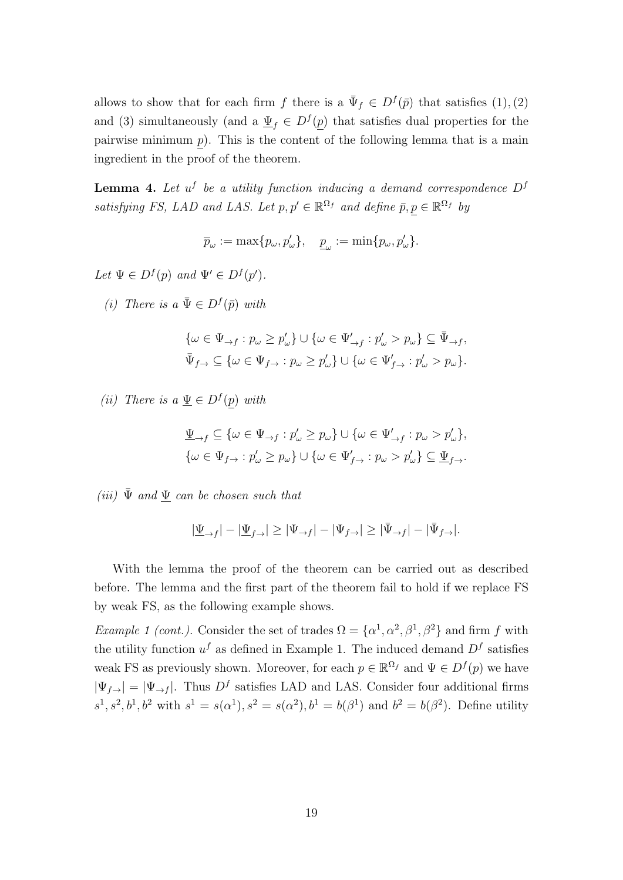allows to show that for each firm f there is a  $\bar{\Psi}_f \in D^f(\bar{p})$  that satisfies  $(1), (2)$ and (3) simultaneously (and a  $\underline{\Psi}_f \in D^f(\underline{p})$  that satisfies dual properties for the pairwise minimum  $p$ ). This is the content of the following lemma that is a main ingredient in the proof of the theorem.

**Lemma 4.** Let  $u^f$  be a utility function inducing a demand correspondence  $D^f$ satisfying FS, LAD and LAS. Let  $p, p' \in \mathbb{R}^{\Omega_f}$  and define  $\bar{p}, p \in \mathbb{R}^{\Omega_f}$  by

 $\overline{p}_{\omega} := \max\{p_{\omega}, p_{\omega}'\}, \quad \underline{p}_{\omega} := \min\{p_{\omega}, p_{\omega}'\}.$ 

Let  $\Psi \in D^f(p)$  and  $\Psi' \in D^f(p')$ .

(i) There is a  $\bar{\Psi} \in D^f(\bar{p})$  with

$$
\label{eq:1.1} \begin{split} &\{\omega\in\Psi_{\rightarrow f}:p_{\omega}\geq p'_{\omega}\}\cup\{\omega\in\Psi'_{\rightarrow f}:p'_{\omega}>p_{\omega}\}\subseteq\bar{\Psi}_{\rightarrow f},\\ &\bar{\Psi}_{f\rightarrow}\subseteq\{\omega\in\Psi_{f\rightarrow}:p_{\omega}\geq p'_{\omega}\}\cup\{\omega\in\Psi'_{f\rightarrow}:p'_{\omega}>p_{\omega}\}. \end{split}
$$

(*ii*) There is a  $\underline{\Psi} \in D^f(p)$  with

$$
\label{eq:psi} \begin{split} &\underline{\Psi}_{\rightarrow f} \subseteq \{\omega \in \Psi_{\rightarrow f} : p'_\omega \geq p_\omega\} \cup \{\omega \in \Psi'_{\rightarrow f} : p_\omega > p'_\omega\},\\ &\{\omega \in \Psi_{f \rightarrow} : p'_\omega \geq p_\omega\} \cup \{\omega \in \Psi'_{f \rightarrow} : p_\omega > p'_\omega\} \subseteq \underline{\Psi}_{f \rightarrow}. \end{split}
$$

(iii)  $\bar{\Psi}$  and  $\Psi$  can be chosen such that

$$
|\underline{\Psi}_{\rightarrow f}| - |\underline{\Psi}_{f \rightarrow}| \geq |\Psi_{\rightarrow f}| - |\Psi_{f \rightarrow}| \geq |\bar{\Psi}_{\rightarrow f}| - |\bar{\Psi}_{f \rightarrow}|.
$$

With the lemma the proof of the theorem can be carried out as described before. The lemma and the first part of the theorem fail to hold if we replace FS by weak FS, as the following example shows.

*Example 1 (cont.).* Consider the set of trades  $\Omega = {\alpha^1, \alpha^2, \beta^1, \beta^2}$  and firm f with the utility function  $u^f$  as defined in Example 1. The induced demand  $D^f$  satisfies weak FS as previously shown. Moreover, for each  $p \in \mathbb{R}^{\Omega_f}$  and  $\Psi \in D^f(p)$  we have  $|\Psi_{f\rightarrow}| = |\Psi_{\rightarrow f}|$ . Thus  $D^f$  satisfies LAD and LAS. Consider four additional firms  $s^1, s^2, b^1, b^2$  with  $s^1 = s(\alpha^1), s^2 = s(\alpha^2), b^1 = b(\beta^1)$  and  $b^2 = b(\beta^2)$ . Define utility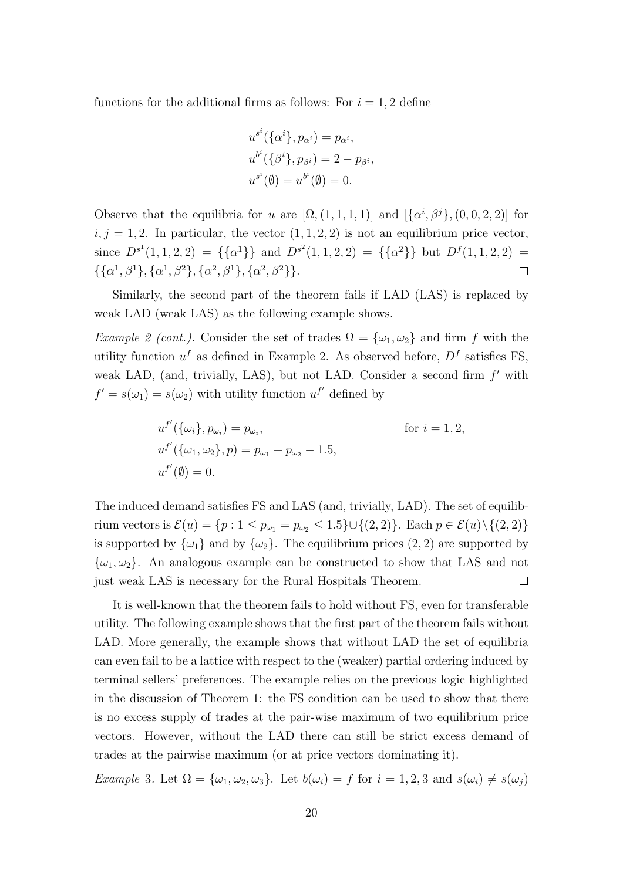functions for the additional firms as follows: For  $i = 1, 2$  define

$$
u^{s^{i}}(\{\alpha^{i}\}, p_{\alpha^{i}}) = p_{\alpha^{i}},
$$
  
\n
$$
u^{b^{i}}(\{\beta^{i}\}, p_{\beta^{i}}) = 2 - p_{\beta^{i}},
$$
  
\n
$$
u^{s^{i}}(\emptyset) = u^{b^{i}}(\emptyset) = 0.
$$

Observe that the equilibria for u are  $[\Omega, (1,1,1,1)]$  and  $[\{\alpha^i, \beta^j\}, (0,0,2,2)]$  for  $i, j = 1, 2$ . In particular, the vector  $(1, 1, 2, 2)$  is not an equilibrium price vector, since  $D^{s^1}(1,1,2,2) = {\{\alpha^1\}}$  and  $D^{s^2}(1,1,2,2) = {\{\alpha^2\}}$  but  $D^f(1,1,2,2) =$  $\{\{\alpha^1, \beta^1\}, \{\alpha^1, \beta^2\}, \{\alpha^2, \beta^1\}, \{\alpha^2, \beta^2\}\}.$  $\Box$ 

Similarly, the second part of the theorem fails if LAD (LAS) is replaced by weak LAD (weak LAS) as the following example shows.

Example 2 (cont.). Consider the set of trades  $\Omega = {\omega_1, \omega_2}$  and firm f with the utility function  $u^f$  as defined in Example 2. As observed before,  $D^f$  satisfies FS, weak LAD, (and, trivially, LAS), but not LAD. Consider a second firm  $f'$  with  $f' = s(\omega_1) = s(\omega_2)$  with utility function  $u^{f'}$  defined by

$$
u^{f'}(\{\omega_i\}, p_{\omega_i}) = p_{\omega_i},
$$
 for  $i = 1, 2,$   
\n
$$
u^{f'}(\{\omega_1, \omega_2\}, p) = p_{\omega_1} + p_{\omega_2} - 1.5,
$$
  
\n
$$
u^{f'}(\emptyset) = 0.
$$

The induced demand satisfies FS and LAS (and, trivially, LAD). The set of equilibrium vectors is  $\mathcal{E}(u) = \{p : 1 \le p_{\omega_1} = p_{\omega_2} \le 1.5\} \cup \{(2, 2)\}\.$  Each  $p \in \mathcal{E}(u) \setminus \{(2, 2)\}\.$ is supported by  $\{\omega_1\}$  and by  $\{\omega_2\}$ . The equilibrium prices  $(2, 2)$  are supported by  $\{\omega_1, \omega_2\}$ . An analogous example can be constructed to show that LAS and not just weak LAS is necessary for the Rural Hospitals Theorem.  $\Box$ 

It is well-known that the theorem fails to hold without FS, even for transferable utility. The following example shows that the first part of the theorem fails without LAD. More generally, the example shows that without LAD the set of equilibria can even fail to be a lattice with respect to the (weaker) partial ordering induced by terminal sellers' preferences. The example relies on the previous logic highlighted in the discussion of Theorem 1: the FS condition can be used to show that there is no excess supply of trades at the pair-wise maximum of two equilibrium price vectors. However, without the LAD there can still be strict excess demand of trades at the pairwise maximum (or at price vectors dominating it).

Example 3. Let  $\Omega = {\omega_1, \omega_2, \omega_3}$ . Let  $b(\omega_i) = f$  for  $i = 1, 2, 3$  and  $s(\omega_i) \neq s(\omega_j)$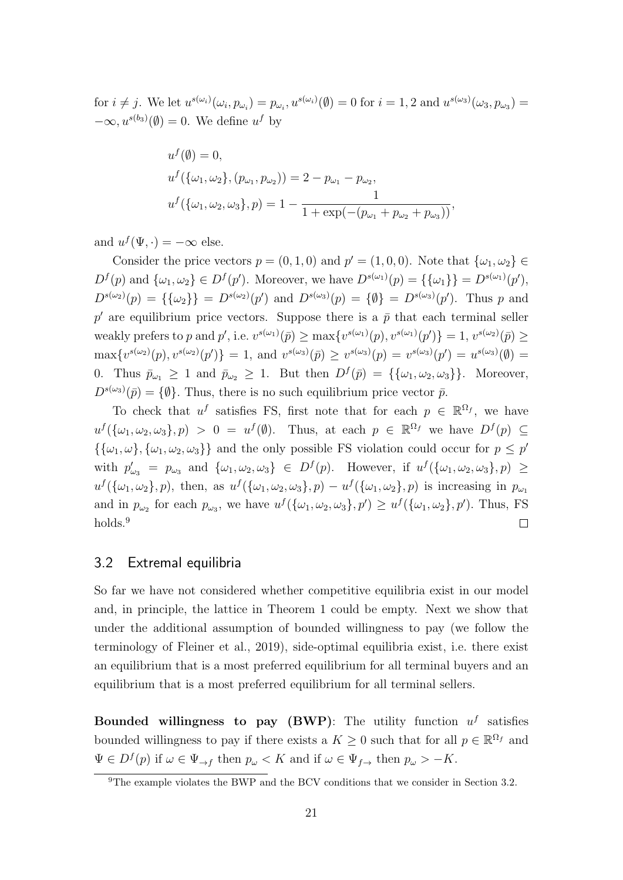for  $i \neq j$ . We let  $u^{s(\omega_i)}(\omega_i, p_{\omega_i}) = p_{\omega_i}, u^{s(\omega_i)}(\emptyset) = 0$  for  $i = 1, 2$  and  $u^{s(\omega_3)}(\omega_3, p_{\omega_3}) =$  $-\infty, u^{s(b_3)}(\emptyset) = 0.$  We define  $u^f$  by

$$
u^f(\emptyset) = 0,
$$
  
\n
$$
u^f(\{\omega_1, \omega_2\}, (p_{\omega_1}, p_{\omega_2})) = 2 - p_{\omega_1} - p_{\omega_2},
$$
  
\n
$$
u^f(\{\omega_1, \omega_2, \omega_3\}, p) = 1 - \frac{1}{1 + \exp(-(p_{\omega_1} + p_{\omega_2} + p_{\omega_3}))},
$$

and  $u^f(\Psi, \cdot) = -\infty$  else.

Consider the price vectors  $p = (0, 1, 0)$  and  $p' = (1, 0, 0)$ . Note that  $\{\omega_1, \omega_2\} \in$  $D^{f}(p)$  and  $\{\omega_1, \omega_2\} \in D^{f}(p')$ . Moreover, we have  $D^{s(\omega_1)}(p) = \{\{\omega_1\}\} = D^{s(\omega_1)}(p')$ ,  $D^{s(\omega_2)}(p) = {\{\{\omega_2\}\}} = D^{s(\omega_2)}(p')$  and  $D^{s(\omega_3)}(p) = {\emptyset} = D^{s(\omega_3)}(p')$ . Thus p and  $p'$  are equilibrium price vectors. Suppose there is a  $\bar{p}$  that each terminal seller weakly prefers to p and p', i.e.  $v^{s(\omega_1)}(\bar{p}) \ge \max\{v^{s(\omega_1)}(p), v^{s(\omega_1)}(p')\} = 1, v^{s(\omega_2)}(\bar{p}) \ge$  $\max\{v^{s(\omega_2)}(p), v^{s(\omega_2)}(p')\} = 1$ , and  $v^{s(\omega_3)}(\bar{p}) \ge v^{s(\omega_3)}(p) = v^{s(\omega_3)}(p') = u^{s(\omega_3)}(\emptyset) =$ 0. Thus  $\bar{p}_{\omega_1} \geq 1$  and  $\bar{p}_{\omega_2} \geq 1$ . But then  $D^f(\bar{p}) = {\{\{\omega_1,\omega_2,\omega_3\}\}}$ . Moreover,  $D^{s(\omega_3)}(\bar{p}) = \{\emptyset\}.$  Thus, there is no such equilibrium price vector  $\bar{p}$ .

To check that  $u^f$  satisfies FS, first note that for each  $p \in \mathbb{R}^{\Omega_f}$ , we have  $u^f(\{\omega_1,\omega_2,\omega_3\},p) > 0 = u^f(\emptyset)$ . Thus, at each  $p \in \mathbb{R}^{\Omega_f}$  we have  $D^f(p) \subseteq$  $\{\{\omega_1,\omega\},\{\omega_1,\omega_2,\omega_3\}\}\$ and the only possible FS violation could occur for  $p \leq p'$ with  $p'_{\omega_3} = p_{\omega_3}$  and  $\{\omega_1, \omega_2, \omega_3\} \in D^f(p)$ . However, if  $u^f(\{\omega_1, \omega_2, \omega_3\}, p) \ge$  $u^f(\{\omega_1,\omega_2\},p)$ , then, as  $u^f(\{\omega_1,\omega_2,\omega_3\},p) - u^f(\{\omega_1,\omega_2\},p)$  is increasing in  $p_{\omega_1}$ and in  $p_{\omega_2}$  for each  $p_{\omega_3}$ , we have  $u^f(\{\omega_1,\omega_2,\omega_3\},p') \geq u^f(\{\omega_1,\omega_2\},p')$ . Thus, FS holds.<sup>9</sup>  $\Box$ 

## 3.2 Extremal equilibria

So far we have not considered whether competitive equilibria exist in our model and, in principle, the lattice in Theorem 1 could be empty. Next we show that under the additional assumption of bounded willingness to pay (we follow the terminology of Fleiner et al., 2019), side-optimal equilibria exist, i.e. there exist an equilibrium that is a most preferred equilibrium for all terminal buyers and an equilibrium that is a most preferred equilibrium for all terminal sellers.

Bounded willingness to pay (BWP): The utility function  $u^f$  satisfies bounded willingness to pay if there exists a  $K \geq 0$  such that for all  $p \in \mathbb{R}^{\Omega_f}$  and  $\Psi \in D^f(p)$  if  $\omega \in \Psi_{\to f}$  then  $p_{\omega} < K$  and if  $\omega \in \Psi_{f \to f}$  then  $p_{\omega} > -K$ .

<sup>&</sup>lt;sup>9</sup>The example violates the BWP and the BCV conditions that we consider in Section 3.2.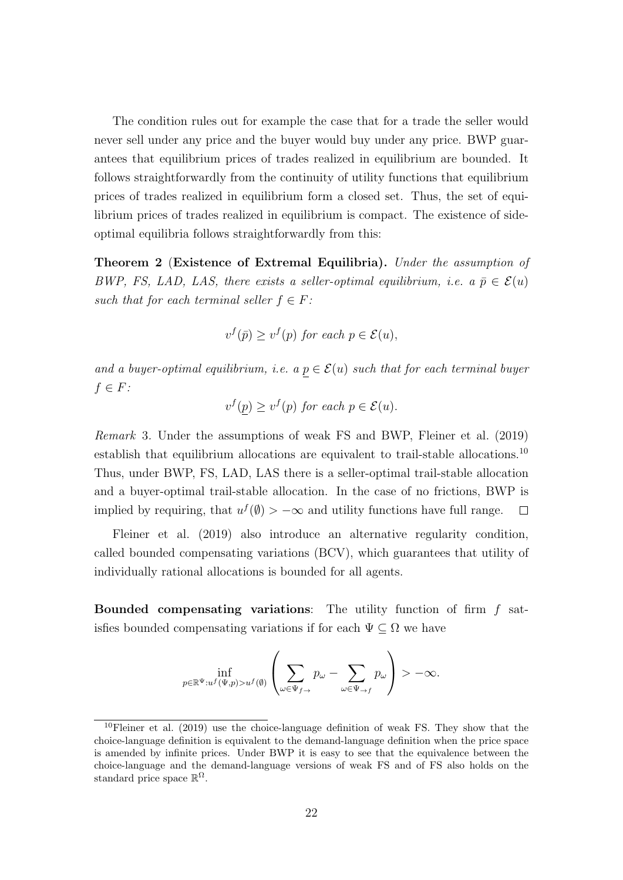The condition rules out for example the case that for a trade the seller would never sell under any price and the buyer would buy under any price. BWP guarantees that equilibrium prices of trades realized in equilibrium are bounded. It follows straightforwardly from the continuity of utility functions that equilibrium prices of trades realized in equilibrium form a closed set. Thus, the set of equilibrium prices of trades realized in equilibrium is compact. The existence of sideoptimal equilibria follows straightforwardly from this:

Theorem 2 (Existence of Extremal Equilibria). Under the assumption of BWP, FS, LAD, LAS, there exists a seller-optimal equilibrium, i.e. a  $\bar{p} \in \mathcal{E}(u)$ such that for each terminal seller  $f \in F$ :

$$
v^f(\bar{p}) \ge v^f(p) \text{ for each } p \in \mathcal{E}(u),
$$

and a buyer-optimal equilibrium, i.e. a  $p \in \mathcal{E}(u)$  such that for each terminal buyer  $f \in F$ :

$$
v^f(p) \ge v^f(p) \text{ for each } p \in \mathcal{E}(u).
$$

Remark 3. Under the assumptions of weak FS and BWP, Fleiner et al. (2019) establish that equilibrium allocations are equivalent to trail-stable allocations.<sup>10</sup> Thus, under BWP, FS, LAD, LAS there is a seller-optimal trail-stable allocation and a buyer-optimal trail-stable allocation. In the case of no frictions, BWP is implied by requiring, that  $u^f(\emptyset) > -\infty$  and utility functions have full range.  $\Box$ 

Fleiner et al. (2019) also introduce an alternative regularity condition, called bounded compensating variations (BCV), which guarantees that utility of individually rational allocations is bounded for all agents.

**Bounded compensating variations:** The utility function of firm  $f$  satisfies bounded compensating variations if for each  $\Psi \subseteq \Omega$  we have

$$
\inf_{p \in \mathbb{R}^{\Psi}: u^f(\Psi, p) > u^f(\emptyset)} \left( \sum_{\omega \in \Psi_{f \to}} p_{\omega} - \sum_{\omega \in \Psi_{\to f}} p_{\omega} \right) > -\infty.
$$

 $10$ Fleiner et al. (2019) use the choice-language definition of weak FS. They show that the choice-language definition is equivalent to the demand-language definition when the price space is amended by infinite prices. Under BWP it is easy to see that the equivalence between the choice-language and the demand-language versions of weak FS and of FS also holds on the standard price space  $\mathbb{R}^{\Omega}$ .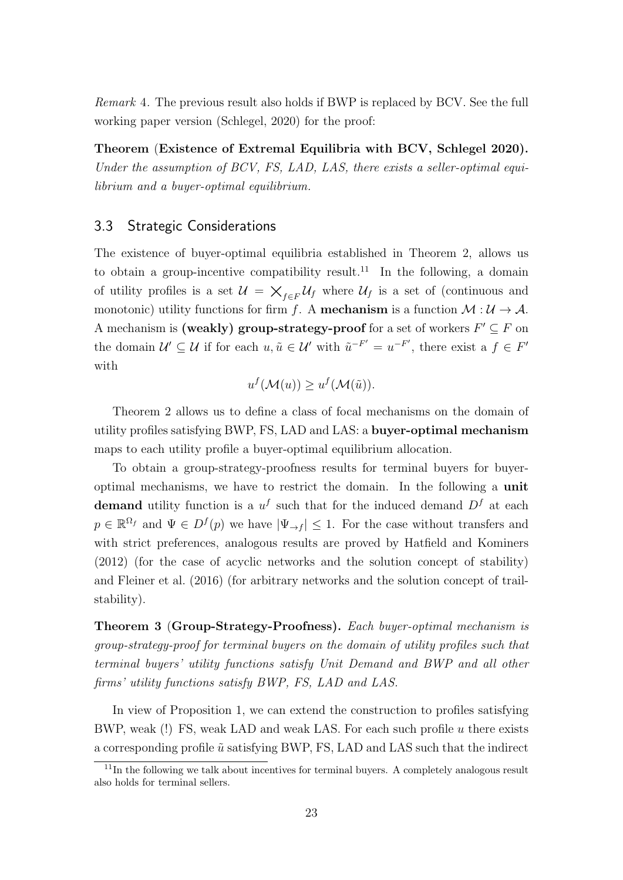Remark 4. The previous result also holds if BWP is replaced by BCV. See the full working paper version (Schlegel, 2020) for the proof:

Theorem (Existence of Extremal Equilibria with BCV, Schlegel 2020). Under the assumption of BCV, FS, LAD, LAS, there exists a seller-optimal equilibrium and a buyer-optimal equilibrium.

# 3.3 Strategic Considerations

The existence of buyer-optimal equilibria established in Theorem 2, allows us to obtain a group-incentive compatibility result.<sup>11</sup> In the following, a domain of utility profiles is a set  $\mathcal{U} = \bigtimes_{f \in F} \mathcal{U}_f$  where  $\mathcal{U}_f$  is a set of (continuous and monotonic) utility functions for firm f. A **mechanism** is a function  $\mathcal{M} : \mathcal{U} \to \mathcal{A}$ . A mechanism is (weakly) group-strategy-proof for a set of workers  $F' \subseteq F$  on the domain  $\mathcal{U}' \subseteq \mathcal{U}$  if for each  $u, \tilde{u} \in \mathcal{U}'$  with  $\tilde{u}^{-F'} = u^{-F'}$ , there exist a  $f \in F'$ with

$$
u^f(\mathcal{M}(u)) \ge u^f(\mathcal{M}(\tilde{u})).
$$

Theorem 2 allows us to define a class of focal mechanisms on the domain of utility profiles satisfying BWP, FS, LAD and LAS: a buyer-optimal mechanism maps to each utility profile a buyer-optimal equilibrium allocation.

To obtain a group-strategy-proofness results for terminal buyers for buyeroptimal mechanisms, we have to restrict the domain. In the following a unit demand utility function is a  $u^f$  such that for the induced demand  $D^f$  at each  $p \in \mathbb{R}^{\Omega_f}$  and  $\Psi \in D^f(p)$  we have  $|\Psi_{\to f}| \leq 1$ . For the case without transfers and with strict preferences, analogous results are proved by Hatfield and Kominers (2012) (for the case of acyclic networks and the solution concept of stability) and Fleiner et al. (2016) (for arbitrary networks and the solution concept of trailstability).

Theorem 3 (Group-Strategy-Proofness). Each buyer-optimal mechanism is group-strategy-proof for terminal buyers on the domain of utility profiles such that terminal buyers' utility functions satisfy Unit Demand and BWP and all other firms' utility functions satisfy BWP, FS, LAD and LAS.

In view of Proposition 1, we can extend the construction to profiles satisfying BWP, weak (!) FS, weak LAD and weak LAS. For each such profile u there exists a corresponding profile  $\tilde{u}$  satisfying BWP, FS, LAD and LAS such that the indirect

 $11$ In the following we talk about incentives for terminal buyers. A completely analogous result also holds for terminal sellers.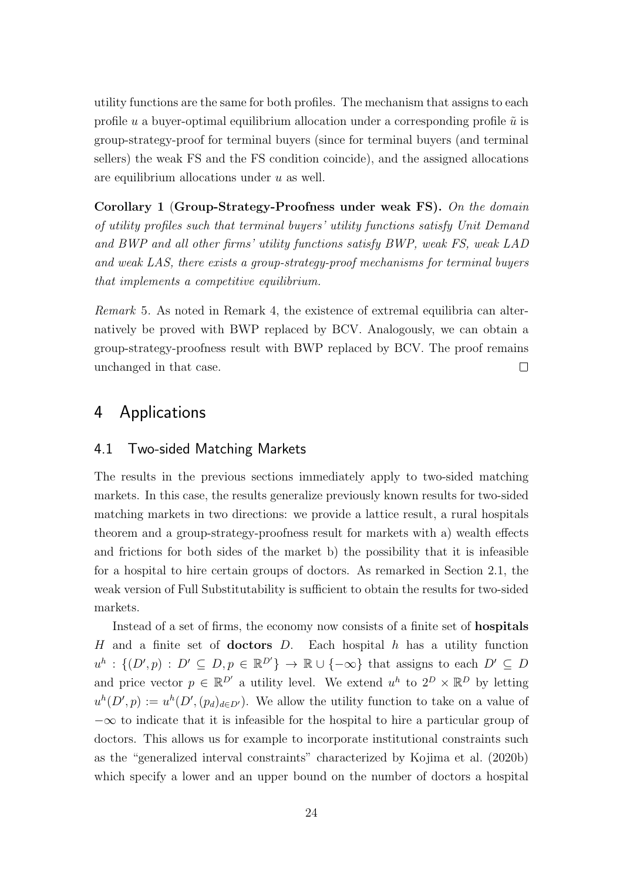utility functions are the same for both profiles. The mechanism that assigns to each profile u a buyer-optimal equilibrium allocation under a corresponding profile  $\tilde{u}$  is group-strategy-proof for terminal buyers (since for terminal buyers (and terminal sellers) the weak FS and the FS condition coincide), and the assigned allocations are equilibrium allocations under  $u$  as well.

Corollary 1 (Group-Strategy-Proofness under weak FS). On the domain of utility profiles such that terminal buyers' utility functions satisfy Unit Demand and BWP and all other firms' utility functions satisfy BWP, weak FS, weak LAD and weak LAS, there exists a group-strategy-proof mechanisms for terminal buyers that implements a competitive equilibrium.

Remark 5. As noted in Remark 4, the existence of extremal equilibria can alternatively be proved with BWP replaced by BCV. Analogously, we can obtain a group-strategy-proofness result with BWP replaced by BCV. The proof remains unchanged in that case.  $\Box$ 

# 4 Applications

## 4.1 Two-sided Matching Markets

The results in the previous sections immediately apply to two-sided matching markets. In this case, the results generalize previously known results for two-sided matching markets in two directions: we provide a lattice result, a rural hospitals theorem and a group-strategy-proofness result for markets with a) wealth effects and frictions for both sides of the market b) the possibility that it is infeasible for a hospital to hire certain groups of doctors. As remarked in Section 2.1, the weak version of Full Substitutability is sufficient to obtain the results for two-sided markets.

Instead of a set of firms, the economy now consists of a finite set of hospitals H and a finite set of **doctors**  $D$ . Each hospital  $h$  has a utility function  $u^h: \{(D', p) : D' \subseteq D, p \in \mathbb{R}^{D'}\} \to \mathbb{R} \cup \{-\infty\}$  that assigns to each  $D' \subseteq D$ and price vector  $p \in \mathbb{R}^{D'}$  a utility level. We extend  $u^h$  to  $2^D \times \mathbb{R}^{D}$  by letting  $u^{h}(D', p) := u^{h}(D', (p_{d})_{d\in D'})$ . We allow the utility function to take on a value of  $-\infty$  to indicate that it is infeasible for the hospital to hire a particular group of doctors. This allows us for example to incorporate institutional constraints such as the "generalized interval constraints" characterized by Kojima et al. (2020b) which specify a lower and an upper bound on the number of doctors a hospital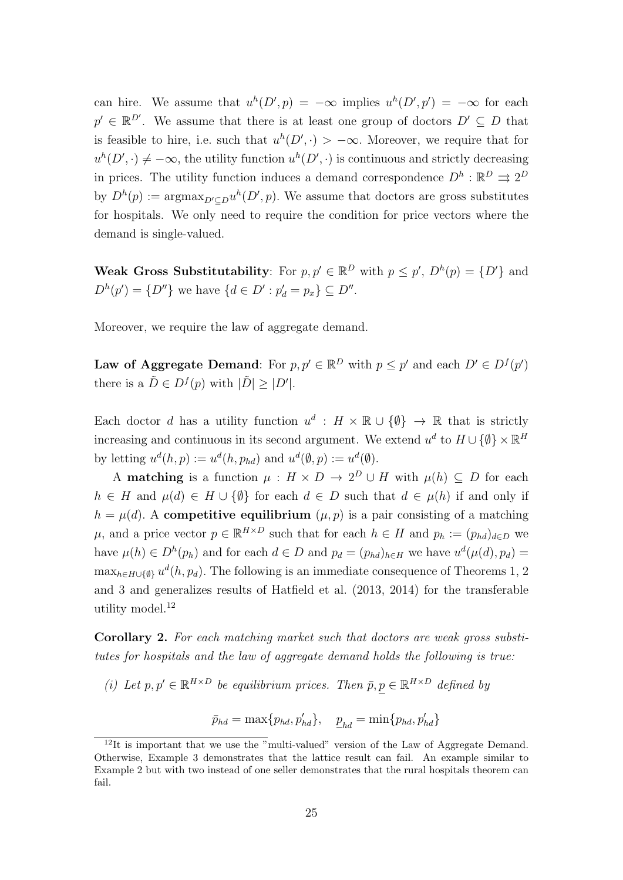can hire. We assume that  $u^h(D', p) = -\infty$  implies  $u^h(D', p') = -\infty$  for each  $p' \in \mathbb{R}^{D'}$ . We assume that there is at least one group of doctors  $D' \subseteq D$  that is feasible to hire, i.e. such that  $u^h(D', \cdot) > -\infty$ . Moreover, we require that for  $u^{h}(D', \cdot) \neq -\infty$ , the utility function  $u^{h}(D', \cdot)$  is continuous and strictly decreasing in prices. The utility function induces a demand correspondence  $D^h : \mathbb{R}^D \rightrightarrows 2^D$ by  $D^h(p) := \text{argmax}_{D' \subseteq D} u^h(D', p)$ . We assume that doctors are gross substitutes for hospitals. We only need to require the condition for price vectors where the demand is single-valued.

Weak Gross Substitutability: For  $p, p' \in \mathbb{R}^D$  with  $p \leq p'$ ,  $D^h(p) = \{D'\}$  and  $D^{h}(p') = \{D''\}$  we have  $\{d \in D' : p'_{d} = p_{x}\} \subseteq D''$ .

Moreover, we require the law of aggregate demand.

Law of Aggregate Demand: For  $p, p' \in \mathbb{R}^D$  with  $p \leq p'$  and each  $D' \in D^f(p')$ there is a  $\tilde{D} \in D^f(p)$  with  $|\tilde{D}| \geq |D'|$ .

Each doctor d has a utility function  $u^d : H \times \mathbb{R} \cup \{\emptyset\} \to \mathbb{R}$  that is strictly increasing and continuous in its second argument. We extend  $u^d$  to  $H \cup {\emptyset} \times \mathbb{R}^H$ by letting  $u^d(h, p) := u^d(h, p_{hd})$  and  $u^d(\emptyset, p) := u^d(\emptyset)$ .

A **matching** is a function  $\mu : H \times D \to 2^D \cup H$  with  $\mu(h) \subseteq D$  for each  $h \in H$  and  $\mu(d) \in H \cup \{\emptyset\}$  for each  $d \in D$  such that  $d \in \mu(h)$  if and only if  $h = \mu(d)$ . A competitive equilibrium  $(\mu, p)$  is a pair consisting of a matching  $\mu$ , and a price vector  $p \in \mathbb{R}^{H \times D}$  such that for each  $h \in H$  and  $p_h := (p_{hd})_{d \in D}$  we have  $\mu(h) \in D^h(p_h)$  and for each  $d \in D$  and  $p_d = (p_{hd})_{h \in H}$  we have  $u^d(\mu(d), p_d) =$  $\max_{h \in H \cup \{\emptyset\}} u^d(h, p_d)$ . The following is an immediate consequence of Theorems 1, 2 and 3 and generalizes results of Hatfield et al. (2013, 2014) for the transferable utility model.<sup>12</sup>

Corollary 2. For each matching market such that doctors are weak gross substitutes for hospitals and the law of aggregate demand holds the following is true:

(i) Let  $p, p' \in \mathbb{R}^{H \times D}$  be equilibrium prices. Then  $\bar{p}, p \in \mathbb{R}^{H \times D}$  defined by

$$
\bar{p}_{hd} = \max\{p_{hd}, p'_{hd}\}, \quad \underline{p}_{hd} = \min\{p_{hd}, p'_{hd}\}
$$

 $12$ It is important that we use the "multi-valued" version of the Law of Aggregate Demand. Otherwise, Example 3 demonstrates that the lattice result can fail. An example similar to Example 2 but with two instead of one seller demonstrates that the rural hospitals theorem can fail.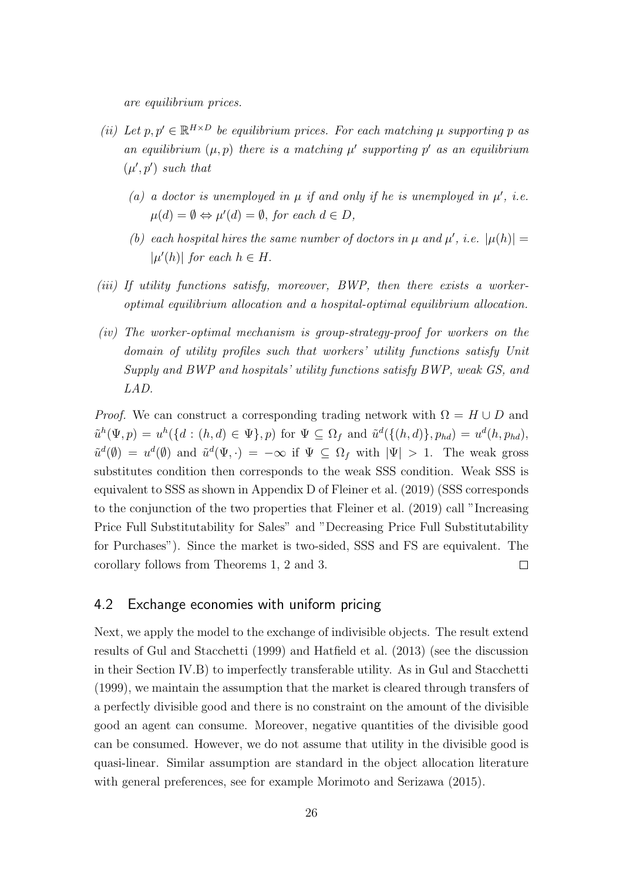are equilibrium prices.

- (ii) Let  $p, p' \in \mathbb{R}^{H \times D}$  be equilibrium prices. For each matching  $\mu$  supporting p as an equilibrium  $(\mu, p)$  there is a matching  $\mu'$  supporting p' as an equilibrium  $(\mu', p')$  such that
	- (a) a doctor is unemployed in  $\mu$  if and only if he is unemployed in  $\mu'$ , i.e.  $\mu(d) = \emptyset \Leftrightarrow \mu'(d) = \emptyset$ , for each  $d \in D$ ,
	- (b) each hospital hires the same number of doctors in  $\mu$  and  $\mu'$ , i.e.  $|\mu(h)| =$  $|\mu'(h)|$  for each  $h \in H$ .
- (iii) If utility functions satisfy, moreover, BWP, then there exists a workeroptimal equilibrium allocation and a hospital-optimal equilibrium allocation.
- (iv) The worker-optimal mechanism is group-strategy-proof for workers on the domain of utility profiles such that workers' utility functions satisfy Unit Supply and BWP and hospitals' utility functions satisfy BWP, weak GS, and LAD.

*Proof.* We can construct a corresponding trading network with  $\Omega = H \cup D$  and  $\tilde{u}^h(\Psi, p) = u^h(\lbrace d : (h, d) \in \Psi \rbrace, p)$  for  $\Psi \subseteq \Omega_f$  and  $\tilde{u}^d(\lbrace (h, d) \rbrace, p_{hd}) = u^d(h, p_{hd}),$  $\tilde{u}^d(\emptyset) = u^d(\emptyset)$  and  $\tilde{u}^d(\Psi, \cdot) = -\infty$  if  $\Psi \subseteq \Omega_f$  with  $|\Psi| > 1$ . The weak gross substitutes condition then corresponds to the weak SSS condition. Weak SSS is equivalent to SSS as shown in Appendix D of Fleiner et al. (2019) (SSS corresponds to the conjunction of the two properties that Fleiner et al. (2019) call "Increasing Price Full Substitutability for Sales" and "Decreasing Price Full Substitutability for Purchases"). Since the market is two-sided, SSS and FS are equivalent. The corollary follows from Theorems 1, 2 and 3.  $\Box$ 

## 4.2 Exchange economies with uniform pricing

Next, we apply the model to the exchange of indivisible objects. The result extend results of Gul and Stacchetti (1999) and Hatfield et al. (2013) (see the discussion in their Section IV.B) to imperfectly transferable utility. As in Gul and Stacchetti (1999), we maintain the assumption that the market is cleared through transfers of a perfectly divisible good and there is no constraint on the amount of the divisible good an agent can consume. Moreover, negative quantities of the divisible good can be consumed. However, we do not assume that utility in the divisible good is quasi-linear. Similar assumption are standard in the object allocation literature with general preferences, see for example Morimoto and Serizawa (2015).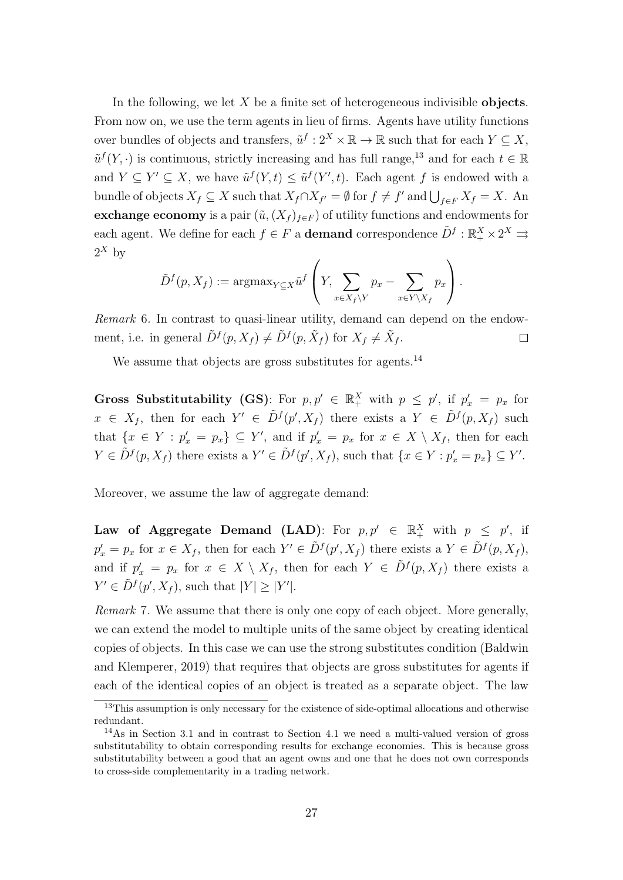In the following, we let  $X$  be a finite set of heterogeneous indivisible objects. From now on, we use the term agents in lieu of firms. Agents have utility functions over bundles of objects and transfers,  $\tilde{u}^f: 2^X \times \mathbb{R} \to \mathbb{R}$  such that for each  $Y \subseteq X$ ,  $\tilde{u}^f(Y, \cdot)$  is continuous, strictly increasing and has full range,<sup>13</sup> and for each  $t \in \mathbb{R}$ and  $Y \subseteq Y' \subseteq X$ , we have  $\tilde{u}^f(Y,t) \leq \tilde{u}^f(Y',t)$ . Each agent f is endowed with a bundle of objects  $X_f \subseteq X$  such that  $X_f \cap X_{f'} = \emptyset$  for  $f \neq f'$  and  $\bigcup_{f \in F} X_f = X$ . An exchange economy is a pair  $(\tilde{u},(X_f)_{f\in F})$  of utility functions and endowments for each agent. We define for each  $f \in F$  a **demand** correspondence  $\tilde{D}^f : \mathbb{R}_+^X \times 2^X \rightrightarrows$  $2^X$  by

$$
\tilde{D}^f(p, X_f) := \operatorname{argmax}_{Y \subseteq X} \tilde{u}^f \left( Y, \sum_{x \in X_f \setminus Y} p_x - \sum_{x \in Y \setminus X_f} p_x \right).
$$

Remark 6. In contrast to quasi-linear utility, demand can depend on the endowment, i.e. in general  $\tilde{D}^{f}(p, X_f) \neq \tilde{D}^{f}(p, \tilde{X}_f)$  for  $X_f \neq \tilde{X}_f$ .  $\Box$ 

We assume that objects are gross substitutes for agents.<sup>14</sup>

Gross Substitutability (GS): For  $p, p' \in \mathbb{R}^X_+$  with  $p \leq p'$ , if  $p'_x = p_x$  for  $x \in X_f$ , then for each  $Y' \in \tilde{D}^f(p', X_f)$  there exists a  $Y \in \tilde{D}^f(p, X_f)$  such that  $\{x \in Y : p'_x = p_x\} \subseteq Y'$ , and if  $p'_x = p_x$  for  $x \in X \setminus X_f$ , then for each  $Y \in \tilde{D}^f(p, X_f)$  there exists a  $Y' \in \tilde{D}^f(p', X_f)$ , such that  $\{x \in Y : p'_x = p_x\} \subseteq Y'.$ 

Moreover, we assume the law of aggregate demand:

Law of Aggregate Demand (LAD): For  $p, p' \in \mathbb{R}_+^X$  with  $p \leq p'$ , if  $p'_x = p_x$  for  $x \in X_f$ , then for each  $Y' \in \tilde{D}^f(p', X_f)$  there exists a  $Y \in \tilde{D}^f(p, X_f)$ , and if  $p'_x = p_x$  for  $x \in X \setminus X_f$ , then for each  $Y \in \tilde{D}^f(p,X_f)$  there exists a  $Y' \in \tilde{D}^f(p', X_f)$ , such that  $|Y| \geq |Y'|$ .

Remark 7. We assume that there is only one copy of each object. More generally, we can extend the model to multiple units of the same object by creating identical copies of objects. In this case we can use the strong substitutes condition (Baldwin and Klemperer, 2019) that requires that objects are gross substitutes for agents if each of the identical copies of an object is treated as a separate object. The law

<sup>&</sup>lt;sup>13</sup>This assumption is only necessary for the existence of side-optimal allocations and otherwise redundant.

<sup>14</sup>As in Section 3.1 and in contrast to Section 4.1 we need a multi-valued version of gross substitutability to obtain corresponding results for exchange economies. This is because gross substitutability between a good that an agent owns and one that he does not own corresponds to cross-side complementarity in a trading network.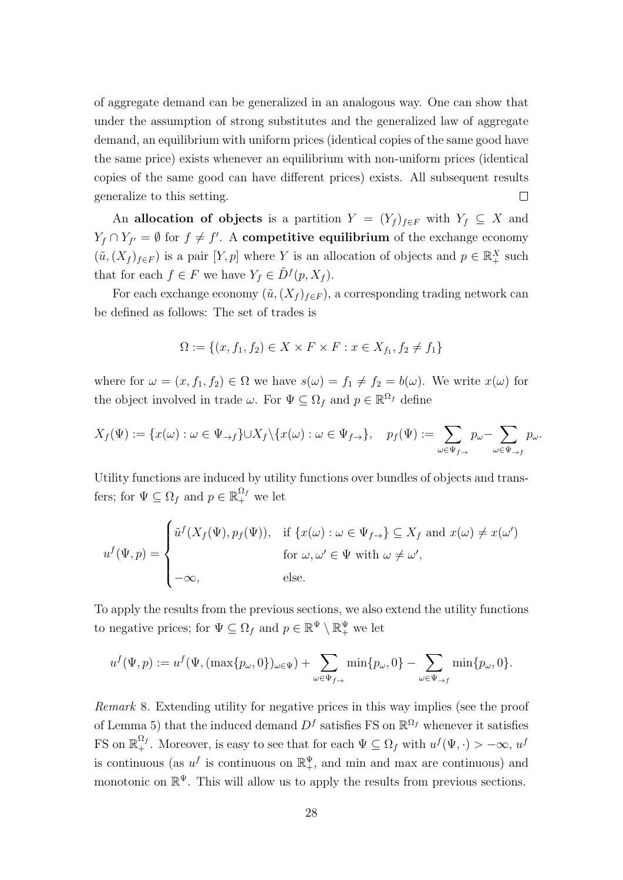of aggregate demand can be generalized in an analogous way. One can show that under the assumption of strong substitutes and the generalized law of aggregate demand, an equilibrium with uniform prices (identical copies of the same good have the same price) exists whenever an equilibrium with non-uniform prices (identical copies of the same good can have different prices) exists. All subsequent results generalize to this setting.  $\Box$ 

An allocation of objects is a partition  $Y = (Y_f)_{f \in F}$  with  $Y_f \subseteq X$  and  $Y_f \cap Y_{f'} = \emptyset$  for  $f \neq f'$ . A **competitive equilibrium** of the exchange economy  $(\tilde{u}, (X_f)_{f\in F})$  is a pair  $[Y, p]$  where Y is an allocation of objects and  $p \in \mathbb{R}^X_+$  such that for each  $f \in F$  we have  $Y_f \in \tilde{D}^f(p, X_f)$ .

For each exchange economy  $(\tilde{u}, (X_f)_{f\in F})$ , a corresponding trading network can be defined as follows: The set of trades is

$$
\Omega := \{(x, f_1, f_2) \in X \times F \times F : x \in X_{f_1}, f_2 \neq f_1\}
$$

where for  $\omega = (x, f_1, f_2) \in \Omega$  we have  $s(\omega) = f_1 \neq f_2 = b(\omega)$ . We write  $x(\omega)$  for the object involved in trade  $\omega$ . For  $\Psi \subseteq \Omega_f$  and  $p \in \mathbb{R}^{\Omega_f}$  define

$$
X_f(\Psi) := \{x(\omega) : \omega \in \Psi_{\to f}\} \cup X_f \setminus \{x(\omega) : \omega \in \Psi_{f \to}\}, \quad p_f(\Psi) := \sum_{\omega \in \Psi_{f \to}} p_{\omega} - \sum_{\omega \in \Psi_{\to f}} p_{\omega}.
$$

Utility functions are induced by utility functions over bundles of objects and transfers; for  $\Psi \subseteq \Omega_f$  and  $p \in \mathbb{R}_+^{\Omega_f}$  we let

$$
u^f(\Psi, p) = \begin{cases} \tilde{u}^f(X_f(\Psi), p_f(\Psi)), & \text{if } \{x(\omega) : \omega \in \Psi_{f \to}\} \subseteq X_f \text{ and } x(\omega) \neq x(\omega') \\ & \text{for } \omega, \omega' \in \Psi \text{ with } \omega \neq \omega', \\ -\infty, & \text{else.} \end{cases}
$$

To apply the results from the previous sections, we also extend the utility functions to negative prices; for  $\Psi \subseteq \Omega_f$  and  $p \in \mathbb{R}^{\Psi} \setminus \mathbb{R}^{\Psi}_+$  we let

$$
u^f(\Psi, p) := u^f(\Psi, (\max\{p_\omega, 0\})_{\omega \in \Psi}) + \sum_{\omega \in \Psi_{f \to}} \min\{p_\omega, 0\} - \sum_{\omega \in \Psi_{\to f}} \min\{p_\omega, 0\}.
$$

Remark 8. Extending utility for negative prices in this way implies (see the proof of Lemma 5) that the induced demand  $D<sup>f</sup>$  satisfies FS on  $\mathbb{R}^{\Omega_f}$  whenever it satisfies FS on  $\mathbb{R}_+^{\Omega_f}$ . Moreover, is easy to see that for each  $\Psi \subseteq \Omega_f$  with  $u^f(\Psi, \cdot) > -\infty$ ,  $u^f(\Psi, \cdot)$ is continuous (as  $u^f$  is continuous on  $\mathbb{R}^{\Psi}_+$ , and min and max are continuous) and monotonic on  $\mathbb{R}^{\Psi}$ . This will allow us to apply the results from previous sections.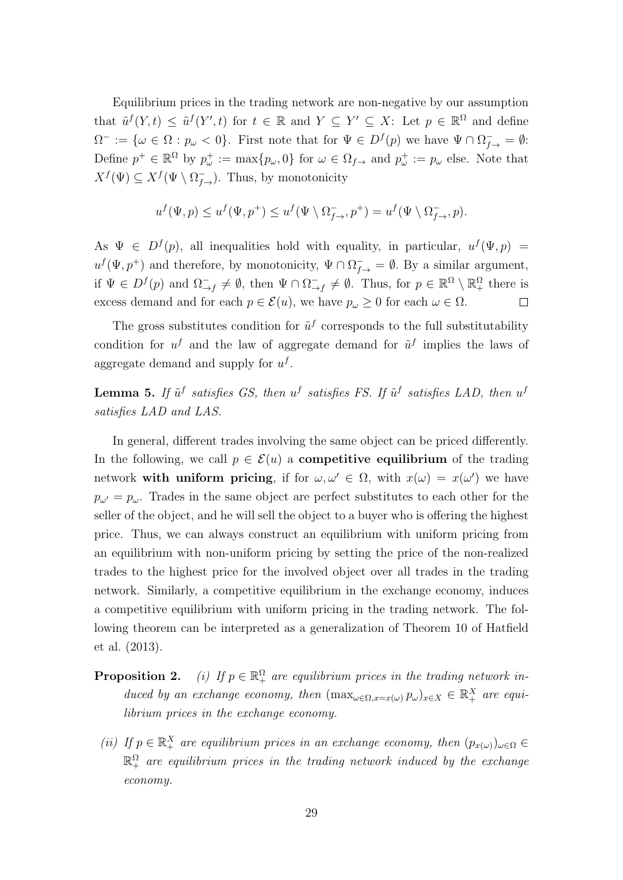Equilibrium prices in the trading network are non-negative by our assumption that  $\tilde{u}^f(Y,t) \leq \tilde{u}^f(Y',t)$  for  $t \in \mathbb{R}$  and  $Y \subseteq Y' \subseteq X$ : Let  $p \in \mathbb{R}^{\Omega}$  and define  $\Omega^- := \{\omega \in \Omega : p_\omega < 0\}.$  First note that for  $\Psi \in D^f(p)$  we have  $\Psi \cap \Omega^-_{f \to} = \emptyset$ : Define  $p^+ \in \mathbb{R}^{\Omega}$  by  $p_{\omega}^+ := \max\{p_{\omega}, 0\}$  for  $\omega \in \Omega_{f\to}$  and  $p_{\omega}^+ := p_{\omega}$  else. Note that  $X^f(\Psi) \subseteq X^f(\Psi \setminus \Omega^-_{f\to}).$  Thus, by monotonicity

$$
u^f(\Psi, p) \le u^f(\Psi, p^+) \le u^f(\Psi \setminus \Omega^-_{f \to}, p^+) = u^f(\Psi \setminus \Omega^-_{f \to}, p).
$$

As  $\Psi \in D^f(p)$ , all inequalities hold with equality, in particular,  $u^f(\Psi, p)$  =  $u^f(\Psi, p^+)$  and therefore, by monotonicity,  $\Psi \cap \Omega_{f\to}^- = \emptyset$ . By a similar argument, if  $\Psi \in D^f(p)$  and  $\Omega^-_{\rightarrow f} \neq \emptyset$ , then  $\Psi \cap \Omega^-_{\rightarrow}$  $\overline{\zeta}_{\rightarrow f}^{\mathcal{I}} \neq \emptyset$ . Thus, for  $p \in \mathbb{R}^{\Omega} \setminus \mathbb{R}_{+}^{\Omega}$  there is excess demand and for each  $p \in \mathcal{E}(u)$ , we have  $p_{\omega} \geq 0$  for each  $\omega \in \Omega$ .  $\Box$ 

The gross substitutes condition for  $\tilde{u}^f$  corresponds to the full substitutability condition for  $u^f$  and the law of aggregate demand for  $\tilde{u}^f$  implies the laws of aggregate demand and supply for  $u^f$ .

**Lemma 5.** If  $\tilde{u}^f$  satisfies GS, then  $u^f$  satisfies FS. If  $\tilde{u}^f$  satisfies LAD, then  $u^f$ satisfies LAD and LAS.

In general, different trades involving the same object can be priced differently. In the following, we call  $p \in \mathcal{E}(u)$  a **competitive equilibrium** of the trading network with uniform pricing, if for  $\omega, \omega' \in \Omega$ , with  $x(\omega) = x(\omega')$  we have  $p_{\omega'} = p_{\omega}$ . Trades in the same object are perfect substitutes to each other for the seller of the object, and he will sell the object to a buyer who is offering the highest price. Thus, we can always construct an equilibrium with uniform pricing from an equilibrium with non-uniform pricing by setting the price of the non-realized trades to the highest price for the involved object over all trades in the trading network. Similarly, a competitive equilibrium in the exchange economy, induces a competitive equilibrium with uniform pricing in the trading network. The following theorem can be interpreted as a generalization of Theorem 10 of Hatfield et al. (2013).

- **Proposition 2.** (i) If  $p \in \mathbb{R}_+^{\Omega}$  are equilibrium prices in the trading network induced by an exchange economy, then  $(\max_{\omega \in \Omega, x=x(\omega)} p_{\omega})_{x \in X} \in \mathbb{R}_+^X$  are equilibrium prices in the exchange economy.
- (ii) If  $p \in \mathbb{R}_+^X$  are equilibrium prices in an exchange economy, then  $(p_{x(\omega)})_{\omega \in \Omega} \in$  $\mathbb{R}_+^\Omega$  are equilibrium prices in the trading network induced by the exchange economy.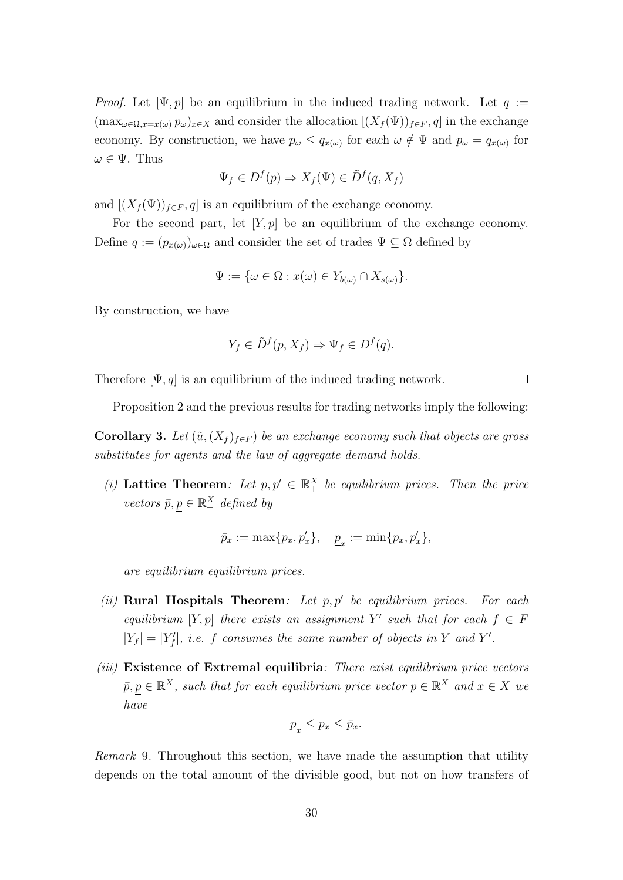*Proof.* Let  $[\Psi, p]$  be an equilibrium in the induced trading network. Let  $q :=$  $(\max_{\omega \in \Omega, x=x(\omega)} p_{\omega})_{x\in X}$  and consider the allocation  $[(X_f(\Psi))_{f\in F}, q]$  in the exchange economy. By construction, we have  $p_{\omega} \leq q_{x(\omega)}$  for each  $\omega \notin \Psi$  and  $p_{\omega} = q_{x(\omega)}$  for  $\omega \in \Psi$ . Thus

$$
\Psi_f \in D^f(p) \Rightarrow X_f(\Psi) \in \tilde{D}^f(q, X_f)
$$

and  $[(X_f(\Psi))_{f\in F}, q]$  is an equilibrium of the exchange economy.

For the second part, let  $[Y, p]$  be an equilibrium of the exchange economy. Define  $q := (p_{x(\omega)})_{\omega \in \Omega}$  and consider the set of trades  $\Psi \subseteq \Omega$  defined by

$$
\Psi := \{ \omega \in \Omega : x(\omega) \in Y_{b(\omega)} \cap X_{s(\omega)} \}.
$$

By construction, we have

$$
Y_f \in \tilde{D}^f(p, X_f) \Rightarrow \Psi_f \in D^f(q).
$$

Therefore  $[\Psi, q]$  is an equilibrium of the induced trading network.

 $\Box$ 

Proposition 2 and the previous results for trading networks imply the following:

**Corollary 3.** Let  $(\tilde{u}, (X_f)_{f \in F})$  be an exchange economy such that objects are gross substitutes for agents and the law of aggregate demand holds.

(i) Lattice Theorem: Let  $p, p' \in \mathbb{R}_+^X$  be equilibrium prices. Then the price vectors  $\bar{p}, \underline{p} \in \mathbb{R}_+^X$  defined by

$$
\bar{p}_x := \max\{p_x, p'_x\}, \quad \underline{p}_x := \min\{p_x, p'_x\},
$$

are equilibrium equilibrium prices.

- (ii) Rural Hospitals Theorem: Let  $p, p'$  be equilibrium prices. For each equilibrium [Y, p] there exists an assignment Y' such that for each  $f \in F$  $|Y_f| = |Y'_f|$ , i.e. f consumes the same number of objects in Y and Y'.
- (iii) Existence of Extremal equilibria: There exist equilibrium price vectors  $\bar{p}, \underline{p} \in \mathbb{R}^X_+$ , such that for each equilibrium price vector  $p \in \mathbb{R}^X_+$  and  $x \in X$  we have

$$
\underline{p}_x \le p_x \le \bar{p}_x.
$$

Remark 9. Throughout this section, we have made the assumption that utility depends on the total amount of the divisible good, but not on how transfers of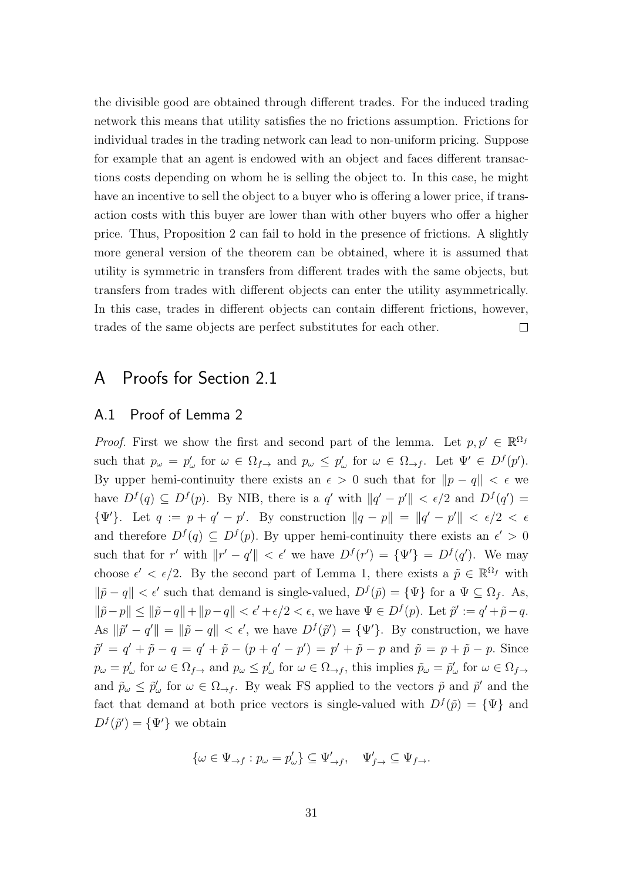the divisible good are obtained through different trades. For the induced trading network this means that utility satisfies the no frictions assumption. Frictions for individual trades in the trading network can lead to non-uniform pricing. Suppose for example that an agent is endowed with an object and faces different transactions costs depending on whom he is selling the object to. In this case, he might have an incentive to sell the object to a buyer who is offering a lower price, if transaction costs with this buyer are lower than with other buyers who offer a higher price. Thus, Proposition 2 can fail to hold in the presence of frictions. A slightly more general version of the theorem can be obtained, where it is assumed that utility is symmetric in transfers from different trades with the same objects, but transfers from trades with different objects can enter the utility asymmetrically. In this case, trades in different objects can contain different frictions, however, trades of the same objects are perfect substitutes for each other.  $\Box$ 

# A Proofs for Section 2.1

## A.1 Proof of Lemma 2

*Proof.* First we show the first and second part of the lemma. Let  $p, p' \in \mathbb{R}^{\Omega_f}$ such that  $p_{\omega} = p_{\omega}'$  for  $\omega \in \Omega_{f \to}$  and  $p_{\omega} \leq p_{\omega}'$  for  $\omega \in \Omega_{\to f}$ . Let  $\Psi' \in D^f(p')$ . By upper hemi-continuity there exists an  $\epsilon > 0$  such that for  $\|p - q\| < \epsilon$  we have  $D^f(q) \subseteq D^f(p)$ . By NIB, there is a q' with  $||q'-p'|| < \epsilon/2$  and  $D^f(q') =$  $\{\Psi'\}.$  Let  $q := p + q' - p'$ . By construction  $||q - p|| = ||q' - p'|| < \epsilon/2 < \epsilon$ and therefore  $D^f(q) \subseteq D^f(p)$ . By upper hemi-continuity there exists an  $\epsilon' > 0$ such that for r' with  $||r' - q'|| < \epsilon'$  we have  $D^f(r') = {\Psi'} = D^f(q')$ . We may choose  $\epsilon' < \epsilon/2$ . By the second part of Lemma 1, there exists a  $\tilde{p} \in \mathbb{R}^{\Omega_f}$  with  $\|\tilde{p} - q\| < \epsilon'$  such that demand is single-valued,  $D^f(\tilde{p}) = {\Psi}$  for a  $\Psi \subseteq \Omega_f$ . As,  $\|\tilde{p}-p\| \le \|\tilde{p}-q\| + \|p-q\| < \epsilon' + \epsilon/2 < \epsilon$ , we have  $\Psi \in D^f(p)$ . Let  $\tilde{p}' := q' + \tilde{p} - q$ . As  $\|\tilde{p}' - q'\| = \|\tilde{p} - q\| < \epsilon'$ , we have  $D^f(\tilde{p}') = {\Psi'}$ . By construction, we have  $\tilde{p}' = q' + \tilde{p} - q = q' + \tilde{p} - (p + q' - p') = p' + \tilde{p} - p$  and  $\tilde{p} = p + \tilde{p} - p$ . Since  $p_{\omega} = p_{\omega}'$  for  $\omega \in \Omega_{f \to}$  and  $p_{\omega} \leq p_{\omega}'$  for  $\omega \in \Omega_{\to f}$ , this implies  $\tilde{p}_{\omega} = \tilde{p}_{\omega}'$  for  $\omega \in \Omega_{f \to}$ and  $\tilde{p}_{\omega} \leq \tilde{p}'_{\omega}$  for  $\omega \in \Omega_{\to f}$ . By weak FS applied to the vectors  $\tilde{p}$  and  $\tilde{p}'$  and the fact that demand at both price vectors is single-valued with  $D^f(\tilde{p}) = {\Psi}$  and  $D^f(\tilde{p}') = {\Psi'}$  we obtain

$$
\{\omega\in\Psi_{\rightarrow f}:p_\omega=p'_\omega\}\subseteq\Psi'_{\rightarrow f},\quad\Psi'_{f\rightarrow}\subseteq\Psi_{f\rightarrow}.
$$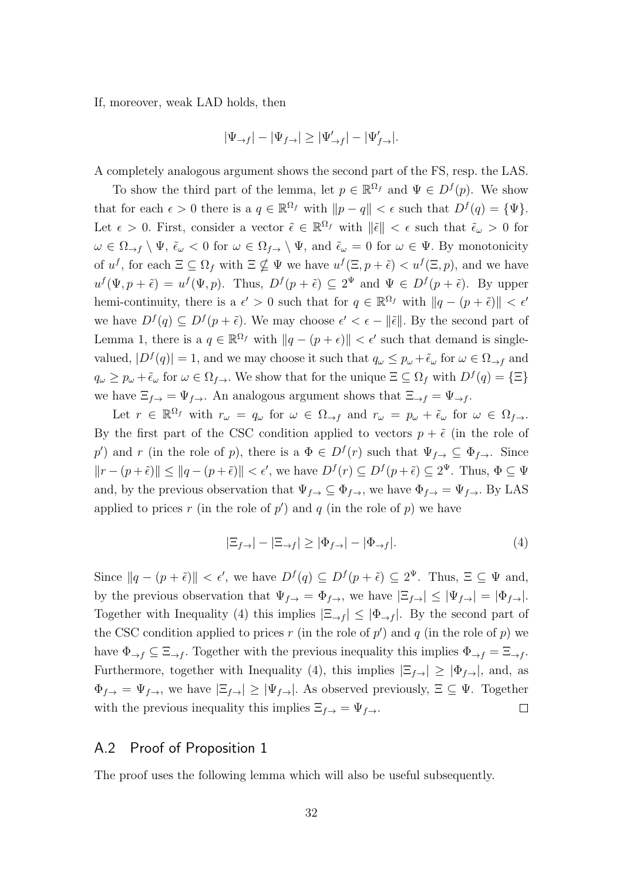If, moreover, weak LAD holds, then

$$
|\Psi_{\rightarrow f}| - |\Psi_{f \rightarrow}| \geq |\Psi_{\rightarrow f}'| - |\Psi_{f \rightarrow}'|.
$$

A completely analogous argument shows the second part of the FS, resp. the LAS.

To show the third part of the lemma, let  $p \in \mathbb{R}^{\Omega_f}$  and  $\Psi \in D^f(p)$ . We show that for each  $\epsilon > 0$  there is a  $q \in \mathbb{R}^{\Omega_f}$  with  $||p - q|| < \epsilon$  such that  $D^f(q) = {\Psi}.$ Let  $\epsilon > 0$ . First, consider a vector  $\tilde{\epsilon} \in \mathbb{R}^{\Omega_f}$  with  $\|\tilde{\epsilon}\| < \epsilon$  such that  $\tilde{\epsilon}_{\omega} > 0$  for  $\omega \in \Omega_{\to f} \setminus \Psi$ ,  $\tilde{\epsilon}_{\omega} < 0$  for  $\omega \in \Omega_{f \to \Psi}$ , and  $\tilde{\epsilon}_{\omega} = 0$  for  $\omega \in \Psi$ . By monotonicity of  $u^f$ , for each  $\Xi \subseteq \Omega_f$  with  $\Xi \nsubseteq \Psi$  we have  $u^f(\Xi, p + \tilde{\epsilon}) < u^f(\Xi, p)$ , and we have  $u^f(\Psi, p + \tilde{\epsilon}) = u^f(\Psi, p)$ . Thus,  $D^f(p + \tilde{\epsilon}) \subseteq 2^{\Psi}$  and  $\Psi \in D^f(p + \tilde{\epsilon})$ . By upper hemi-continuity, there is a  $\epsilon' > 0$  such that for  $q \in \mathbb{R}^{\Omega_f}$  with  $||q - (p + \tilde{\epsilon})|| < \epsilon'$ we have  $D^f(q) \subseteq D^f(p+\tilde{\epsilon})$ . We may choose  $\epsilon' < \epsilon - ||\tilde{\epsilon}||$ . By the second part of Lemma 1, there is a  $q \in \mathbb{R}^{\Omega_f}$  with  $||q - (p + \epsilon)|| < \epsilon'$  such that demand is singlevalued,  $|D^f(q)| = 1$ , and we may choose it such that  $q_\omega \leq p_\omega + \tilde{\epsilon}_\omega$  for  $\omega \in \Omega_{\to f}$  and  $q_{\omega} \geq p_{\omega} + \tilde{\epsilon}_{\omega}$  for  $\omega \in \Omega_{f}$ . We show that for the unique  $\Xi \subseteq \Omega_f$  with  $D^f(q) = \{\Xi\}$ we have  $\Xi_{f\to} = \Psi_{f\to}$ . An analogous argument shows that  $\Xi_{\to f} = \Psi_{\to f}$ .

Let  $r \in \mathbb{R}^{\Omega_f}$  with  $r_{\omega} = q_{\omega}$  for  $\omega \in \Omega_{\to f}$  and  $r_{\omega} = p_{\omega} + \tilde{\epsilon}_{\omega}$  for  $\omega \in \Omega_{f \to \omega}$ . By the first part of the CSC condition applied to vectors  $p + \tilde{\epsilon}$  (in the role of p') and r (in the role of p), there is a  $\Phi \in D^f(r)$  such that  $\Psi_{f\rightarrow} \subseteq \Phi_{f\rightarrow}$ . Since  $||r - (p + \tilde{\epsilon})|| \le ||q - (p + \tilde{\epsilon})|| < \epsilon'$ , we have  $D^f(r) \subseteq D^f(p + \tilde{\epsilon}) \subseteq 2^{\Psi}$ . Thus,  $\Phi \subseteq \Psi$ and, by the previous observation that  $\Psi_{f\rightarrow} \subseteq \Phi_{f\rightarrow}$ , we have  $\Phi_{f\rightarrow} = \Psi_{f\rightarrow}$ . By LAS applied to prices r (in the role of  $p'$ ) and q (in the role of p) we have

$$
|\Xi_{f\to}| - |\Xi_{\to f}| \ge |\Phi_{f\to}| - |\Phi_{\to f}|. \tag{4}
$$

Since  $||q - (p + \tilde{\epsilon})|| < \epsilon'$ , we have  $D^f(q) \subseteq D^f(p + \tilde{\epsilon}) \subseteq 2^{\Psi}$ . Thus,  $\Xi \subseteq \Psi$  and, by the previous observation that  $\Psi_{f\rightarrow} = \Phi_{f\rightarrow}$ , we have  $|\Xi_{f\rightarrow}| \leq |\Psi_{f\rightarrow}| = |\Phi_{f\rightarrow}|$ . Together with Inequality (4) this implies  $|\Xi_{\rightarrow f}| \leq |\Phi_{\rightarrow f}|$ . By the second part of the CSC condition applied to prices r (in the role of  $p'$ ) and q (in the role of p) we have  $\Phi_{\to f} \subseteq \Xi_{\to f}$ . Together with the previous inequality this implies  $\Phi_{\to f} = \Xi_{\to f}$ . Furthermore, together with Inequality (4), this implies  $|\Xi_{f\rightarrow}| \geq |\Phi_{f\rightarrow}|$ , and, as  $\Phi_{f\to} = \Psi_{f\to}$ , we have  $|\Xi_{f\to}|\geq |\Psi_{f\to}|$ . As observed previously,  $\Xi \subseteq \Psi$ . Together  $\Box$ with the previous inequality this implies  $\Xi_{f\rightarrow} = \Psi_{f\rightarrow}$ .

# A.2 Proof of Proposition 1

The proof uses the following lemma which will also be useful subsequently.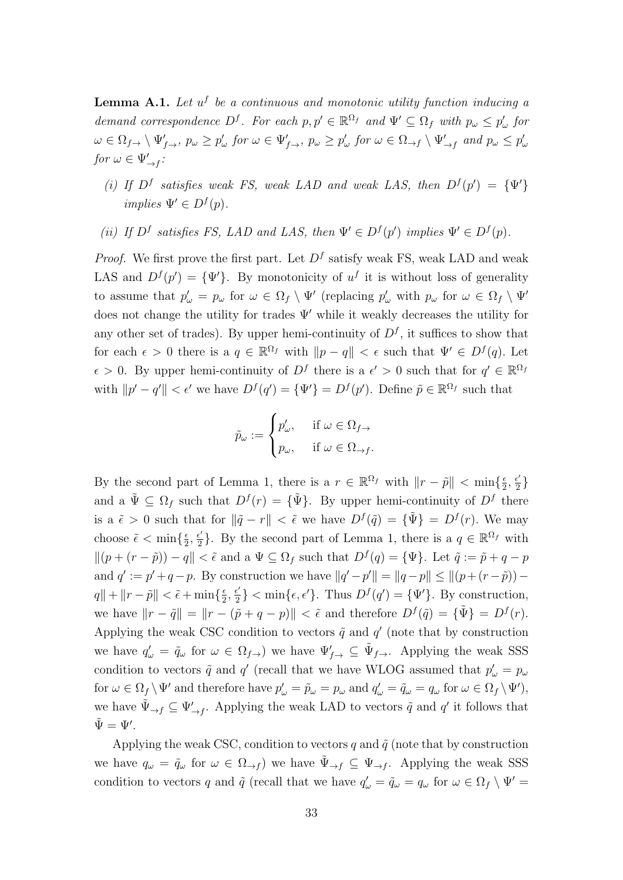**Lemma A.1.** Let  $u^f$  be a continuous and monotonic utility function inducing a demand correspondence  $D^f$ . For each  $p, p' \in \mathbb{R}^{\Omega_f}$  and  $\Psi' \subseteq \Omega_f$  with  $p_\omega \leq p'_\omega$  for  $\omega \in \Omega_{f\rightarrow} \setminus \Psi'_{f\rightarrow}$ ,  $p_{\omega} \geq p'_{\omega}$  for  $\omega \in \Psi'_{f\rightarrow}$ ,  $p_{\omega} \geq p'_{\omega}$  for  $\omega \in \Omega_{\rightarrow f} \setminus \Psi'_{\rightarrow f}$  and  $p_{\omega} \leq p'_{\omega}$ for  $\omega \in \Psi'_{\rightarrow f}$ :

- (i) If  $D^f$  satisfies weak FS, weak LAD and weak LAS, then  $D^f(p') = {\Psi'}$ implies  $\Psi' \in D^f(p)$ .
- (ii) If  $D^f$  satisfies FS, LAD and LAS, then  $\Psi' \in D^f(p')$  implies  $\Psi' \in D^f(p)$ .

*Proof.* We first prove the first part. Let  $D<sup>f</sup>$  satisfy weak FS, weak LAD and weak LAS and  $D^f(p') = {\Psi'}$ . By monotonicity of  $u^f$  it is without loss of generality to assume that  $p'_\omega = p_\omega$  for  $\omega \in \Omega_f \setminus \Psi'$  (replacing  $p'_\omega$  with  $p_\omega$  for  $\omega \in \Omega_f \setminus \Psi'$ does not change the utility for trades  $\Psi'$  while it weakly decreases the utility for any other set of trades). By upper hemi-continuity of  $D<sup>f</sup>$ , it suffices to show that for each  $\epsilon > 0$  there is a  $q \in \mathbb{R}^{\Omega_f}$  with  $||p - q|| < \epsilon$  such that  $\Psi' \in D^f(q)$ . Let  $\epsilon > 0$ . By upper hemi-continuity of  $D^f$  there is a  $\epsilon' > 0$  such that for  $q' \in \mathbb{R}^{\Omega_f}$ with  $||p' - q'|| < \epsilon'$  we have  $D^f(q') = {\Psi'} = D^f(p')$ . Define  $\tilde{p} \in \mathbb{R}^{\Omega_f}$  such that

$$
\tilde{p}_{\omega} := \begin{cases} p'_{\omega}, & \text{if } \omega \in \Omega_{f} \\ p_{\omega}, & \text{if } \omega \in \Omega_{\to f}. \end{cases}
$$

By the second part of Lemma 1, there is a  $r \in \mathbb{R}^{\Omega_f}$  with  $\|r - \tilde{p}\| < \min\{\frac{\epsilon}{2}, \epsilon\}$  $\frac{\epsilon}{2}, \frac{\epsilon'}{2}$  $\frac{\epsilon'}{2}\}$ and a  $\tilde{\Psi} \subseteq \Omega_f$  such that  $D^f(r) = {\tilde{\Psi}}$ . By upper hemi-continuity of  $D^f$  there is a  $\tilde{\epsilon} > 0$  such that for  $\|\tilde{q} - r\| < \tilde{\epsilon}$  we have  $D^f(\tilde{q}) = {\tilde{\Psi}} = D^f(r)$ . We may choose  $\tilde{\epsilon} < \min\{\frac{\epsilon}{2}\}$  $\frac{\epsilon}{2}, \frac{\epsilon'}{2}$  $\frac{\epsilon'}{2}$ . By the second part of Lemma 1, there is a  $q \in \mathbb{R}^{\Omega_f}$  with  $||(p + (r - \tilde{p})) - q|| < \tilde{\epsilon}$  and a  $\Psi \subseteq \Omega_f$  such that  $D^f(q) = {\Psi}.$  Let  $\tilde{q} := \tilde{p} + q - p$ and  $q' := p' + q - p$ . By construction we have  $||q' - p'|| = ||q - p|| \le ||(p + (r - \tilde{p})) - p'||$  $q\| + \|r - \tilde{p}\| < \tilde{\epsilon} + \min\{\frac{\epsilon}{2}$  $\frac{\epsilon}{2}, \frac{\epsilon'}{2}$  $\{\epsilon_2\}$  < min $\{\epsilon, \epsilon'\}$ . Thus  $D^f(q') = {\Psi'}$ . By construction, we have  $||r - \tilde{q}|| = ||r - (\tilde{p} + q - p)|| < \tilde{\epsilon}$  and therefore  $D^f(\tilde{q}) = {\tilde{\Psi}} = D^f(r)$ . Applying the weak CSC condition to vectors  $\tilde{q}$  and  $q'$  (note that by construction we have  $q'_\n\omega = \tilde{q}_\omega$  for  $\omega \in \Omega_{f\to}$  we have  $\Psi'_{f\to} \subseteq \tilde{\Psi}_{f\to}$ . Applying the weak SSS condition to vectors  $\tilde{q}$  and  $q'$  (recall that we have WLOG assumed that  $p'_{\omega} = p_{\omega}$ for  $\omega \in \Omega_f \setminus \Psi'$  and therefore have  $p'_{\omega} = \tilde{p}_{\omega} = p_{\omega}$  and  $q'_{\omega} = \tilde{q}_{\omega} = q_{\omega}$  for  $\omega \in \Omega_f \setminus \Psi'$ , we have  $\tilde{\Psi}_{\to f} \subseteq \Psi'_{\to f}$ . Applying the weak LAD to vectors  $\tilde{q}$  and  $q'$  it follows that  $\tilde{\Psi} = \Psi'.$ 

Applying the weak CSC, condition to vectors q and  $\tilde{q}$  (note that by construction we have  $q_{\omega} = \tilde{q}_{\omega}$  for  $\omega \in \Omega_{\to f}$  we have  $\tilde{\Psi}_{\to f} \subseteq \Psi_{\to f}$ . Applying the weak SSS condition to vectors q and  $\tilde{q}$  (recall that we have  $q'_{\omega} = \tilde{q}_{\omega} = q_{\omega}$  for  $\omega \in \Omega_f \setminus \Psi' =$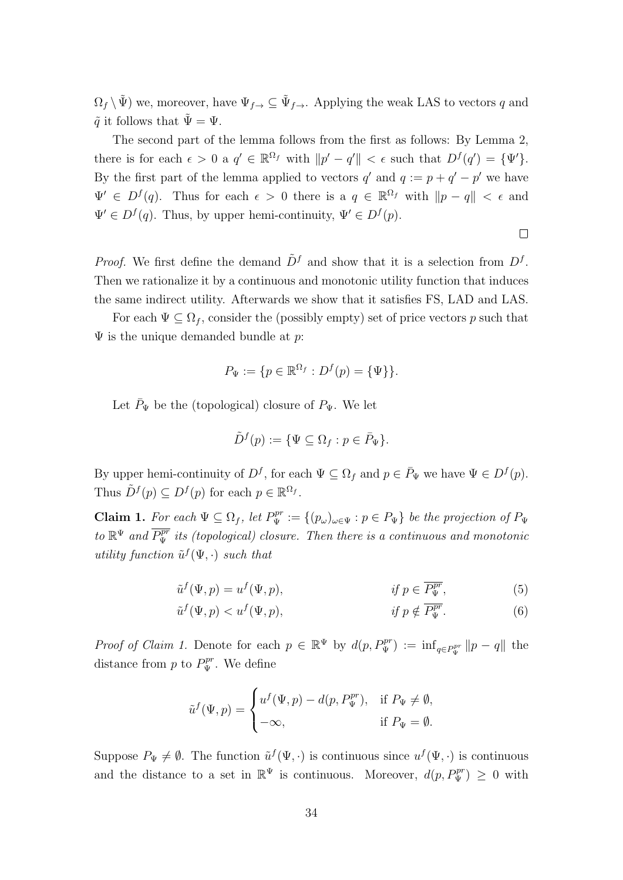$\Omega_f \setminus \tilde{\Psi}$ ) we, moreover, have  $\Psi_{f\to \Omega} \subseteq \tilde{\Psi}_{f\to \Omega}$ . Applying the weak LAS to vectors q and  $\tilde{q}$  it follows that  $\tilde{\Psi} = \Psi$ .

The second part of the lemma follows from the first as follows: By Lemma 2, there is for each  $\epsilon > 0$  a  $q' \in \mathbb{R}^{\Omega_f}$  with  $||p' - q'|| < \epsilon$  such that  $D^f(q') = {\Psi'}$ . By the first part of the lemma applied to vectors  $q'$  and  $q := p + q' - p'$  we have  $\Psi' \in D^f(q)$ . Thus for each  $\epsilon > 0$  there is a  $q \in \mathbb{R}^{\Omega_f}$  with  $||p - q|| < \epsilon$  and  $\Psi' \in D^f(q)$ . Thus, by upper hemi-continuity,  $\Psi' \in D^f(p)$ .

*Proof.* We first define the demand  $\tilde{D}^f$  and show that it is a selection from  $D^f$ . Then we rationalize it by a continuous and monotonic utility function that induces the same indirect utility. Afterwards we show that it satisfies FS, LAD and LAS.

For each  $\Psi \subseteq \Omega_f$ , consider the (possibly empty) set of price vectors p such that  $\Psi$  is the unique demanded bundle at p:

$$
P_{\Psi} := \{ p \in \mathbb{R}^{\Omega_f} : D^f(p) = \{ \Psi \} \}.
$$

Let  $\bar{P}_{\Psi}$  be the (topological) closure of  $P_{\Psi}$ . We let

$$
\tilde{D}^f(p) := \{ \Psi \subseteq \Omega_f : p \in \bar{P}_{\Psi} \}.
$$

By upper hemi-continuity of  $D^f$ , for each  $\Psi \subseteq \Omega_f$  and  $p \in \overline{P}_{\Psi}$  we have  $\Psi \in D^f(p)$ . Thus  $\tilde{D}^f(p) \subseteq D^f(p)$  for each  $p \in \mathbb{R}^{\Omega_f}$ .

**Claim 1.** For each  $\Psi \subseteq \Omega_f$ , let  $P_{\Psi}^{pr} := \{(p_{\omega})_{\omega \in \Psi} : p \in P_{\Psi}\}\$  be the projection of  $P_{\Psi}$ to  $\mathbb{R}^{\Psi}$  and  $\overline{P_{\Psi}^{pr}}$  its (topological) closure. Then there is a continuous and monotonic utility function  $\tilde{u}^f(\Psi, \cdot)$  such that

$$
\tilde{u}^f(\Psi, p) = u^f(\Psi, p), \qquad \qquad \text{if } p \in \overline{P_{\Psi}^{pr}}, \qquad (5)
$$

$$
\tilde{u}^f(\Psi, p) < u^f(\Psi, p), \qquad \qquad \text{if } p \notin \overline{P_{\Psi}^{pr}}. \tag{6}
$$

*Proof of Claim 1.* Denote for each  $p \in \mathbb{R}^{\Psi}$  by  $d(p, P_{\Psi}^{pr}) := \inf_{q \in P_{\Psi}^{pr}} ||p - q||$  the distance from  $p$  to  $P_{\Psi}^{pr}$ . We define

$$
\tilde{u}^{f}(\Psi, p) = \begin{cases} u^{f}(\Psi, p) - d(p, P_{\Psi}^{pr}), & \text{if } P_{\Psi} \neq \emptyset, \\ -\infty, & \text{if } P_{\Psi} = \emptyset. \end{cases}
$$

Suppose  $P_{\Psi} \neq \emptyset$ . The function  $\tilde{u}^f(\Psi, \cdot)$  is continuous since  $u^f(\Psi, \cdot)$  is continuous and the distance to a set in  $\mathbb{R}^{\Psi}$  is continuous. Moreover,  $d(p, P_{\Psi}^{pr}) \geq 0$  with

 $\Box$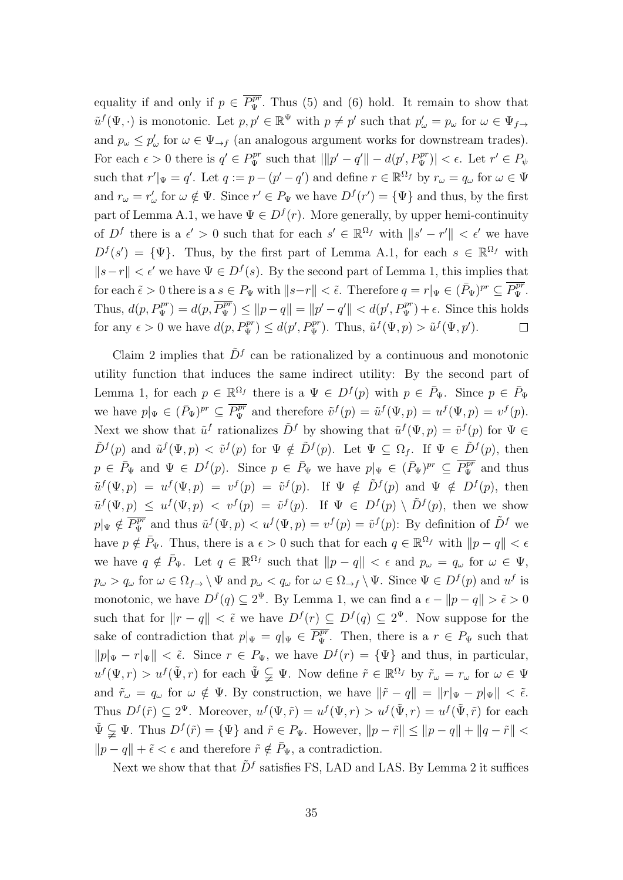equality if and only if  $p \in \overline{P^p_{\Psi}}$ . Thus (5) and (6) hold. It remain to show that  $\tilde{u}^f(\Psi, \cdot)$  is monotonic. Let  $p, p' \in \mathbb{R}^{\Psi}$  with  $p \neq p'$  such that  $p'_{\omega} = p_{\omega}$  for  $\omega \in \Psi_{f \to f}$ and  $p_{\omega} \leq p'_{\omega}$  for  $\omega \in \Psi_{\to f}$  (an analogous argument works for downstream trades). For each  $\epsilon > 0$  there is  $q' \in P_{\Psi}^{pr}$  such that  $||p' - q'|| - d(p', P_{\Psi}^{pr})| < \epsilon$ . Let  $r' \in P_{\Psi}$ such that  $r' \vert_{\Psi} = q'$ . Let  $q := p - (p' - q')$  and define  $r \in \mathbb{R}^{\Omega_f}$  by  $r_{\omega} = q_{\omega}$  for  $\omega \in \Psi$ and  $r_{\omega} = r'_{\omega}$  for  $\omega \notin \Psi$ . Since  $r' \in P_{\Psi}$  we have  $D^{f}(r') = {\Psi}$  and thus, by the first part of Lemma A.1, we have  $\Psi \in D^f(r)$ . More generally, by upper hemi-continuity of  $D^f$  there is a  $\epsilon' > 0$  such that for each  $s' \in \mathbb{R}^{\Omega_f}$  with  $||s' - r'|| < \epsilon'$  we have  $D^{f}(s') = {\Psi}.$  Thus, by the first part of Lemma A.1, for each  $s \in \mathbb{R}^{\Omega_f}$  with  $||s-r|| < \epsilon'$  we have  $\Psi \in D^f(s)$ . By the second part of Lemma 1, this implies that for each  $\tilde{\epsilon} > 0$  there is a  $s \in P_{\Psi}$  with  $||s-r|| < \tilde{\epsilon}$ . Therefore  $q = r|_{\Psi} \in (P_{\Psi})^{pr} \subseteq \overline{P_{\Psi}^{pr}}$ . Thus,  $d(p, P_{\Psi}^{pr}) = d(p, \overline{P_{\Psi}^{pr}}) \le ||p - q|| = ||p' - q'|| < d(p', P_{\Psi}^{pr}) + \epsilon$ . Since this holds for any  $\epsilon > 0$  we have  $d(p, P_{\Psi}^{pr}) \leq d(p', P_{\Psi}^{pr})$ . Thus,  $\tilde{u}^{f}(\Psi, p) > \tilde{u}^{f}(\Psi, p')$ .  $\Box$ 

Claim 2 implies that  $\tilde{D}^f$  can be rationalized by a continuous and monotonic utility function that induces the same indirect utility: By the second part of Lemma 1, for each  $p \in \mathbb{R}^{\Omega_f}$  there is a  $\Psi \in D^f(p)$  with  $p \in \overline{P}_\Psi$ . Since  $p \in \overline{P}_\Psi$ we have  $p|_{\Psi} \in (\bar{P}_{\Psi})^{pr} \subseteq \overline{P_{\Psi}^{pr}}$  and therefore  $\tilde{v}^{f}(p) = \tilde{u}^{f}(\Psi, p) = u^{f}(\Psi, p) = v^{f}(p)$ . Next we show that  $\tilde{u}^f$  rationalizes  $\tilde{D}^f$  by showing that  $\tilde{u}^f(\Psi, p) = \tilde{v}^f(p)$  for  $\Psi \in$  $\tilde{D}^f(p)$  and  $\tilde{u}^f(\Psi, p) < \tilde{v}^f(p)$  for  $\Psi \notin \tilde{D}^f(p)$ . Let  $\Psi \subseteq \Omega_f$ . If  $\Psi \in \tilde{D}^f(p)$ , then  $p \in \overline{P}_{\Psi}$  and  $\Psi \in D^f(p)$ . Since  $p \in \overline{P}_{\Psi}$  we have  $p|_{\Psi} \in (\overline{P}_{\Psi})^{pr} \subseteq \overline{P_{\Psi}^{pr}}$  and thus  $\tilde{u}^f(\Psi, p) = u^f(\Psi, p) = v^f(p) = \tilde{v}^f(p)$ . If  $\Psi \notin \tilde{D}^f(p)$  and  $\Psi \notin D^f(p)$ , then  $\tilde{u}^f(\Psi, p) \leq u^f(\Psi, p) \leq v^f(p) = \tilde{v}^f(p)$ . If  $\Psi \in D^f(p) \setminus \tilde{D}^f(p)$ , then we show  $p|_{\Psi} \notin \overline{P_{\Psi}^{pr}}$  and thus  $\tilde{u}^{f}(\Psi, p) < u^{f}(\Psi, p) = v^{f}(p) = \tilde{v}^{f}(p)$ : By definition of  $\tilde{D}^{f}$  we have  $p \notin \bar{P}_{\Psi}$ . Thus, there is a  $\epsilon > 0$  such that for each  $q \in \mathbb{R}^{\Omega_f}$  with  $||p - q|| < \epsilon$ we have  $q \notin \bar{P}_{\Psi}$ . Let  $q \in \mathbb{R}^{\Omega_f}$  such that  $\|p - q\| < \epsilon$  and  $p_{\omega} = q_{\omega}$  for  $\omega \in \Psi$ ,  $p_{\omega} > q_{\omega}$  for  $\omega \in \Omega_{f \to} \setminus \Psi$  and  $p_{\omega} < q_{\omega}$  for  $\omega \in \Omega_{\to f} \setminus \Psi$ . Since  $\Psi \in D^f(p)$  and  $u^f$  is monotonic, we have  $D^f(q) \subseteq 2^{\Psi}$ . By Lemma 1, we can find a  $\epsilon - ||p - q|| > \tilde{\epsilon} > 0$ such that for  $||r - q|| < \tilde{\epsilon}$  we have  $D^f(r) \subseteq D^f(q) \subseteq 2^{\Psi}$ . Now suppose for the sake of contradiction that  $p|_{\Psi} = q|_{\Psi} \in \overline{P_{\Psi}^{pr}}$ . Then, there is a  $r \in P_{\Psi}$  such that  $||p||_{\Psi} - r||_{\Psi} || < \tilde{\epsilon}$ . Since  $r \in P_{\Psi}$ , we have  $D^{f}(r) = {\Psi}$  and thus, in particular,  $u^f(\Psi,r) > u^f(\tilde{\Psi},r)$  for each  $\tilde{\Psi} \subsetneq \Psi$ . Now define  $\tilde{r} \in \mathbb{R}^{\Omega_f}$  by  $\tilde{r}_\omega = r_\omega$  for  $\omega \in \Psi$ and  $\tilde{r}_\omega = q_\omega$  for  $\omega \notin \Psi$ . By construction, we have  $\|\tilde{r} - q\| = \|r|_{\Psi} - p|\Psi\| < \tilde{\epsilon}$ . Thus  $D^f(\tilde{r}) \subseteq 2^{\Psi}$ . Moreover,  $u^f(\Psi, \tilde{r}) = u^f(\Psi, r) > u^f(\tilde{\Psi}, r) = u^f(\tilde{\Psi}, \tilde{r})$  for each  $\tilde{\Psi} \subsetneq \Psi$ . Thus  $D^f(\tilde{r}) = {\Psi}$  and  $\tilde{r} \in P_{\Psi}$ . However,  $||p - \tilde{r}|| \le ||p - q|| + ||q - \tilde{r}|| <$  $||p - q|| + \tilde{\epsilon} < \epsilon$  and therefore  $\tilde{r} \notin \bar{P}_{\Psi}$ , a contradiction.

Next we show that that  $\tilde{D}^f$  satisfies FS, LAD and LAS. By Lemma 2 it suffices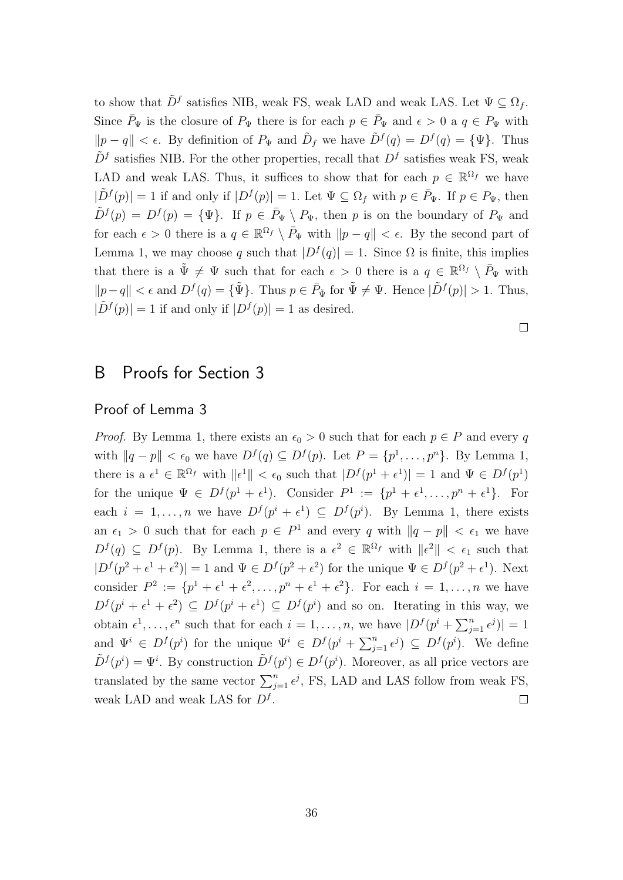to show that  $\tilde{D}^f$  satisfies NIB, weak FS, weak LAD and weak LAS. Let  $\Psi \subseteq \Omega_f$ . Since  $\bar{P}_{\Psi}$  is the closure of  $P_{\Psi}$  there is for each  $p \in \bar{P}_{\Psi}$  and  $\epsilon > 0$  a  $q \in P_{\Psi}$  with  $||p - q|| < \epsilon$ . By definition of  $P_{\Psi}$  and  $\tilde{D}_f$  we have  $\tilde{D}^f(q) = D^f(q) = {\Psi}.$  Thus  $\tilde{D}^f$  satisfies NIB. For the other properties, recall that  $D^f$  satisfies weak FS, weak LAD and weak LAS. Thus, it suffices to show that for each  $p \in \mathbb{R}^{\Omega_f}$  we have  $|\tilde{D}^f(p)| = 1$  if and only if  $|D^f(p)| = 1$ . Let  $\Psi \subseteq \Omega_f$  with  $p \in \overline{P}_\Psi$ . If  $p \in P_\Psi$ , then  $\tilde{D}^{f}(p) = D^{f}(p) = {\Psi}.$  If  $p \in \bar{P}_{\Psi} \setminus P_{\Psi}$ , then p is on the boundary of  $P_{\Psi}$  and for each  $\epsilon > 0$  there is a  $q \in \mathbb{R}^{\Omega_f} \setminus \overline{P}_{\Psi}$  with  $||p - q|| < \epsilon$ . By the second part of Lemma 1, we may choose q such that  $|D^f(q)| = 1$ . Since  $\Omega$  is finite, this implies that there is a  $\tilde{\Psi} \neq \Psi$  such that for each  $\epsilon > 0$  there is a  $q \in \mathbb{R}^{\Omega_f} \setminus \bar{P}_{\Psi}$  with  $||p-q|| < \epsilon$  and  $D^f(q) = {\tilde{\Psi}}$ . Thus  $p \in \bar{P}_{\tilde{\Psi}}$  for  $\tilde{\Psi} \neq \Psi$ . Hence  $|\tilde{D}^f(p)| > 1$ . Thus,  $|\tilde{D}^f(p)| = 1$  if and only if  $|D^f(p)| = 1$  as desired.

 $\Box$ 

# B Proofs for Section 3

# Proof of Lemma 3

*Proof.* By Lemma 1, there exists an  $\epsilon_0 > 0$  such that for each  $p \in P$  and every q with  $||q - p|| < \epsilon_0$  we have  $D^f(q) \subseteq D^f(p)$ . Let  $P = \{p^1, \ldots, p^n\}$ . By Lemma 1, there is a  $\epsilon^1 \in \mathbb{R}^{\Omega_f}$  with  $\|\epsilon^1\| < \epsilon_0$  such that  $|D^f(p^1 + \epsilon^1)| = 1$  and  $\Psi \in D^f(p^1)$ for the unique  $\Psi \in D^f(p^1 + \epsilon^1)$ . Consider  $P^1 := \{p^1 + \epsilon^1, \ldots, p^n + \epsilon^1\}$ . For each  $i = 1, ..., n$  we have  $D^f(p^i + \epsilon^1) \subseteq D^f(p^i)$ . By Lemma 1, there exists an  $\epsilon_1 > 0$  such that for each  $p \in P^1$  and every q with  $||q - p|| < \epsilon_1$  we have  $D^f(q) \subseteq D^f(p)$ . By Lemma 1, there is a  $\epsilon^2 \in \mathbb{R}^{\Omega_f}$  with  $\|\epsilon^2\| < \epsilon_1$  such that  $|D^f(p^2 + \epsilon^1 + \epsilon^2)| = 1$  and  $\Psi \in D^f(p^2 + \epsilon^2)$  for the unique  $\Psi \in D^f(p^2 + \epsilon^1)$ . Next consider  $P^2 := \{p^1 + \epsilon^1 + \epsilon^2, \ldots, p^n + \epsilon^1 + \epsilon^2\}$ . For each  $i = 1, \ldots, n$  we have  $D^f(p^i + \epsilon^1 + \epsilon^2) \subseteq D^f(p^i + \epsilon^1) \subseteq D^f(p^i)$  and so on. Iterating in this way, we obtain  $\epsilon^1, \ldots, \epsilon^n$  such that for each  $i = 1, \ldots, n$ , we have  $|D^f(p^i + \sum_{j=1}^n \epsilon^j)| = 1$ and  $\Psi^i \in D^f(p^i)$  for the unique  $\Psi^i \in D^f(p^i + \sum_{j=1}^n \epsilon^j) \subseteq D^f(p^i)$ . We define  $\tilde{D}^f(p^i) = \Psi^i$ . By construction  $\tilde{D}^f(p^i) \in D^f(p^i)$ . Moreover, as all price vectors are translated by the same vector  $\sum_{j=1}^{n} \epsilon^{j}$ , FS, LAD and LAS follow from weak FS, weak LAD and weak LAS for  $D<sup>f</sup>$ .  $\Box$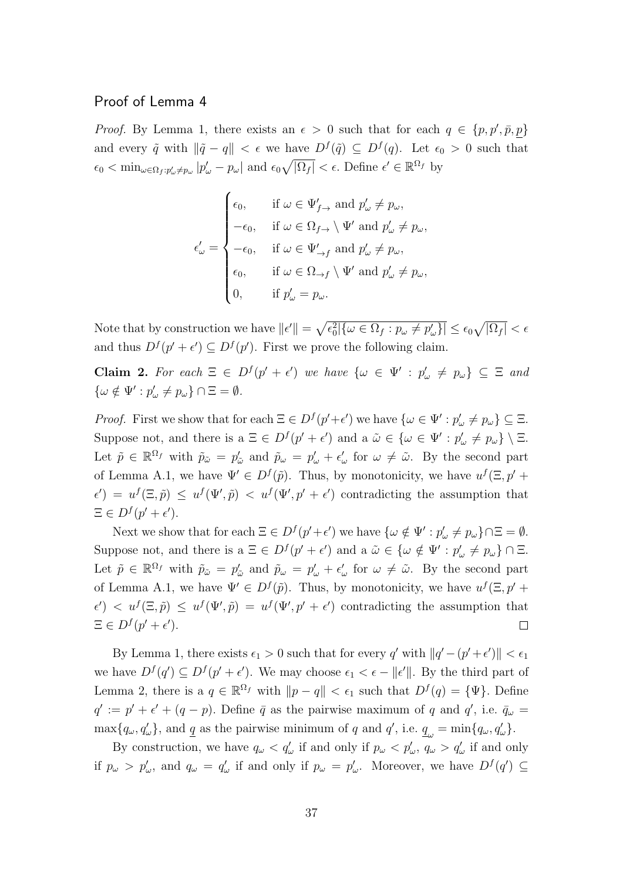# Proof of Lemma 4

*Proof.* By Lemma 1, there exists an  $\epsilon > 0$  such that for each  $q \in \{p, p', \bar{p}, p\}$ and every  $\tilde{q}$  with  $\|\tilde{q} - q\| < \epsilon$  we have  $D^f(\tilde{q}) \subseteq D^f(q)$ . Let  $\epsilon_0 > 0$  such that  $\epsilon_0 < \min_{\omega \in \Omega_f: p'_{\omega} \neq p_{\omega}} |p'_{\omega} - p_{\omega}|$  and  $\epsilon_0 \sqrt{|\Omega_f|} < \epsilon$ . Define  $\epsilon' \in \mathbb{R}^{\Omega_f}$  by

$$
\epsilon'_{\omega} = \begin{cases}\n\epsilon_0, & \text{if } \omega \in \Psi'_{f \to} \text{ and } p'_{\omega} \neq p_{\omega}, \\
-\epsilon_0, & \text{if } \omega \in \Omega_{f \to} \setminus \Psi' \text{ and } p'_{\omega} \neq p_{\omega}, \\
-\epsilon_0, & \text{if } \omega \in \Psi'_{\to f} \text{ and } p'_{\omega} \neq p_{\omega}, \\
\epsilon_0, & \text{if } \omega \in \Omega_{\to f} \setminus \Psi' \text{ and } p'_{\omega} \neq p_{\omega}, \\
0, & \text{if } p'_{\omega} = p_{\omega}.\n\end{cases}
$$

Note that by construction we have  $||\epsilon'|| = \sqrt{\epsilon_0^2 |\{\omega \in \Omega_f : p_\omega \neq p_\omega'\}|} \leq \epsilon_0 \sqrt{|\Omega_f|} < \epsilon$ and thus  $D^f(p'+\epsilon') \subseteq D^f(p')$ . First we prove the following claim.

Claim 2. For each  $\Xi \in D^f(p' + \epsilon')$  we have  $\{\omega \in \Psi' : p'_{\omega} \neq p_{\omega}\} \subseteq \Xi$  and  $\{\omega \notin \Psi': p'_{\omega} \neq p_{\omega}\} \cap \Xi = \emptyset.$ 

*Proof.* First we show that for each  $\Xi \in D^f(p'+\epsilon')$  we have  $\{\omega \in \Psi' : p'_{\omega} \neq p_{\omega}\} \subseteq \Xi$ . Suppose not, and there is a  $\Xi \in D^f(p'+\epsilon')$  and a  $\tilde{\omega} \in {\omega \in \Psi' : p'_{\omega} \neq p_{\omega}} \setminus \Xi$ . Let  $\tilde{p} \in \mathbb{R}^{\Omega_f}$  with  $\tilde{p}_{\tilde{\omega}} = p'_{\tilde{\omega}}$  and  $\tilde{p}_{\omega} = p'_{\omega} + \epsilon'_{\omega}$  for  $\omega \neq \tilde{\omega}$ . By the second part of Lemma A.1, we have  $\Psi' \in D^f(\tilde{p})$ . Thus, by monotonicity, we have  $u^f(\Xi, p' + \Xi)$  $\epsilon'$  =  $u^f(\Xi, \tilde{p}) \leq u^f(\Psi', \tilde{p}) < u^f(\Psi', p' + \epsilon')$  contradicting the assumption that  $\Xi \in D^f(p'+\epsilon').$ 

Next we show that for each  $\Xi \in D^f(p'+\epsilon')$  we have  $\{\omega \notin \Psi' : p'_{\omega} \neq p_{\omega}\}\cap \Xi = \emptyset$ . Suppose not, and there is a  $\Xi \in D^f(p' + \epsilon')$  and a  $\tilde{\omega} \in {\omega \notin \Psi' : p'_{\omega} \neq p_{\omega}} \cap \Xi$ . Let  $\tilde{p} \in \mathbb{R}^{\Omega_f}$  with  $\tilde{p}_{\tilde{\omega}} = p'_{\tilde{\omega}}$  and  $\tilde{p}_{\omega} = p'_{\omega} + \epsilon'_{\omega}$  for  $\omega \neq \tilde{\omega}$ . By the second part of Lemma A.1, we have  $\Psi' \in D^f(\tilde{p})$ . Thus, by monotonicity, we have  $u^f(\Xi, p' + \Xi)$  $\epsilon'$   $\epsilon'$   $\leq u^f(\mathcal{L}', \tilde{p}) = u^f(\mathcal{L}', p' + \epsilon')$  contradicting the assumption that  $\Xi \in D^f(p'+\epsilon').$  $\Box$ 

By Lemma 1, there exists  $\epsilon_1 > 0$  such that for every q' with  $||q'-(p'+\epsilon')|| < \epsilon_1$ we have  $D^f(q') \subseteq D^f(p'+\epsilon')$ . We may choose  $\epsilon_1 < \epsilon - ||\epsilon'||$ . By the third part of Lemma 2, there is a  $q \in \mathbb{R}^{\Omega_f}$  with  $||p - q|| < \epsilon_1$  such that  $D^f(q) = {\Psi}.$  Define  $q' := p' + \epsilon' + (q - p)$ . Define  $\bar{q}$  as the pairwise maximum of q and  $q'$ , i.e.  $\bar{q}_{\omega} =$  $\max\{q_{\omega}, q'_{\omega}\}\$ , and  $\underline{q}$  as the pairwise minimum of q and  $q'$ , i.e.  $\underline{q}_{\omega} = \min\{q_{\omega}, q'_{\omega}\}\$ .

By construction, we have  $q_{\omega} < q_{\omega}'$  if and only if  $p_{\omega} < p_{\omega}'$ ,  $q_{\omega} > q_{\omega}'$  if and only if  $p_{\omega} > p'_{\omega}$ , and  $q_{\omega} = q'_{\omega}$  if and only if  $p_{\omega} = p'_{\omega}$ . Moreover, we have  $D^f(q') \subseteq$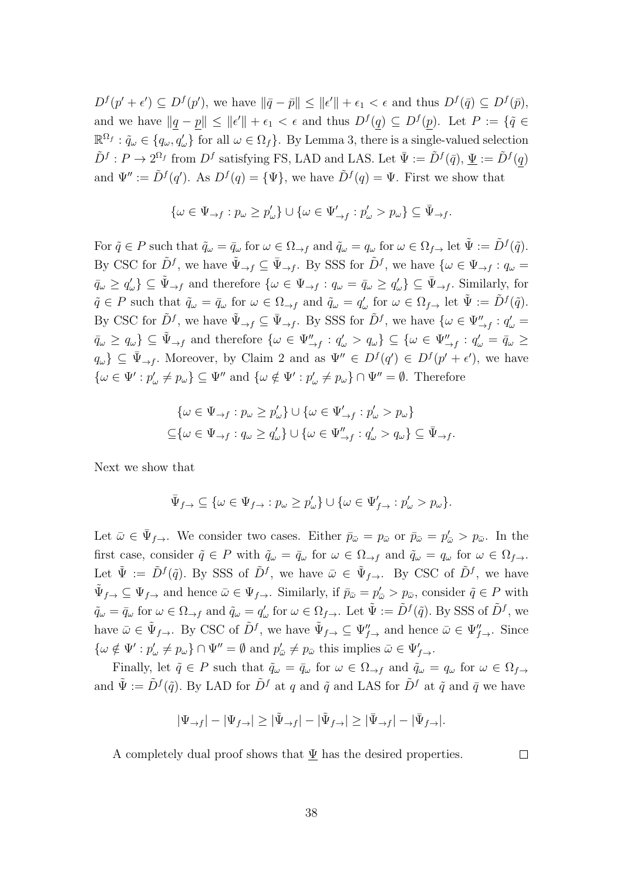$D^f(p'+\epsilon') \subseteq D^f(p')$ , we have  $\|\bar{q}-\bar{p}\| \leq \|\epsilon'\| + \epsilon_1 < \epsilon$  and thus  $D^f(\bar{q}) \subseteq D^f(\bar{p})$ , and we have  $||q - p|| \le ||\epsilon'|| + \epsilon_1 < \epsilon$  and thus  $D^f(q) \subseteq D^f(p)$ . Let  $P := \{ \tilde{q} \in$  $\mathbb{R}^{\Omega_f} : \tilde{q}_\omega \in \{q_\omega, q'_\omega\}$  for all  $\omega \in \Omega_f$ . By Lemma 3, there is a single-valued selection  $\tilde{D}^f : P \to 2^{\Omega_f}$  from  $D^f$  satisfying FS, LAD and LAS. Let  $\bar{\Psi} := \tilde{D}^f(\bar{q}), \underline{\Psi} := \tilde{D}^f(q)$ and  $\Psi' := \tilde{D}^{f}(q')$ . As  $D^{f}(q) = {\Psi}$ , we have  $\tilde{D}^{f}(q) = \Psi$ . First we show that

$$
\{\omega \in \Psi_{\rightarrow f} : p_{\omega} \ge p'_{\omega}\} \cup \{\omega \in \Psi'_{\rightarrow f} : p'_{\omega} > p_{\omega}\} \subseteq \bar{\Psi}_{\rightarrow f}.
$$

For  $\tilde{q} \in P$  such that  $\tilde{q}_{\omega} = \bar{q}_{\omega}$  for  $\omega \in \Omega_{\to f}$  and  $\tilde{q}_{\omega} = q_{\omega}$  for  $\omega \in \Omega_{f \to}$  let  $\tilde{\Psi} := \tilde{D}^f(\tilde{q})$ . By CSC for  $\tilde{D}^f$ , we have  $\tilde{\Psi}_{\to f} \subseteq \bar{\Psi}_{\to f}$ . By SSS for  $\tilde{D}^f$ , we have  $\{\omega \in \Psi_{\to f} : q_{\omega} =$  $\bar{q}_{\omega} \ge q_{\omega}'\} \subseteq \tilde{\Psi}_{\to f}$  and therefore  $\{\omega \in \Psi_{\to f} : q_{\omega} = \bar{q}_{\omega} \ge q_{\omega}'\} \subseteq \bar{\Psi}_{\to f}$ . Similarly, for  $\tilde{q} \in P$  such that  $\tilde{q}_{\omega} = \bar{q}_{\omega}$  for  $\omega \in \Omega_{\to f}$  and  $\tilde{q}_{\omega} = q'_{\omega}$  for  $\omega \in \Omega_{f}$  let  $\tilde{\Psi} := \tilde{D}^f(\tilde{q})$ . By CSC for  $\tilde{D}^f$ , we have  $\tilde{\Psi}_{\to f} \subseteq \bar{\Psi}_{\to f}$ . By SSS for  $\tilde{D}^f$ , we have  $\{\omega \in \Psi''_{\to f} : q'_{\omega} =$  $\bar{q}_{\omega} \ge q_{\omega} \} \subseteq \tilde{\Psi}_{\to f}$  and therefore  $\{\omega \in \Psi''_{\to f} : q'_{\omega} > q_{\omega}\} \subseteq \{\omega \in \Psi''_{\to f} : q'_{\omega} = \bar{q}_{\omega} \ge$  $q_{\omega}\}\subseteq \bar{\Psi}_{\to f}$ . Moreover, by Claim 2 and as  $\Psi''\in D^f(q')\in D^f(p'+\epsilon')$ , we have  $\{\omega \in \Psi': p'_{\omega} \neq p_{\omega}\}\subseteq \Psi''$  and  $\{\omega \notin \Psi': p'_{\omega} \neq p_{\omega}\}\cap \Psi''=\emptyset$ . Therefore

$$
\{\omega \in \Psi_{\to f} : p_{\omega} \ge p'_{\omega}\} \cup \{\omega \in \Psi'_{\to f} : p'_{\omega} > p_{\omega}\}\
$$
  

$$
\subseteq \{\omega \in \Psi_{\to f} : q_{\omega} \ge q'_{\omega}\} \cup \{\omega \in \Psi''_{\to f} : q'_{\omega} > q_{\omega}\} \subseteq \bar{\Psi}_{\to f}.
$$

Next we show that

$$
\bar{\Psi}_{f \to} \subseteq \{ \omega \in \Psi_{f \to} : p_\omega \ge p_\omega' \} \cup \{ \omega \in \Psi_{f \to}': p_\omega' > p_\omega \}.
$$

Let  $\bar{\omega} \in \bar{\Psi}_{f \to}$ . We consider two cases. Either  $\bar{p}_{\bar{\omega}} = p_{\bar{\omega}}$  or  $\bar{p}_{\bar{\omega}} = p'_{\bar{\omega}} > p_{\bar{\omega}}$ . In the first case, consider  $\tilde{q} \in P$  with  $\tilde{q}_\omega = \bar{q}_\omega$  for  $\omega \in \Omega_{\to f}$  and  $\tilde{q}_\omega = q_\omega$  for  $\omega \in \Omega_{f \to f}$ . Let  $\tilde{\Psi} := \tilde{D}^f(\tilde{q})$ . By SSS of  $\tilde{D}^f$ , we have  $\bar{\omega} \in \tilde{\Psi}_{f \to}$ . By CSC of  $\tilde{D}^f$ , we have  $\tilde{\Psi}_{f\rightarrow} \subseteq \Psi_{f\rightarrow}$  and hence  $\bar{\omega} \in \Psi_{f\rightarrow}$ . Similarly, if  $\bar{p}_{\bar{\omega}} = p'_{\bar{\omega}} > p_{\bar{\omega}}$ , consider  $\tilde{q} \in P$  with  $\tilde{q}_{\omega} = \bar{q}_{\omega}$  for  $\omega \in \Omega_{\to f}$  and  $\tilde{q}_{\omega} = q'_{\omega}$  for  $\omega \in \Omega_{f \to \cdot}$ . Let  $\tilde{\Psi} := \tilde{D}^f(\tilde{q})$ . By SSS of  $\tilde{D}^f$ , we have  $\bar{\omega} \in \tilde{\Psi}_{f \to \cdot}$ . By CSC of  $\tilde{D}^f$ , we have  $\tilde{\Psi}_{f \to \cdot} \subseteq \Psi''_{f \to \cdot}$  and hence  $\bar{\omega} \in \Psi''_{f \to \cdot}$ . Since  $\{\omega \notin \Psi': p'_{\omega} \neq p_{\omega}\} \cap \Psi'' = \emptyset \text{ and } p'_{\overline{\omega}} \neq p_{\overline{\omega}} \text{ this implies } \overline{\omega} \in \Psi'_{f \rightarrow}.\$ 

Finally, let  $\tilde{q} \in P$  such that  $\tilde{q}_\omega = \bar{q}_\omega$  for  $\omega \in \Omega_{\rightarrow f}$  and  $\tilde{q}_\omega = q_\omega$  for  $\omega \in \Omega_{f\rightarrow f}$ and  $\tilde{\Psi} := \tilde{D}^f(\tilde{q})$ . By LAD for  $\tilde{D}^f$  at q and  $\tilde{q}$  and LAS for  $\tilde{D}^f$  at  $\tilde{q}$  and  $\bar{q}$  we have

$$
|\Psi_{\rightarrow f}| - |\Psi_{f \rightarrow}| \geq |\tilde{\Psi}_{\rightarrow f}| - |\tilde{\Psi}_{f \rightarrow}| \geq |\bar{\Psi}_{\rightarrow f}| - |\bar{\Psi}_{f \rightarrow}|.
$$

A completely dual proof shows that  $\Psi$  has the desired properties.

 $\Box$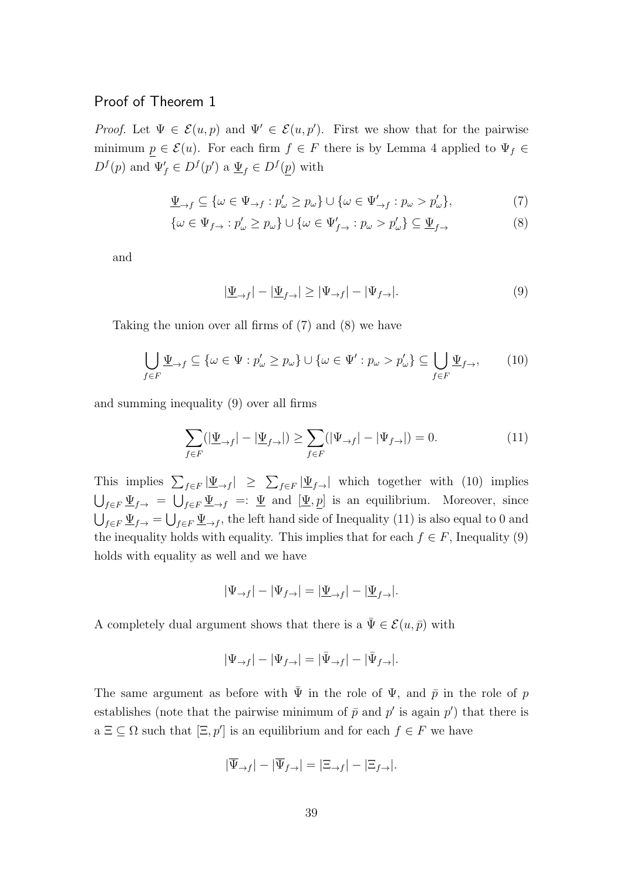# Proof of Theorem 1

*Proof.* Let  $\Psi \in \mathcal{E}(u, p)$  and  $\Psi' \in \mathcal{E}(u, p')$ . First we show that for the pairwise minimum  $p \in \mathcal{E}(u)$ . For each firm  $f \in F$  there is by Lemma 4 applied to  $\Psi_f \in$  $D^f(p)$  and  $\Psi'_f \in D^f(p')$  a  $\underline{\Psi}_f \in D^f(\underline{p})$  with

$$
\underline{\Psi}_{\to f} \subseteq \{ \omega \in \Psi_{\to f} : p'_{\omega} \ge p_{\omega} \} \cup \{ \omega \in \Psi'_{\to f} : p_{\omega} > p'_{\omega} \},\tag{7}
$$

$$
\{\omega \in \Psi_{f \to} : p'_{\omega} \ge p_{\omega}\} \cup \{\omega \in \Psi'_{f \to} : p_{\omega} > p'_{\omega}\} \subseteq \underline{\Psi}_{f \to}
$$
\n
$$
(8)
$$

and

$$
|\underline{\Psi}_{\to f}| - |\underline{\Psi}_{f \to}| \ge |\Psi_{\to f}| - |\Psi_{f \to}|. \tag{9}
$$

Taking the union over all firms of (7) and (8) we have

$$
\bigcup_{f \in F} \underline{\Psi}_{\to f} \subseteq \{ \omega \in \Psi : p'_{\omega} \ge p_{\omega} \} \cup \{ \omega \in \Psi' : p_{\omega} > p'_{\omega} \} \subseteq \bigcup_{f \in F} \underline{\Psi}_{f \to},\qquad(10)
$$

and summing inequality (9) over all firms

$$
\sum_{f \in F} (|\underline{\Psi}_{\to f}| - |\underline{\Psi}_{f \to}|) \ge \sum_{f \in F} (|\Psi_{\to f}| - |\Psi_{f \to}|) = 0.
$$
 (11)

This implies  $\sum_{f\in F}|\Psi_{\to f}| \geq \sum_{f\in F}|\Psi_{f\to}|$  which together with (10) implies  $\bigcup_{f\in F}\Psi_{f\to f} = \bigcup_{f\in F}\Psi_{\to f} =: \Psi$  and  $[\Psi, p]$  is an equilibrium. Moreover, since  $\bigcup_{f\in F}\underline{\Psi}_{f\to f}=\bigcup_{f\in F}\underline{\Psi}_{\to f}$ , the left hand side of Inequality (11) is also equal to 0 and the inequality holds with equality. This implies that for each  $f \in F$ , Inequality (9) holds with equality as well and we have

$$
|\Psi_{\rightarrow f}| - |\Psi_{f \rightarrow}| = |\underline{\Psi}_{\rightarrow f}| - |\underline{\Psi}_{f \rightarrow}|.
$$

A completely dual argument shows that there is a  $\bar{\Psi} \in \mathcal{E}(u, \bar{p})$  with

$$
|\Psi_{\rightarrow f}| - |\Psi_{f \rightarrow}| = |\bar{\Psi}_{\rightarrow f}| - |\bar{\Psi}_{f \rightarrow}|.
$$

The same argument as before with  $\bar{\Psi}$  in the role of  $\Psi$ , and  $\bar{p}$  in the role of p establishes (note that the pairwise minimum of  $\bar{p}$  and  $p'$  is again  $p'$ ) that there is  $a \subseteq \subseteq \Omega$  such that  $[\Xi, p']$  is an equilibrium and for each  $f \in F$  we have

$$
|\overline{\Psi}_{\to f}| - |\overline{\Psi}_{f \to}| = |\Xi_{\to f}| - |\Xi_{f \to}|.
$$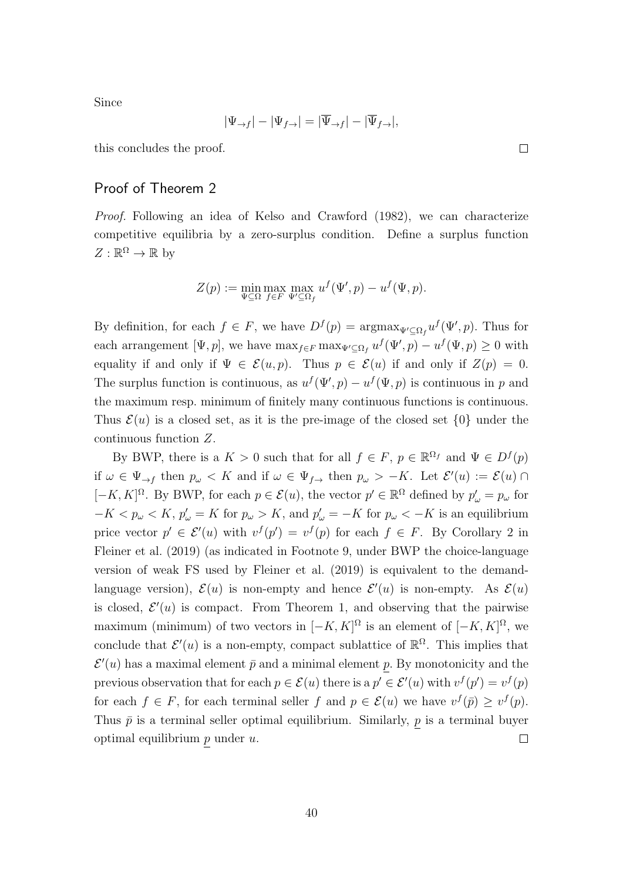Since

$$
|\Psi_{\rightarrow f}| - |\Psi_{f \rightarrow}| = |\overline{\Psi}_{\rightarrow f}| - |\overline{\Psi}_{f \rightarrow}|,
$$

this concludes the proof.

# Proof of Theorem 2

Proof. Following an idea of Kelso and Crawford (1982), we can characterize competitive equilibria by a zero-surplus condition. Define a surplus function  $Z: \mathbb{R}^{\Omega} \to \mathbb{R}$  by

$$
Z(p) := \min_{\Psi \subseteq \Omega} \max_{f \in F} \max_{\Psi' \subseteq \Omega_f} u^f(\Psi', p) - u^f(\Psi, p).
$$

By definition, for each  $f \in F$ , we have  $D^f(p) = \operatorname{argmax}_{\Psi' \subseteq \Omega_f} u^f(\Psi', p)$ . Thus for each arrangement [ $\Psi$ ,  $p$ ], we have  $\max_{f \in F} \max_{\Psi' \subseteq \Omega_f} u^f(\Psi', p) - u^f(\Psi, p) \ge 0$  with equality if and only if  $\Psi \in \mathcal{E}(u, p)$ . Thus  $p \in \mathcal{E}(u)$  if and only if  $Z(p) = 0$ . The surplus function is continuous, as  $u^f(\Psi, p) - u^f(\Psi, p)$  is continuous in p and the maximum resp. minimum of finitely many continuous functions is continuous. Thus  $\mathcal{E}(u)$  is a closed set, as it is the pre-image of the closed set  $\{0\}$  under the continuous function Z.

By BWP, there is a  $K > 0$  such that for all  $f \in F$ ,  $p \in \mathbb{R}^{\Omega_f}$  and  $\Psi \in D^f(p)$ if  $\omega \in \Psi_{\to f}$  then  $p_{\omega} < K$  and if  $\omega \in \Psi_{f \to f}$  then  $p_{\omega} > -K$ . Let  $\mathcal{E}'(u) := \mathcal{E}(u) \cap$  $[-K, K]^{\Omega}$ . By BWP, for each  $p \in \mathcal{E}(u)$ , the vector  $p' \in \mathbb{R}^{\Omega}$  defined by  $p'_{\omega} = p_{\omega}$  for  $-K < p_\omega < K, p'_\omega = K$  for  $p_\omega > K$ , and  $p'_\omega = -K$  for  $p_\omega < -K$  is an equilibrium price vector  $p' \in \mathcal{E}'(u)$  with  $v^f(p') = v^f(p)$  for each  $f \in F$ . By Corollary 2 in Fleiner et al. (2019) (as indicated in Footnote 9, under BWP the choice-language version of weak FS used by Fleiner et al. (2019) is equivalent to the demandlanguage version),  $\mathcal{E}(u)$  is non-empty and hence  $\mathcal{E}'(u)$  is non-empty. As  $\mathcal{E}(u)$ is closed,  $\mathcal{E}'(u)$  is compact. From Theorem 1, and observing that the pairwise maximum (minimum) of two vectors in  $[-K, K]^{\Omega}$  is an element of  $[-K, K]^{\Omega}$ , we conclude that  $\mathcal{E}'(u)$  is a non-empty, compact sublattice of  $\mathbb{R}^{\Omega}$ . This implies that  $\mathcal{E}'(u)$  has a maximal element  $\bar{p}$  and a minimal element p. By monotonicity and the previous observation that for each  $p \in \mathcal{E}(u)$  there is a  $p' \in \mathcal{E}'(u)$  with  $v^f(p') = v^f(p)$ for each  $f \in F$ , for each terminal seller f and  $p \in \mathcal{E}(u)$  we have  $v^f(\bar{p}) \geq v^f(p)$ . Thus  $\bar{p}$  is a terminal seller optimal equilibrium. Similarly,  $p$  is a terminal buyer optimal equilibrium  $p$  under  $u$ .  $\Box$ 

 $\Box$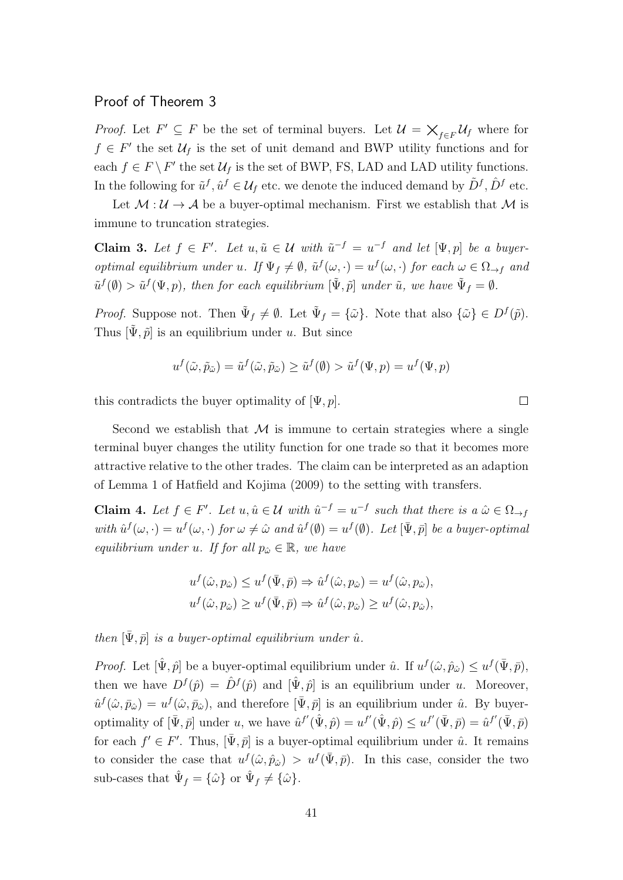## Proof of Theorem 3

*Proof.* Let  $F' \subseteq F$  be the set of terminal buyers. Let  $\mathcal{U} = \bigtimes_{f \in F} \mathcal{U}_f$  where for  $f \in F'$  the set  $\mathcal{U}_f$  is the set of unit demand and BWP utility functions and for each  $f \in F \backslash F'$  the set  $\mathcal{U}_f$  is the set of BWP, FS, LAD and LAD utility functions. In the following for  $\tilde{u}^f, \hat{u}^f \in \mathcal{U}_f$  etc. we denote the induced demand by  $\tilde{D}^f, \hat{D}^f$  etc.

Let  $M : U \to A$  be a buyer-optimal mechanism. First we establish that M is immune to truncation strategies.

**Claim 3.** Let  $f \in F'$ . Let  $u, \tilde{u} \in \mathcal{U}$  with  $\tilde{u}^{-f} = u^{-f}$  and let  $[\Psi, p]$  be a buyeroptimal equilibrium under u. If  $\Psi_f \neq \emptyset$ ,  $\tilde{u}^f(\omega, \cdot) = u^f(\omega, \cdot)$  for each  $\omega \in \Omega_{\to f}$  and  $\tilde{u}^f(\emptyset) > \tilde{u}^f(\Psi, p)$ , then for each equilibrium  $[\tilde{\Psi}, \tilde{p}]$  under  $\tilde{u}$ , we have  $\tilde{\Psi}_f = \emptyset$ .

*Proof.* Suppose not. Then  $\tilde{\Psi}_f \neq \emptyset$ . Let  $\tilde{\Psi}_f = {\tilde{\omega}}$ . Note that also  ${\tilde{\omega}} \in D^f(\tilde{p})$ . Thus  $[\tilde{\Psi}, \tilde{p}]$  is an equilibrium under u. But since

$$
u^f(\tilde{\omega}, \tilde{p}_{\tilde{\omega}}) = \tilde{u}^f(\tilde{\omega}, \tilde{p}_{\tilde{\omega}}) \ge \tilde{u}^f(\emptyset) > \tilde{u}^f(\Psi, p) = u^f(\Psi, p)
$$

 $\Box$ 

this contradicts the buyer optimality of  $[\Psi, p]$ .

Second we establish that  $\mathcal M$  is immune to certain strategies where a single terminal buyer changes the utility function for one trade so that it becomes more attractive relative to the other trades. The claim can be interpreted as an adaption of Lemma 1 of Hatfield and Kojima (2009) to the setting with transfers.

**Claim 4.** Let  $f \in F'$ . Let  $u, \hat{u} \in \mathcal{U}$  with  $\hat{u}^{-f} = u^{-f}$  such that there is a  $\hat{\omega} \in \Omega_{\to f}$ with  $\hat{u}^f(\omega, \cdot) = u^f(\omega, \cdot)$  for  $\omega \neq \hat{\omega}$  and  $\hat{u}^f(\emptyset) = u^f(\emptyset)$ . Let  $[\bar{\Psi}, \bar{p}]$  be a buyer-optimal equilibrium under u. If for all  $p_{\hat{\omega}} \in \mathbb{R}$ , we have

$$
u^f(\hat{\omega}, p_{\hat{\omega}}) \le u^f(\bar{\Psi}, \bar{p}) \Rightarrow \hat{u}^f(\hat{\omega}, p_{\hat{\omega}}) = u^f(\hat{\omega}, p_{\hat{\omega}}),
$$
  

$$
u^f(\hat{\omega}, p_{\hat{\omega}}) \ge u^f(\bar{\Psi}, \bar{p}) \Rightarrow \hat{u}^f(\hat{\omega}, p_{\hat{\omega}}) \ge u^f(\hat{\omega}, p_{\hat{\omega}}),
$$

then  $[\bar{\Psi}, \bar{p}]$  is a buyer-optimal equilibrium under  $\hat{u}$ .

*Proof.* Let  $[\hat{\Psi}, \hat{p}]$  be a buyer-optimal equilibrium under  $\hat{u}$ . If  $u^f(\hat{\omega}, \hat{p}_{\hat{\omega}}) \leq u^f(\bar{\Psi}, \bar{p})$ , then we have  $D^f(\hat{p}) = \hat{D}^f(\hat{p})$  and  $[\hat{\Psi}, \hat{p}]$  is an equilibrium under u. Moreover,  $\hat{u}^f(\hat{\omega}, \bar{p}_{\hat{\omega}}) = u^f(\hat{\omega}, \bar{p}_{\hat{\omega}})$ , and therefore  $[\bar{\Psi}, \bar{p}]$  is an equilibrium under  $\hat{u}$ . By buyeroptimality of  $[\bar{\Psi}, \bar{p}]$  under u, we have  $\hat{u}^{f'}(\hat{\Psi}, \hat{p}) = u^{f'}(\hat{\Psi}, \hat{p}) \leq u^{f'}(\bar{\Psi}, \bar{p}) = \hat{u}^{f'}(\bar{\Psi}, \bar{p})$ for each  $f' \in F'$ . Thus,  $[\bar{\Psi}, \bar{p}]$  is a buyer-optimal equilibrium under  $\hat{u}$ . It remains to consider the case that  $u^f(\hat{\omega}, \hat{p}_{\hat{\omega}}) > u^f(\bar{\Psi}, \bar{p})$ . In this case, consider the two sub-cases that  $\hat{\Psi}_f = {\hat{\omega}} \text{ or } \hat{\Psi}_f \neq {\hat{\omega}}$ .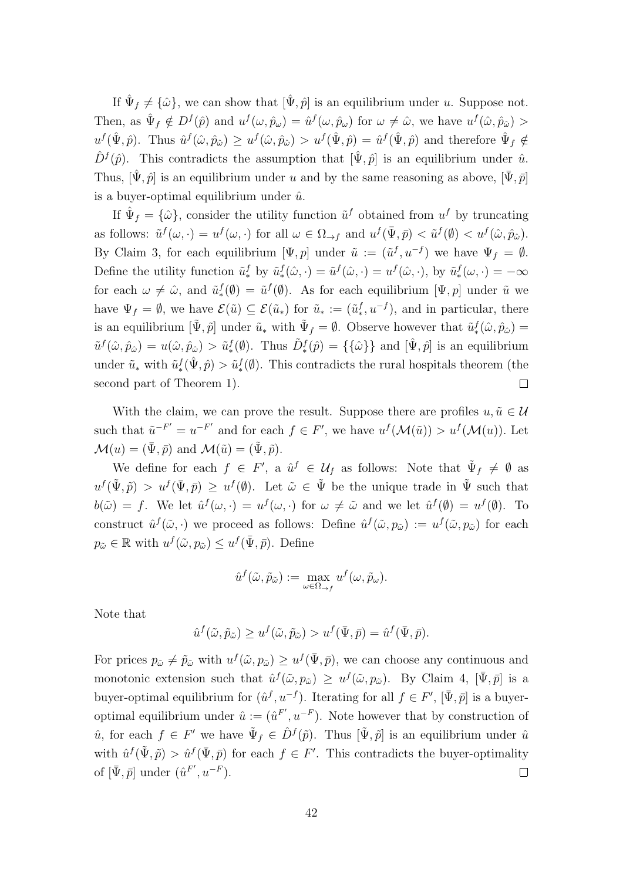If  $\hat{\Psi}_f \neq {\hat{\omega}}$ , we can show that  $[\hat{\Psi}, \hat{p}]$  is an equilibrium under u. Suppose not. Then, as  $\hat{\Psi}_f \notin D^f(\hat{p})$  and  $u^f(\omega, \hat{p}_\omega) = \hat{u}^f(\omega, \hat{p}_\omega)$  for  $\omega \neq \hat{\omega}$ , we have  $u^f(\hat{\omega}, \hat{p}_\omega)$  $u^f(\hat{\Psi}, \hat{p})$ . Thus  $\hat{u}^f(\hat{\omega}, \hat{p}_{\hat{\omega}}) \geq u^f(\hat{\omega}, \hat{p}_{\hat{\omega}}) > u^f(\hat{\Psi}, \hat{p}) = \hat{u}^f(\hat{\Psi}, \hat{p})$  and therefore  $\hat{\Psi}_f \notin$  $\hat{D}^{f}(\hat{p})$ . This contradicts the assumption that  $[\hat{\Psi}, \hat{p}]$  is an equilibrium under  $\hat{u}$ . Thus,  $[\hat{\Psi}, \hat{p}]$  is an equilibrium under u and by the same reasoning as above,  $[\Psi, \bar{p}]$ is a buyer-optimal equilibrium under  $\hat{u}$ .

If  $\hat{\Psi}_f = {\hat{\omega}}$ , consider the utility function  $\tilde{u}^f$  obtained from  $u^f$  by truncating as follows:  $\tilde{u}^f(\omega, \cdot) = u^f(\omega, \cdot)$  for all  $\omega \in \Omega_{\to f}$  and  $u^f(\bar{\Psi}, \bar{p}) < \tilde{u}^f(\emptyset) < u^f(\hat{\omega}, \hat{p}_{\hat{\omega}})$ . By Claim 3, for each equilibrium  $[\Psi, p]$  under  $\tilde{u} := (\tilde{u}^f, u^{-f})$  we have  $\Psi_f = \emptyset$ . Define the utility function  $\tilde{u}_*^f$  by  $\tilde{u}_*^f(\hat{\omega}, \cdot) = \tilde{u}^f(\hat{\omega}, \cdot) = u^f(\hat{\omega}, \cdot)$ , by  $\tilde{u}_*^f(\omega, \cdot) = -\infty$ for each  $\omega \neq \hat{\omega}$ , and  $\tilde{u}_*^f(\emptyset) = \tilde{u}^f(\emptyset)$ . As for each equilibrium  $[\Psi, p]$  under  $\tilde{u}$  we have  $\Psi_f = \emptyset$ , we have  $\mathcal{E}(\tilde{u}) \subseteq \mathcal{E}(\tilde{u}_*)$  for  $\tilde{u}_* := (\tilde{u}_*^f, u^{-f})$ , and in particular, there is an equilibrium  $[\tilde{\Psi}, \tilde{p}]$  under  $\tilde{u}_*$  with  $\tilde{\Psi}_f = \emptyset$ . Observe however that  $\tilde{u}_*^f(\hat{\omega}, \hat{p}_\hat{\omega}) =$  $\tilde{u}^f(\hat{\omega}, \hat{p}_{\hat{\omega}}) = u(\hat{\omega}, \hat{p}_{\hat{\omega}}) > \tilde{u}^f_*(\hat{\theta})$ . Thus  $\tilde{D}^f_*(\hat{p}) = {\{\hat{\omega}\}}$  and  $[\hat{\Psi}, \hat{p}]$  is an equilibrium under  $\tilde{u}_*$  with  $\tilde{u}_*^f(\hat{\Psi}, \hat{p}) > \tilde{u}_*^f(\hat{\Psi})$ . This contradicts the rural hospitals theorem (the second part of Theorem 1).  $\Box$ 

With the claim, we can prove the result. Suppose there are profiles  $u, \tilde{u} \in \mathcal{U}$ such that  $\tilde{u}^{-F'} = u^{-F'}$  and for each  $f \in F'$ , we have  $u^f(\mathcal{M}(\tilde{u})) > u^f(\mathcal{M}(u))$ . Let  $\mathcal{M}(u) = (\bar{\Psi}, \bar{p})$  and  $\mathcal{M}(\tilde{u}) = (\tilde{\Psi}, \tilde{p}).$ 

We define for each  $f \in F'$ , a  $\hat{u}^f \in \mathcal{U}_f$  as follows: Note that  $\tilde{\Psi}_f \neq \emptyset$  as  $u^f(\tilde{\Psi}, \tilde{p}) > u^f(\bar{\Psi}, \bar{p}) \geq u^f(\emptyset)$ . Let  $\tilde{\omega} \in \tilde{\Psi}$  be the unique trade in  $\tilde{\Psi}$  such that  $b(\tilde{\omega}) = f$ . We let  $\hat{u}^f(\omega, \cdot) = u^f(\omega, \cdot)$  for  $\omega \neq \tilde{\omega}$  and we let  $\hat{u}^f(\emptyset) = u^f(\emptyset)$ . To construct  $\hat{u}^f(\tilde{\omega},\cdot)$  we proceed as follows: Define  $\hat{u}^f(\tilde{\omega},p_{\tilde{\omega}}) := u^f(\tilde{\omega},p_{\tilde{\omega}})$  for each  $p_{\tilde{\omega}} \in \mathbb{R}$  with  $u^f(\tilde{\omega}, p_{\tilde{\omega}}) \leq u^f(\bar{\Psi}, \bar{p}).$  Define

$$
\hat{u}^f(\tilde{\omega}, \tilde{p}_{\tilde{\omega}}) := \max_{\omega \in \Omega_{\to f}} u^f(\omega, \tilde{p}_{\omega}).
$$

Note that

$$
\hat{u}^f(\tilde{\omega}, \tilde{p}_{\tilde{\omega}}) \ge u^f(\tilde{\omega}, \tilde{p}_{\tilde{\omega}}) > u^f(\bar{\Psi}, \bar{p}) = \hat{u}^f(\bar{\Psi}, \bar{p}).
$$

For prices  $p_{\tilde{\omega}} \neq \tilde{p}_{\tilde{\omega}}$  with  $u^f(\tilde{\omega}, p_{\tilde{\omega}}) \geq u^f(\bar{\Psi}, \bar{p})$ , we can choose any continuous and monotonic extension such that  $\hat{u}^f(\tilde{\omega}, p_{\tilde{\omega}}) \geq u^f(\tilde{\omega}, p_{\tilde{\omega}})$ . By Claim 4,  $[\bar{\Psi}, \bar{p}]$  is a buyer-optimal equilibrium for  $(\hat{u}^f, u^{-f})$ . Iterating for all  $f \in F'$ ,  $[\bar{\Psi}, \bar{p}]$  is a buyeroptimal equilibrium under  $\hat{u} := (\hat{u}^{F'}, u^{-F})$ . Note however that by construction of  $\hat{u}$ , for each  $f \in F'$  we have  $\tilde{\Psi}_f \in \hat{D}^f(\tilde{p})$ . Thus  $[\tilde{\Psi}, \tilde{p}]$  is an equilibrium under  $\hat{u}$ with  $\hat{u}^f(\tilde{\Psi}, \tilde{p}) > \hat{u}^f(\bar{\Psi}, \bar{p})$  for each  $f \in F'$ . This contradicts the buyer-optimality of  $[\bar{\Psi}, \bar{p}]$  under  $(\hat{u}^{F'}, u^{-F}).$  $\Box$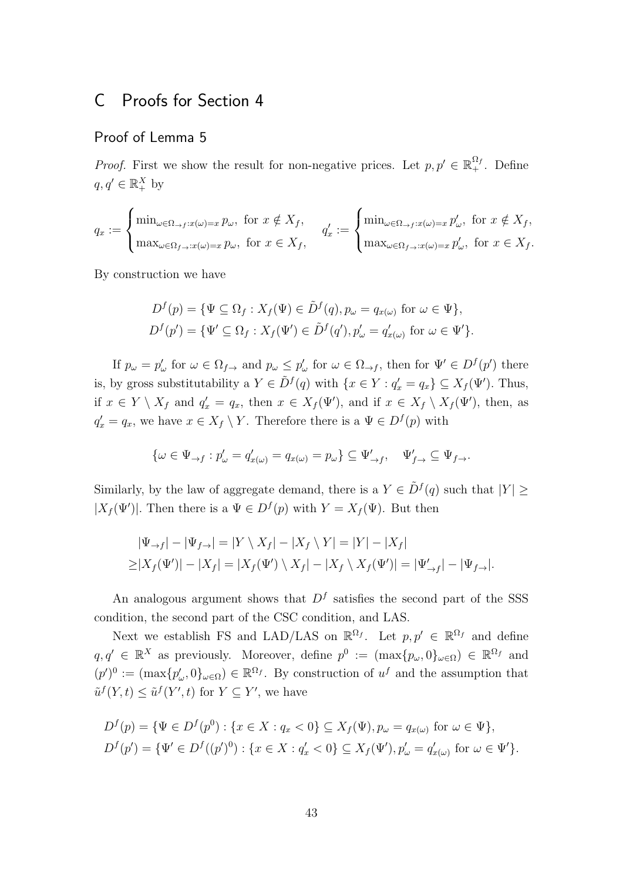# C Proofs for Section 4

## Proof of Lemma 5

*Proof.* First we show the result for non-negative prices. Let  $p, p' \in \mathbb{R}_+^{\Omega_f}$ . Define  $q, q' \in \mathbb{R}_+^X$  by

$$
q_x := \begin{cases} \min_{\omega \in \Omega_{\to f}: x(\omega) = x} p_{\omega}, \text{ for } x \notin X_f, \\ \max_{\omega \in \Omega_{f \to : x(\omega) = x} p_{\omega}, \text{ for } x \in X_f, \end{cases} q'_x := \begin{cases} \min_{\omega \in \Omega_{\to f}: x(\omega) = x} p'_{\omega}, \text{ for } x \notin X_f, \\ \max_{\omega \in \Omega_{f \to : x(\omega) = x} p'_{\omega}, \text{ for } x \in X_f. \end{cases}
$$

By construction we have

$$
D^f(p) = \{ \Psi \subseteq \Omega_f : X_f(\Psi) \in \tilde{D}^f(q), p_\omega = q_{x(\omega)} \text{ for } \omega \in \Psi \},
$$
  

$$
D^f(p') = \{ \Psi' \subseteq \Omega_f : X_f(\Psi') \in \tilde{D}^f(q'), p_\omega' = q_{x(\omega)}' \text{ for } \omega \in \Psi' \}.
$$

If  $p_{\omega} = p_{\omega}'$  for  $\omega \in \Omega_{f \to}$  and  $p_{\omega} \leq p_{\omega}'$  for  $\omega \in \Omega_{\to f}$ , then for  $\Psi' \in D^f(p')$  there is, by gross substitutability a  $Y \in \tilde{D}^f(q)$  with  $\{x \in Y : q'_x = q_x\} \subseteq X_f(\Psi')$ . Thus, if  $x \in Y \setminus X_f$  and  $q'_x = q_x$ , then  $x \in X_f(\Psi')$ , and if  $x \in X_f \setminus X_f(\Psi')$ , then, as  $q'_x = q_x$ , we have  $x \in X_f \setminus Y$ . Therefore there is a  $\Psi \in D^f(p)$  with

$$
\{\omega \in \Psi_{\to f} : p'_{\omega} = q'_{x(\omega)} = q_{x(\omega)} = p_{\omega}\} \subseteq \Psi'_{\to f}, \quad \Psi'_{f \to \omega} \subseteq \Psi_{f \to \omega}.
$$

Similarly, by the law of aggregate demand, there is a  $Y \in \tilde{D}^f(q)$  such that  $|Y| \geq$  $|X_f(\Psi')|$ . Then there is a  $\Psi \in D^f(p)$  with  $Y = X_f(\Psi)$ . But then

$$
|\Psi_{\rightarrow f}| - |\Psi_{f\rightarrow}| = |Y \setminus X_f| - |X_f \setminus Y| = |Y| - |X_f|
$$
  
\n
$$
\geq |X_f(\Psi')| - |X_f| = |X_f(\Psi') \setminus X_f| - |X_f \setminus X_f(\Psi')| = |\Psi'_{\rightarrow f}| - |\Psi_{f\rightarrow}|.
$$

An analogous argument shows that  $D<sup>f</sup>$  satisfies the second part of the SSS condition, the second part of the CSC condition, and LAS.

Next we establish FS and LAD/LAS on  $\mathbb{R}^{\Omega_f}$ . Let  $p, p' \in \mathbb{R}^{\Omega_f}$  and define  $q, q' \in \mathbb{R}^X$  as previously. Moreover, define  $p^0 := (\max\{p_\omega, 0\}_{\omega \in \Omega}) \in \mathbb{R}^{\Omega_f}$  and  $(p')^0 := (\max\{p'_\omega, 0\}_{\omega \in \Omega}) \in \mathbb{R}^{\Omega_f}$ . By construction of  $u^f$  and the assumption that  $\tilde{u}^f(Y,t) \leq \tilde{u}^f(Y',t)$  for  $Y \subseteq Y'$ , we have

$$
D^f(p) = \{ \Psi \in D^f(p^0) : \{ x \in X : q_x < 0 \} \subseteq X_f(\Psi), p_\omega = q_{x(\omega)} \text{ for } \omega \in \Psi \},
$$
  

$$
D^f(p') = \{ \Psi' \in D^f((p')^0) : \{ x \in X : q'_x < 0 \} \subseteq X_f(\Psi'), p'_\omega = q'_{x(\omega)} \text{ for } \omega \in \Psi' \}.
$$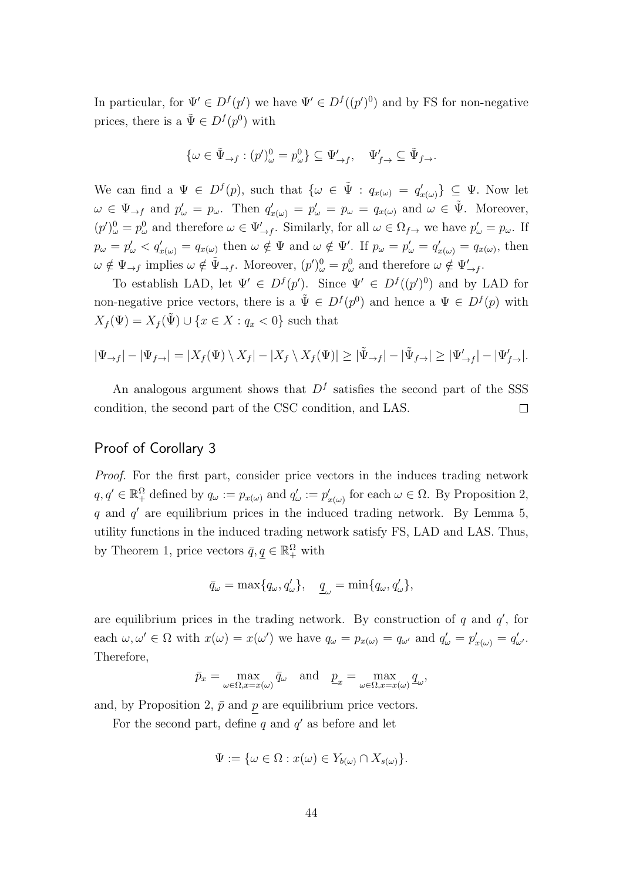In particular, for  $\Psi' \in D^f(p')$  we have  $\Psi' \in D^f((p')^0)$  and by FS for non-negative prices, there is a  $\tilde{\Psi} \in D^f(p^0)$  with

$$
\{\omega \in \tilde{\Psi}_{\to f} : (p')^0_{\omega} = p^0_{\omega}\} \subseteq \Psi'_{\to f}, \quad \Psi'_{f \to} \subseteq \tilde{\Psi}_{f \to}.
$$

We can find a  $\Psi \in D^f(p)$ , such that  $\{\omega \in \tilde{\Psi} : q_{x(\omega)} = q'_{x(\omega)}\} \subseteq \Psi$ . Now let  $\omega \in \Psi_{\to f}$  and  $p'_{\omega} = p_{\omega}$ . Then  $q'_{x(\omega)} = p'_{\omega} = p_{\omega} = q_{x(\omega)}$  and  $\omega \in \tilde{\Psi}$ . Moreover,  $(p')^0_\omega = p^0_\omega$  and therefore  $\omega \in \Psi'_{\to f}$ . Similarly, for all  $\omega \in \Omega_{f \to f}$  we have  $p'_\omega = p_\omega$ . If  $p_{\omega} = p_{\omega}' < q_{x(\omega)}' = q_{x(\omega)}$  then  $\omega \notin \Psi$  and  $\omega \notin \Psi'$ . If  $p_{\omega} = p_{\omega}' = q_{x(\omega)}' = q_{x(\omega)}$ , then  $\omega \notin \Psi_{\to f}$  implies  $\omega \notin \tilde{\Psi}_{\to f}$ . Moreover,  $(p')^0_{\omega} = p^0_{\omega}$  and therefore  $\omega \notin \Psi'_{\to f}$ .

To establish LAD, let  $\Psi' \in D^f(p')$ . Since  $\Psi' \in D^f((p')^0)$  and by LAD for non-negative price vectors, there is a  $\tilde{\Psi} \in D^f(p^0)$  and hence a  $\Psi \in D^f(p)$  with  $X_f(\Psi) = X_f(\tilde{\Psi}) \cup \{x \in X : q_x < 0\}$  such that

$$
|\Psi_{\to f}| - |\Psi_{f \to}| = |X_f(\Psi) \setminus X_f| - |X_f \setminus X_f(\Psi)| \ge |\tilde{\Psi}_{\to f}| - |\tilde{\Psi}_{f \to}| \ge |\Psi_{\to f}'| - |\Psi_{f \to}|.
$$

An analogous argument shows that  $D<sup>f</sup>$  satisfies the second part of the SSS condition, the second part of the CSC condition, and LAS.  $\Box$ 

## Proof of Corollary 3

Proof. For the first part, consider price vectors in the induces trading network  $q, q' \in \mathbb{R}_{+}^{\Omega}$  defined by  $q_{\omega} := p_{x(\omega)}$  and  $q'_{\omega} := p'_{x(\omega)}$  for each  $\omega \in \Omega$ . By Proposition 2,  $q$  and  $q'$  are equilibrium prices in the induced trading network. By Lemma 5, utility functions in the induced trading network satisfy FS, LAD and LAS. Thus, by Theorem 1, price vectors  $\bar{q}, \underline{q} \in \mathbb{R}_+^{\Omega}$  with

$$
\bar{q}_\omega = \max\{q_\omega, q'_\omega\}, \quad \underline{q}_\omega = \min\{q_\omega, q'_\omega\},
$$

are equilibrium prices in the trading network. By construction of  $q$  and  $q'$ , for each  $\omega, \omega' \in \Omega$  with  $x(\omega) = x(\omega')$  we have  $q_{\omega} = p_{x(\omega)} = q_{\omega'}$  and  $q'_{\omega} = p'_{x(\omega)} = q'_{\omega'}$ . Therefore,

$$
\bar{p}_x = \max_{\omega \in \Omega, x = x(\omega)} \bar{q}_\omega
$$
 and  $\underline{p}_x = \max_{\omega \in \Omega, x = x(\omega)} \underline{q}_\omega$ ,

and, by Proposition 2,  $\bar{p}$  and p are equilibrium price vectors.

For the second part, define  $q$  and  $q'$  as before and let

$$
\Psi := \{ \omega \in \Omega : x(\omega) \in Y_{b(\omega)} \cap X_{s(\omega)} \}.
$$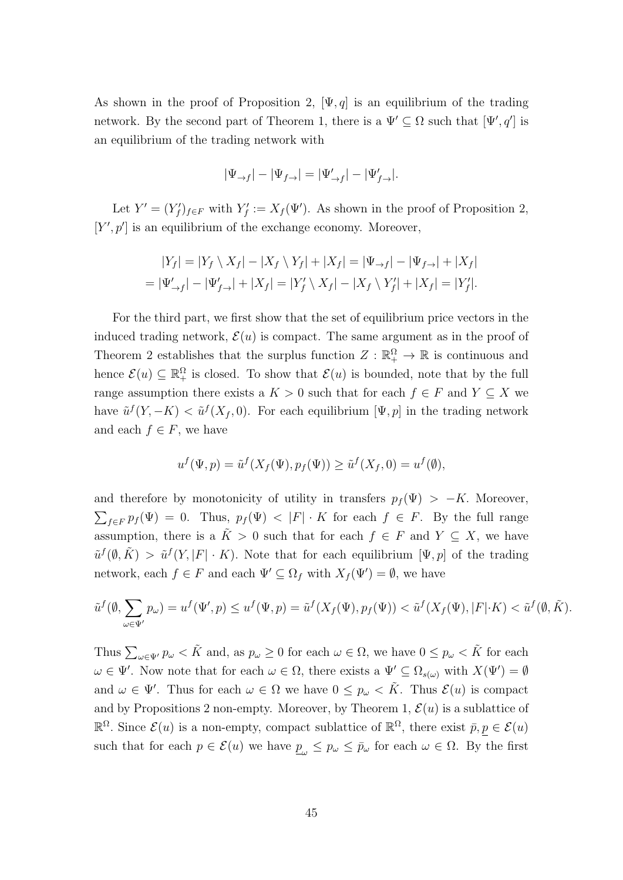As shown in the proof of Proposition 2,  $[\Psi, q]$  is an equilibrium of the trading network. By the second part of Theorem 1, there is a  $\Psi' \subseteq \Omega$  such that  $[\Psi', q']$  is an equilibrium of the trading network with

$$
|\Psi_{\rightarrow f}| - |\Psi_{f \rightarrow}| = |\Psi_{\rightarrow f}'| - |\Psi_{f \rightarrow}'|.
$$

Let  $Y' = (Y'_f)_{f \in F}$  with  $Y'_f := X_f(\Psi')$ . As shown in the proof of Proposition 2,  $[Y', p']$  is an equilibrium of the exchange economy. Moreover,

$$
|Y_f| = |Y_f \setminus X_f| - |X_f \setminus Y_f| + |X_f| = |\Psi_{\to f}| - |\Psi_{f\to}| + |X_f| = |\Psi'_{\to f}| - |\Psi'_{f\to}| + |X_f| = |Y'_f \setminus X_f| - |X_f \setminus Y'_f| + |X_f| = |Y'_f|.
$$

For the third part, we first show that the set of equilibrium price vectors in the induced trading network,  $\mathcal{E}(u)$  is compact. The same argument as in the proof of Theorem 2 establishes that the surplus function  $Z : \mathbb{R}^{\Omega}_+ \to \mathbb{R}$  is continuous and hence  $\mathcal{E}(u) \subseteq \mathbb{R}^{\Omega}$  is closed. To show that  $\mathcal{E}(u)$  is bounded, note that by the full range assumption there exists a  $K > 0$  such that for each  $f \in F$  and  $Y \subseteq X$  we have  $\tilde{u}^f(Y, -K) < \tilde{u}^f(X_f, 0)$ . For each equilibrium  $[\Psi, p]$  in the trading network and each  $f \in F$ , we have

$$
u^f(\Psi, p) = \tilde{u}^f(X_f(\Psi), p_f(\Psi)) \ge \tilde{u}^f(X_f, 0) = u^f(\emptyset),
$$

and therefore by monotonicity of utility in transfers  $p_f(\Psi) > -K$ . Moreover,  $\sum_{f \in F} p_f(\Psi) = 0$ . Thus,  $p_f(\Psi) < |F| \cdot K$  for each  $f \in F$ . By the full range assumption, there is a  $\tilde{K} > 0$  such that for each  $f \in F$  and  $Y \subseteq X$ , we have  $\tilde{u}^f(\emptyset, \tilde{K}) > \tilde{u}^f(Y, |F| \cdot K)$ . Note that for each equilibrium  $[\Psi, p]$  of the trading network, each  $f \in F$  and each  $\Psi' \subseteq \Omega_f$  with  $X_f(\Psi') = \emptyset$ , we have

$$
\tilde{u}^f(\emptyset, \sum_{\omega \in \Psi'} p_{\omega}) = u^f(\Psi', p) \le u^f(\Psi, p) = \tilde{u}^f(X_f(\Psi), p_f(\Psi)) < \tilde{u}^f(X_f(\Psi), |F| \cdot K) < \tilde{u}^f(\emptyset, \tilde{K}).
$$

Thus  $\sum_{\omega \in \Psi'} p_{\omega} < \tilde{K}$  and, as  $p_{\omega} \geq 0$  for each  $\omega \in \Omega$ , we have  $0 \leq p_{\omega} < \tilde{K}$  for each  $\omega \in \Psi'$ . Now note that for each  $\omega \in \Omega$ , there exists a  $\Psi' \subseteq \Omega_{s(\omega)}$  with  $X(\Psi') = \emptyset$ and  $\omega \in \Psi'$ . Thus for each  $\omega \in \Omega$  we have  $0 \leq p_{\omega} < \tilde{K}$ . Thus  $\mathcal{E}(u)$  is compact and by Propositions 2 non-empty. Moreover, by Theorem 1,  $\mathcal{E}(u)$  is a sublattice of  $\mathbb{R}^{\Omega}$ . Since  $\mathcal{E}(u)$  is a non-empty, compact sublattice of  $\mathbb{R}^{\Omega}$ , there exist  $\bar{p}, p \in \mathcal{E}(u)$ such that for each  $p \in \mathcal{E}(u)$  we have  $\underline{p}_{\omega} \leq p_{\omega} \leq \overline{p}_{\omega}$  for each  $\omega \in \Omega$ . By the first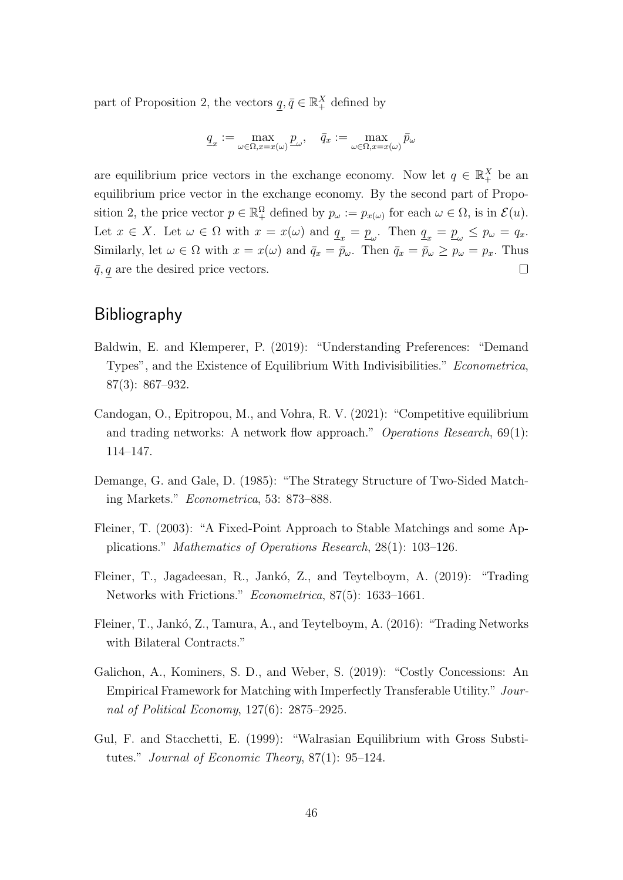part of Proposition 2, the vectors  $q, \bar{q} \in \mathbb{R}_+^X$  defined by

$$
\underline{q}_x := \max_{\omega \in \Omega, x = x(\omega)} \underline{p}_\omega, \quad \bar{q}_x := \max_{\omega \in \Omega, x = x(\omega)} \bar{p}_\omega
$$

are equilibrium price vectors in the exchange economy. Now let  $q \in \mathbb{R}^{X}_{+}$  be an equilibrium price vector in the exchange economy. By the second part of Proposition 2, the price vector  $p \in \mathbb{R}_{+}^{\Omega}$  defined by  $p_{\omega} := p_{x(\omega)}$  for each  $\omega \in \Omega$ , is in  $\mathcal{E}(u)$ . Let  $x \in X$ . Let  $\omega \in \Omega$  with  $x = x(\omega)$  and  $\underline{q}_x = \underline{p}_\omega$ . Then  $\underline{q}_x = \underline{p}_\omega \leq p_\omega = q_x$ . Similarly, let  $\omega \in \Omega$  with  $x = x(\omega)$  and  $\bar{q}_x = \bar{p}_\omega$ . Then  $\bar{q}_x = \bar{p}_\omega \ge p_\omega = p_x$ . Thus  $\bar{q}$ , q are the desired price vectors.  $\Box$ 

# Bibliography

- Baldwin, E. and Klemperer, P. (2019): "Understanding Preferences: "Demand Types", and the Existence of Equilibrium With Indivisibilities." Econometrica, 87(3): 867–932.
- Candogan, O., Epitropou, M., and Vohra, R. V. (2021): "Competitive equilibrium and trading networks: A network flow approach." Operations Research, 69(1): 114–147.
- Demange, G. and Gale, D. (1985): "The Strategy Structure of Two-Sided Matching Markets." Econometrica, 53: 873–888.
- Fleiner, T. (2003): "A Fixed-Point Approach to Stable Matchings and some Applications." Mathematics of Operations Research, 28(1): 103–126.
- Fleiner, T., Jagadeesan, R., Jankó, Z., and Teytelboym, A. (2019): "Trading Networks with Frictions." Econometrica, 87(5): 1633–1661.
- Fleiner, T., Jankó, Z., Tamura, A., and Teytelboym, A. (2016): "Trading Networks with Bilateral Contracts."
- Galichon, A., Kominers, S. D., and Weber, S. (2019): "Costly Concessions: An Empirical Framework for Matching with Imperfectly Transferable Utility." Journal of Political Economy, 127(6): 2875–2925.
- Gul, F. and Stacchetti, E. (1999): "Walrasian Equilibrium with Gross Substitutes." Journal of Economic Theory, 87(1): 95–124.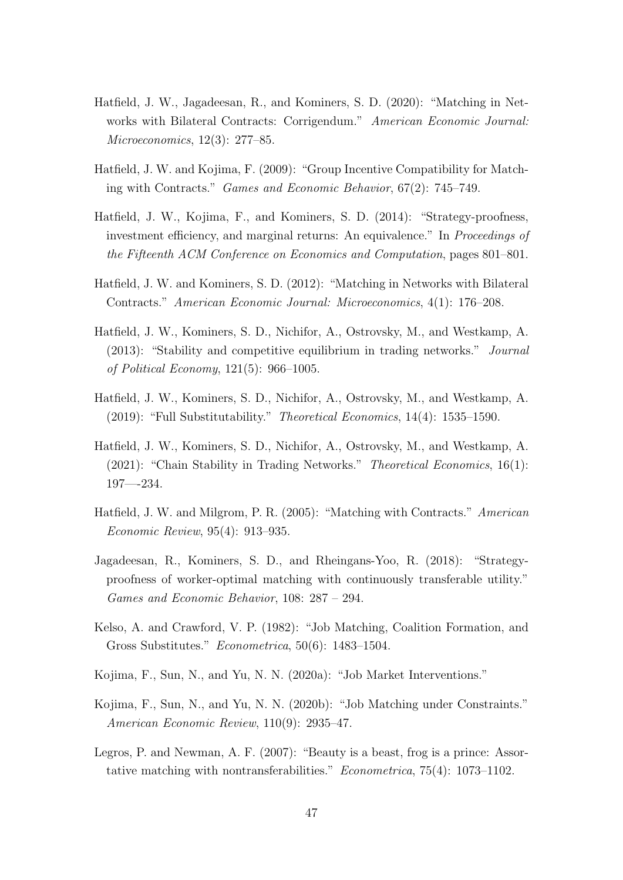- Hatfield, J. W., Jagadeesan, R., and Kominers, S. D. (2020): "Matching in Networks with Bilateral Contracts: Corrigendum." American Economic Journal: Microeconomics, 12(3): 277–85.
- Hatfield, J. W. and Kojima, F. (2009): "Group Incentive Compatibility for Matching with Contracts." Games and Economic Behavior, 67(2): 745–749.
- Hatfield, J. W., Kojima, F., and Kominers, S. D. (2014): "Strategy-proofness, investment efficiency, and marginal returns: An equivalence." In Proceedings of the Fifteenth ACM Conference on Economics and Computation, pages 801–801.
- Hatfield, J. W. and Kominers, S. D. (2012): "Matching in Networks with Bilateral Contracts." American Economic Journal: Microeconomics, 4(1): 176–208.
- Hatfield, J. W., Kominers, S. D., Nichifor, A., Ostrovsky, M., and Westkamp, A. (2013): "Stability and competitive equilibrium in trading networks." Journal of Political Economy, 121(5): 966–1005.
- Hatfield, J. W., Kominers, S. D., Nichifor, A., Ostrovsky, M., and Westkamp, A. (2019): "Full Substitutability." Theoretical Economics, 14(4): 1535–1590.
- Hatfield, J. W., Kominers, S. D., Nichifor, A., Ostrovsky, M., and Westkamp, A. (2021): "Chain Stability in Trading Networks." Theoretical Economics, 16(1): 197—-234.
- Hatfield, J. W. and Milgrom, P. R. (2005): "Matching with Contracts." American Economic Review, 95(4): 913–935.
- Jagadeesan, R., Kominers, S. D., and Rheingans-Yoo, R. (2018): "Strategyproofness of worker-optimal matching with continuously transferable utility." Games and Economic Behavior, 108: 287 – 294.
- Kelso, A. and Crawford, V. P. (1982): "Job Matching, Coalition Formation, and Gross Substitutes." Econometrica, 50(6): 1483–1504.
- Kojima, F., Sun, N., and Yu, N. N. (2020a): "Job Market Interventions."
- Kojima, F., Sun, N., and Yu, N. N. (2020b): "Job Matching under Constraints." American Economic Review, 110(9): 2935–47.
- Legros, P. and Newman, A. F. (2007): "Beauty is a beast, frog is a prince: Assortative matching with nontransferabilities." Econometrica, 75(4): 1073–1102.